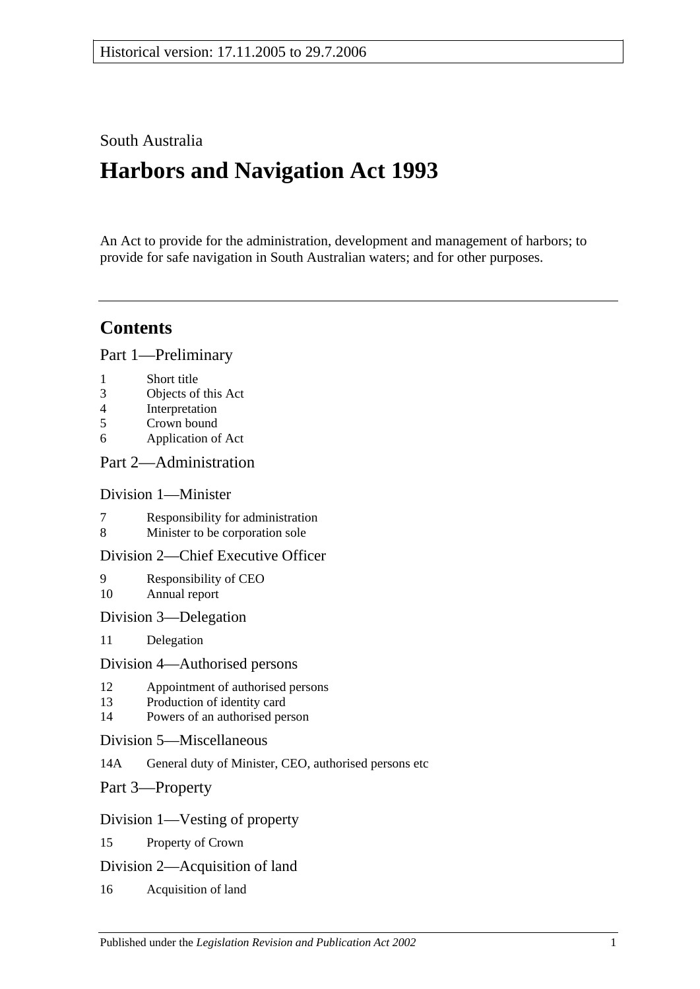# South Australia

# **Harbors and Navigation Act 1993**

An Act to provide for the administration, development and management of harbors; to provide for safe navigation in South Australian waters; and for other purposes.

# **Contents**

[Part 1—Preliminary](#page-6-0)

- 1 [Short title](#page-6-1)
- 3 [Objects of this Act](#page-6-2)
- 4 [Interpretation](#page-6-3)
- 5 [Crown bound](#page-9-0)
- 6 [Application of Act](#page-9-1)

## [Part 2—Administration](#page-10-0)

## [Division 1—Minister](#page-10-1)

- 7 [Responsibility for administration](#page-10-2)<br>8 Minister to be corporation sole
- [Minister to be corporation sole](#page-10-3)

## [Division 2—Chief Executive Officer](#page-10-4)

- 9 [Responsibility of CEO](#page-10-5) 10 [Annual report](#page-10-6)
- [Division 3—Delegation](#page-10-7)
- 11 [Delegation](#page-10-8)

#### [Division 4—Authorised persons](#page-10-9)

- 12 [Appointment of authorised persons](#page-10-10)
- 13 [Production of identity card](#page-11-0)
- 14 [Powers of an authorised person](#page-11-1)
- [Division 5—Miscellaneous](#page-13-0)
- 14A [General duty of Minister, CEO, authorised persons etc](#page-13-1)
- [Part 3—Property](#page-14-0)

## [Division 1—Vesting of property](#page-14-1)

- 15 [Property of Crown](#page-14-2)
- [Division 2—Acquisition of land](#page-14-3)
- 16 [Acquisition of land](#page-14-4)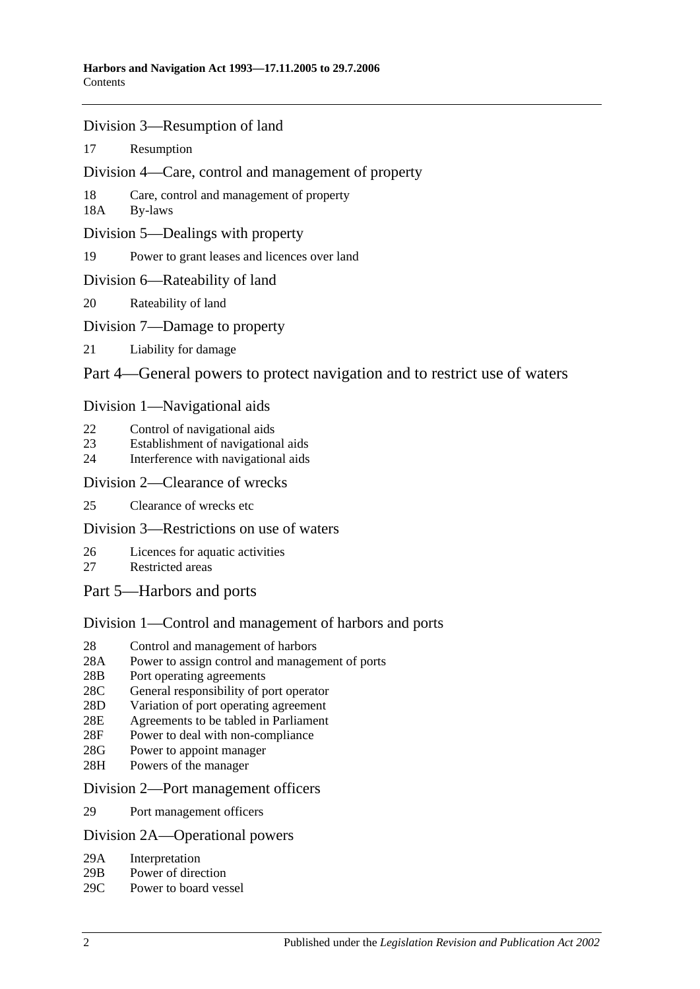- [Division 3—Resumption of land](#page-14-5)
- 17 [Resumption](#page-14-6)
- [Division 4—Care, control and management of property](#page-15-0)
- 18 [Care, control and management of property](#page-15-1)
- 18A [By-laws](#page-15-2)
- [Division 5—Dealings with property](#page-16-0)
- 19 [Power to grant leases and licences over land](#page-16-1)
- [Division 6—Rateability of land](#page-16-2)
- 20 [Rateability of land](#page-16-3)
- [Division 7—Damage to property](#page-16-4)
- 21 [Liability for damage](#page-16-5)

## [Part 4—General powers to protect navigation and to restrict use of waters](#page-18-0)

#### [Division 1—Navigational aids](#page-18-1)

- 22 [Control of navigational aids](#page-18-2)
- 23 [Establishment of navigational aids](#page-18-3)
- 24 [Interference with navigational aids](#page-18-4)

#### [Division 2—Clearance of wrecks](#page-19-0)

25 [Clearance of wrecks etc](#page-19-1)

## [Division 3—Restrictions on use of waters](#page-19-2)

- 26 [Licences for aquatic activities](#page-19-3)
- 27 [Restricted areas](#page-20-0)
- [Part 5—Harbors and ports](#page-22-0)

## [Division 1—Control and management of harbors and ports](#page-22-1)

- 28 [Control and management of harbors](#page-22-2)
- 28A [Power to assign control and management of ports](#page-22-3)
- 28B [Port operating agreements](#page-22-4)
- 28C [General responsibility of port operator](#page-23-0)
- 28D [Variation of port operating agreement](#page-23-1)
- 28E [Agreements to be tabled in Parliament](#page-23-2)
- 28F [Power to deal with non-compliance](#page-23-3)
- 28G [Power to appoint manager](#page-24-0)
- 28H [Powers of the manager](#page-24-1)

#### [Division 2—Port management officers](#page-25-0)

29 [Port management officers](#page-25-1)

#### [Division 2A—Operational powers](#page-25-2)

- 29A [Interpretation](#page-25-3)
- 29B [Power of direction](#page-25-4)
- 29C [Power to board vessel](#page-26-0)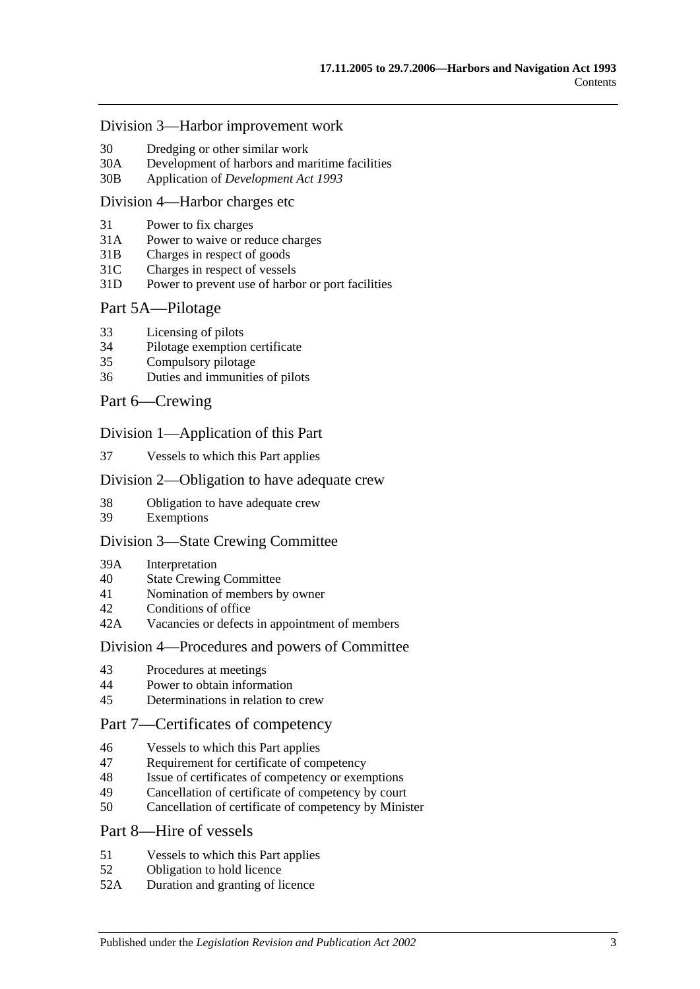#### [Division 3—Harbor improvement work](#page-26-1)

- 30 [Dredging or other similar work](#page-26-2)
- 30A [Development of harbors and maritime facilities](#page-26-3)
- 30B Application of *[Development Act](#page-27-0) 1993*

#### [Division 4—Harbor charges etc](#page-27-1)

- 31 [Power to fix charges](#page-27-2)
- 31A Power to waive [or reduce charges](#page-27-3)
- 31B [Charges in respect of goods](#page-27-4)
- 31C [Charges in respect of vessels](#page-28-0)
- 31D [Power to prevent use of harbor or port facilities](#page-28-1)

#### [Part 5A—Pilotage](#page-30-0)

- 33 [Licensing of pilots](#page-30-1)
- 34 [Pilotage exemption certificate](#page-30-2)
- 35 [Compulsory pilotage](#page-31-0)
- 36 [Duties and immunities of pilots](#page-31-1)

#### [Part 6—Crewing](#page-32-0)

#### [Division 1—Application of this Part](#page-32-1)

37 [Vessels to which this Part applies](#page-32-2)

#### [Division 2—Obligation to have adequate crew](#page-32-3)

- 38 [Obligation to have adequate crew](#page-32-4)
- 39 [Exemptions](#page-32-5)

#### [Division 3—State Crewing Committee](#page-32-6)

- 39A [Interpretation](#page-32-7)
- 40 [State Crewing Committee](#page-33-0)
- 41 [Nomination of members by owner](#page-33-1)
- 42 [Conditions of office](#page-34-0)
- 42A [Vacancies or defects in appointment of members](#page-34-1)

#### [Division 4—Procedures and powers of Committee](#page-34-2)

- 43 [Procedures at meetings](#page-34-3)
- 44 [Power to obtain information](#page-35-0)
- 45 [Determinations in relation to crew](#page-35-1)

## [Part 7—Certificates of competency](#page-36-0)

- 46 [Vessels to which this Part applies](#page-36-1)
- 47 [Requirement for certificate of competency](#page-36-2)
- 48 [Issue of certificates of competency or exemptions](#page-37-0)
- 49 [Cancellation of certificate of competency by court](#page-38-0)
- 50 [Cancellation of certificate of competency by Minister](#page-38-1)

#### [Part 8—Hire of vessels](#page-40-0)

- 51 [Vessels to which this Part applies](#page-40-1)
- 52 [Obligation to hold licence](#page-40-2)
- 52A [Duration and granting of licence](#page-40-3)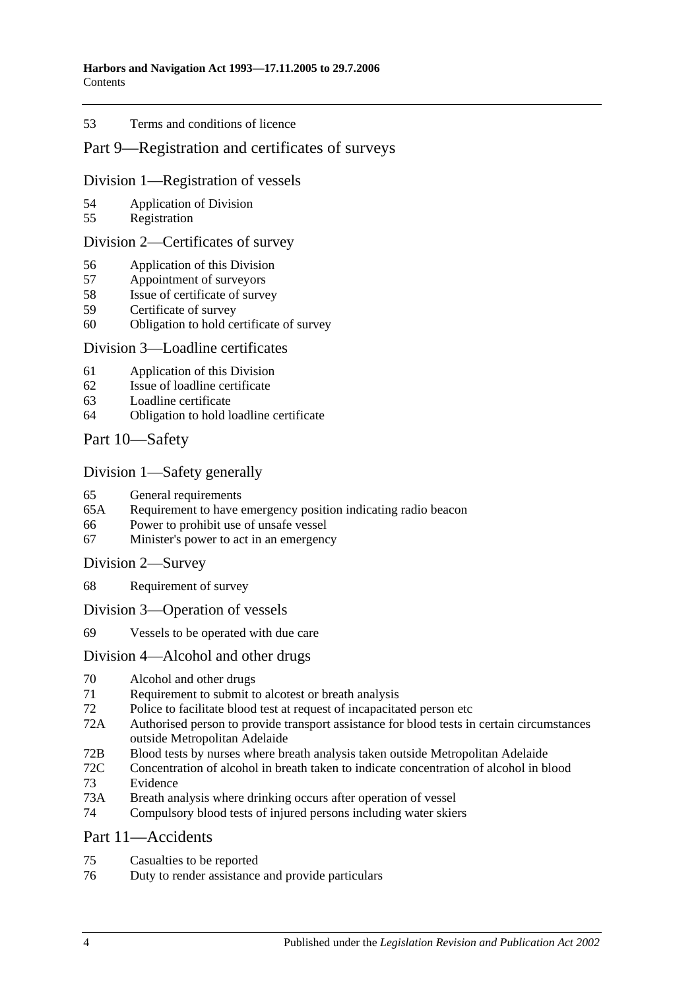#### 53 [Terms and conditions of licence](#page-40-4)

## [Part 9—Registration and certificates of surveys](#page-42-0)

#### [Division 1—Registration of vessels](#page-42-1)

- 54 [Application of Division](#page-42-2)
- 55 [Registration](#page-42-3)

#### [Division 2—Certificates of survey](#page-42-4)

- 56 [Application of this Division](#page-42-5)
- 57 [Appointment of surveyors](#page-42-6)
- 58 [Issue of certificate of survey](#page-43-0)
- 59 [Certificate of survey](#page-43-1)
- 60 [Obligation to hold certificate of survey](#page-43-2)

#### [Division 3—Loadline certificates](#page-44-0)

- 61 [Application of this Division](#page-44-1)
- 62 [Issue of loadline certificate](#page-44-2)
- 63 [Loadline certificate](#page-44-3)
- 64 [Obligation to hold loadline certificate](#page-44-4)

## [Part 10—Safety](#page-46-0)

## [Division 1—Safety generally](#page-46-1)

- 65 [General requirements](#page-46-2)<br>65A Requirement to have
- [Requirement to have emergency position indicating radio beacon](#page-46-3)
- 66 [Power to prohibit use of unsafe vessel](#page-46-4)
- 67 [Minister's power to act in an emergency](#page-47-0)

#### [Division 2—Survey](#page-47-1)

- 68 [Requirement of survey](#page-47-2)
- [Division 3—Operation of vessels](#page-48-0)
- 69 [Vessels to be operated with due care](#page-48-1)

## [Division 4—Alcohol and other drugs](#page-48-2)

- 70 [Alcohol and other drugs](#page-48-3)
- 71 [Requirement to submit to alcotest or breath analysis](#page-49-0)
- 72 [Police to facilitate blood test at request of incapacitated person etc](#page-51-0)
- 72A [Authorised person to provide transport assistance for blood tests in certain circumstances](#page-51-1)  [outside Metropolitan Adelaide](#page-51-1)
- 72B [Blood tests by nurses where breath analysis taken outside Metropolitan Adelaide](#page-52-0)
- 72C [Concentration of alcohol in breath taken to indicate concentration of alcohol in blood](#page-52-1) 73 [Evidence](#page-52-2)
- 73A [Breath analysis where drinking occurs after operation of vessel](#page-54-0)
- 74 [Compulsory blood tests of injured persons including water skiers](#page-55-0)

#### [Part 11—Accidents](#page-60-0)

- 75 [Casualties to be reported](#page-60-1)
- 76 [Duty to render assistance and provide particulars](#page-60-2)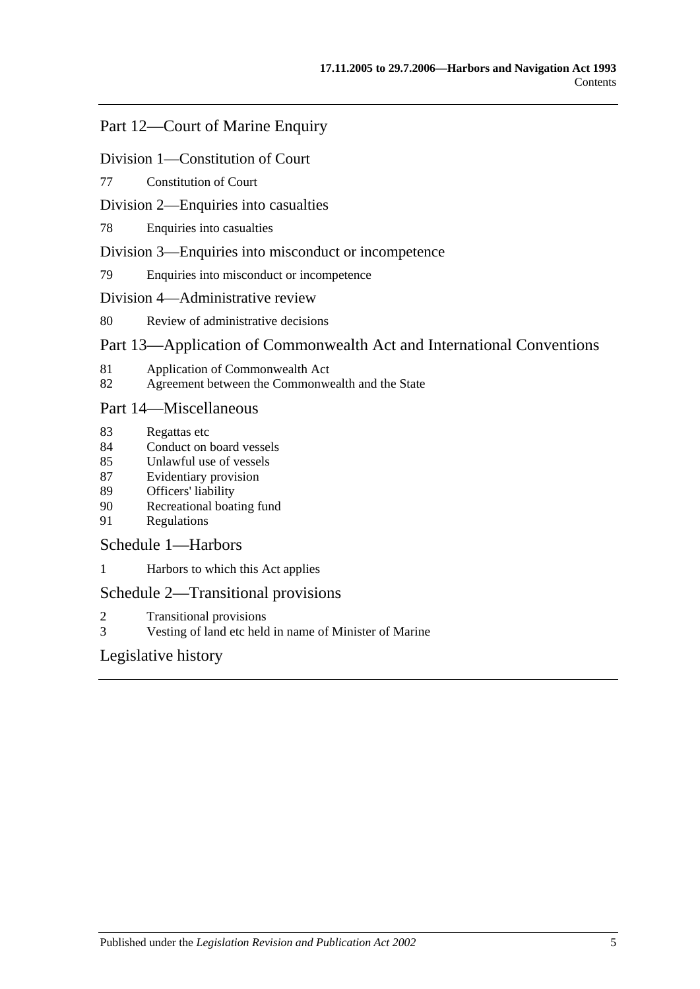# [Part 12—Court of Marine Enquiry](#page-62-0)

#### [Division 1—Constitution of Court](#page-62-1)

77 [Constitution of Court](#page-62-2)

#### [Division 2—Enquiries into casualties](#page-62-3)

78 [Enquiries into casualties](#page-62-4)

#### [Division 3—Enquiries into misconduct or incompetence](#page-62-5)

79 [Enquiries into misconduct or incompetence](#page-62-6)

#### [Division 4—Administrative review](#page-63-0)

80 [Review of administrative decisions](#page-63-1)

# [Part 13—Application of Commonwealth Act and International Conventions](#page-64-0)

- 81 [Application of Commonwealth Act](#page-64-1)
- 82 [Agreement between the Commonwealth and the State](#page-64-2)

#### [Part 14—Miscellaneous](#page-66-0)

- 83 [Regattas etc](#page-66-1)
- 84 [Conduct on board vessels](#page-66-2)
- 85 [Unlawful use of vessels](#page-66-3)
- 87 [Evidentiary provision](#page-66-4)
- 89 [Officers' liability](#page-67-0)
- 90 [Recreational boating fund](#page-68-0)
- 91 [Regulations](#page-68-1)

## [Schedule 1—Harbors](#page-72-0)

1 [Harbors to which this Act applies](#page-72-1)

## [Schedule 2—Transitional provisions](#page-73-0)

- 2 [Transitional provisions](#page-73-1)
- 3 [Vesting of land etc held in name of Minister of Marine](#page-73-2)

# [Legislative history](#page-76-0)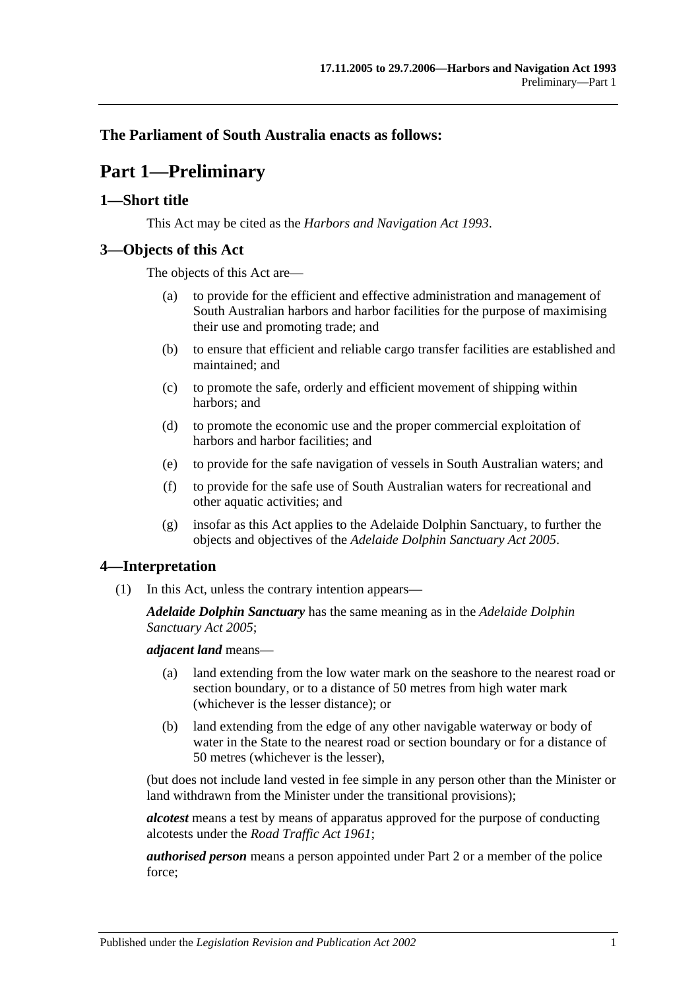## <span id="page-6-0"></span>**The Parliament of South Australia enacts as follows:**

# **Part 1—Preliminary**

## <span id="page-6-1"></span>**1—Short title**

This Act may be cited as the *Harbors and Navigation Act 1993*.

## <span id="page-6-2"></span>**3—Objects of this Act**

The objects of this Act are—

- (a) to provide for the efficient and effective administration and management of South Australian harbors and harbor facilities for the purpose of maximising their use and promoting trade; and
- (b) to ensure that efficient and reliable cargo transfer facilities are established and maintained; and
- (c) to promote the safe, orderly and efficient movement of shipping within harbors; and
- (d) to promote the economic use and the proper commercial exploitation of harbors and harbor facilities; and
- (e) to provide for the safe navigation of vessels in South Australian waters; and
- (f) to provide for the safe use of South Australian waters for recreational and other aquatic activities; and
- (g) insofar as this Act applies to the Adelaide Dolphin Sanctuary, to further the objects and objectives of the *[Adelaide Dolphin Sanctuary Act](http://www.legislation.sa.gov.au/index.aspx?action=legref&type=act&legtitle=Adelaide%20Dolphin%20Sanctuary%20Act%202005) 2005*.

## <span id="page-6-3"></span>**4—Interpretation**

(1) In this Act, unless the contrary intention appears—

*Adelaide Dolphin Sanctuary* has the same meaning as in the *[Adelaide Dolphin](http://www.legislation.sa.gov.au/index.aspx?action=legref&type=act&legtitle=Adelaide%20Dolphin%20Sanctuary%20Act%202005)  [Sanctuary Act](http://www.legislation.sa.gov.au/index.aspx?action=legref&type=act&legtitle=Adelaide%20Dolphin%20Sanctuary%20Act%202005) 2005*;

*adjacent land* means—

- (a) land extending from the low water mark on the seashore to the nearest road or section boundary, or to a distance of 50 metres from high water mark (whichever is the lesser distance); or
- (b) land extending from the edge of any other navigable waterway or body of water in the State to the nearest road or section boundary or for a distance of 50 metres (whichever is the lesser),

(but does not include land vested in fee simple in any person other than the Minister or land withdrawn from the Minister under the transitional provisions);

*alcotest* means a test by means of apparatus approved for the purpose of conducting alcotests under the *[Road Traffic Act](http://www.legislation.sa.gov.au/index.aspx?action=legref&type=act&legtitle=Road%20Traffic%20Act%201961) 1961*;

*authorised person* means a person appointed under [Part 2](#page-10-0) or a member of the police force;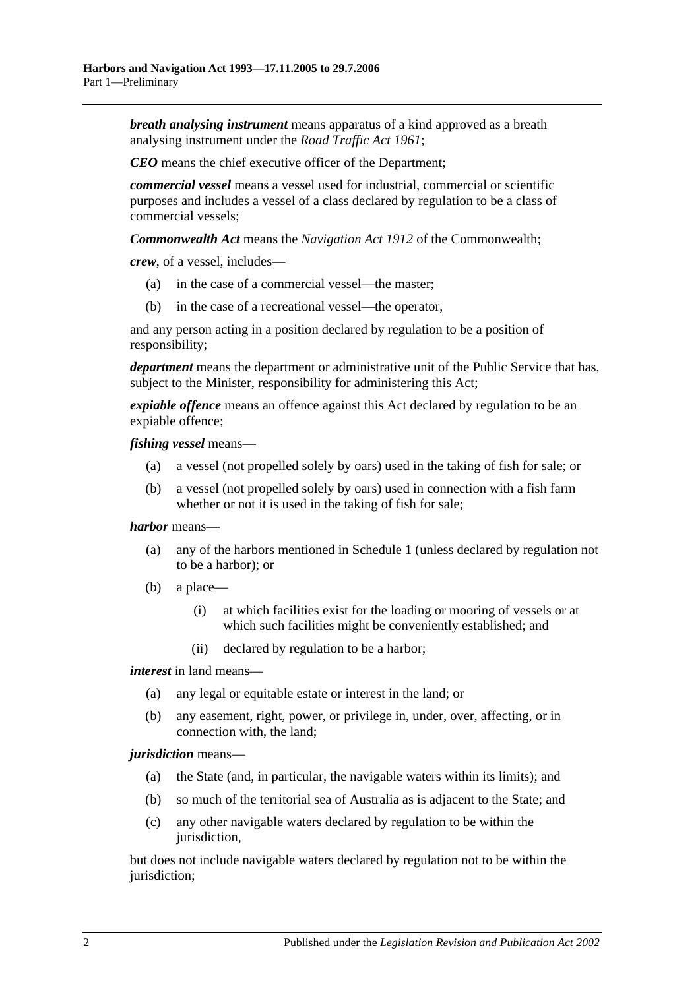*breath analysing instrument* means apparatus of a kind approved as a breath analysing instrument under the *[Road Traffic Act](http://www.legislation.sa.gov.au/index.aspx?action=legref&type=act&legtitle=Road%20Traffic%20Act%201961) 1961*;

*CEO* means the chief executive officer of the Department;

*commercial vessel* means a vessel used for industrial, commercial or scientific purposes and includes a vessel of a class declared by regulation to be a class of commercial vessels;

*Commonwealth Act* means the *Navigation Act 1912* of the Commonwealth;

*crew*, of a vessel, includes—

- (a) in the case of a commercial vessel—the master;
- (b) in the case of a recreational vessel—the operator,

and any person acting in a position declared by regulation to be a position of responsibility;

*department* means the department or administrative unit of the Public Service that has, subject to the Minister, responsibility for administering this Act;

*expiable offence* means an offence against this Act declared by regulation to be an expiable offence;

*fishing vessel* means—

- (a) a vessel (not propelled solely by oars) used in the taking of fish for sale; or
- (b) a vessel (not propelled solely by oars) used in connection with a fish farm whether or not it is used in the taking of fish for sale;

#### *harbor* means—

- (a) any of the harbors mentioned in [Schedule 1](#page-72-0) (unless declared by regulation not to be a harbor); or
- (b) a place—
	- (i) at which facilities exist for the loading or mooring of vessels or at which such facilities might be conveniently established; and
	- (ii) declared by regulation to be a harbor;

*interest* in land means—

- (a) any legal or equitable estate or interest in the land; or
- (b) any easement, right, power, or privilege in, under, over, affecting, or in connection with, the land;

#### *jurisdiction* means—

- (a) the State (and, in particular, the navigable waters within its limits); and
- (b) so much of the territorial sea of Australia as is adjacent to the State; and
- (c) any other navigable waters declared by regulation to be within the jurisdiction,

but does not include navigable waters declared by regulation not to be within the jurisdiction;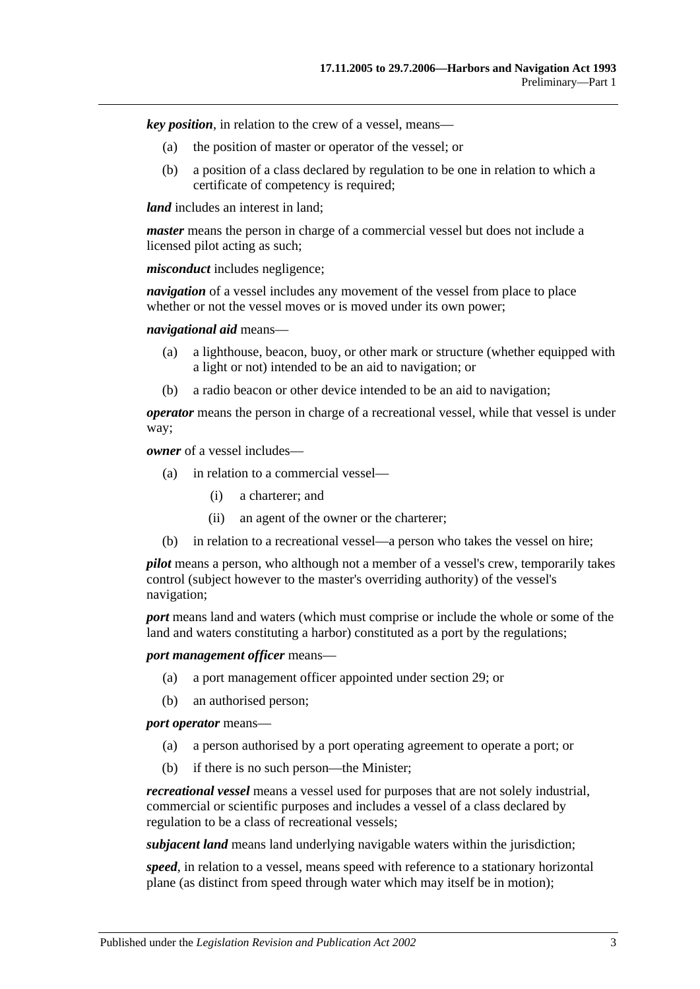*key position*, in relation to the crew of a vessel, means—

- (a) the position of master or operator of the vessel; or
- (b) a position of a class declared by regulation to be one in relation to which a certificate of competency is required;

*land* includes an interest in land:

*master* means the person in charge of a commercial vessel but does not include a licensed pilot acting as such;

*misconduct* includes negligence;

*navigation* of a vessel includes any movement of the vessel from place to place whether or not the vessel moves or is moved under its own power:

*navigational aid* means—

- (a) a lighthouse, beacon, buoy, or other mark or structure (whether equipped with a light or not) intended to be an aid to navigation; or
- (b) a radio beacon or other device intended to be an aid to navigation;

*operator* means the person in charge of a recreational vessel, while that vessel is under way;

*owner* of a vessel includes—

- (a) in relation to a commercial vessel—
	- (i) a charterer; and
	- (ii) an agent of the owner or the charterer;
- (b) in relation to a recreational vessel—a person who takes the vessel on hire;

*pilot* means a person, who although not a member of a vessel's crew, temporarily takes control (subject however to the master's overriding authority) of the vessel's navigation;

*port* means land and waters (which must comprise or include the whole or some of the land and waters constituting a harbor) constituted as a port by the regulations;

*port management officer* means—

- (a) a port management officer appointed under [section](#page-25-1) 29; or
- (b) an authorised person;

*port operator* means—

- (a) a person authorised by a port operating agreement to operate a port; or
- (b) if there is no such person—the Minister;

*recreational vessel* means a vessel used for purposes that are not solely industrial, commercial or scientific purposes and includes a vessel of a class declared by regulation to be a class of recreational vessels;

*subjacent land* means land underlying navigable waters within the jurisdiction;

*speed*, in relation to a vessel, means speed with reference to a stationary horizontal plane (as distinct from speed through water which may itself be in motion);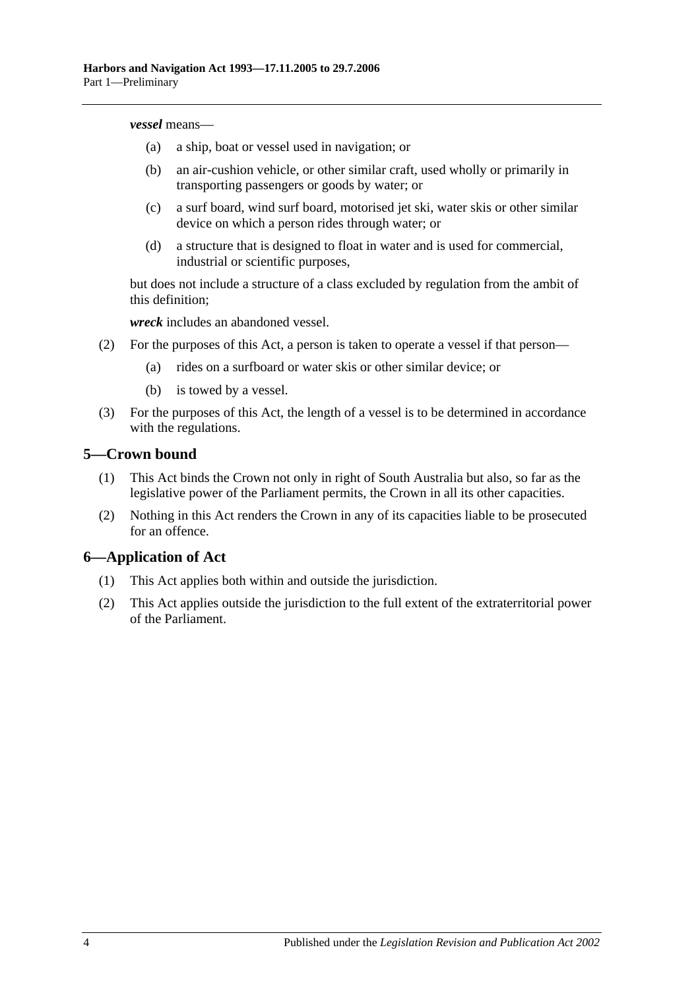#### *vessel* means—

- (a) a ship, boat or vessel used in navigation; or
- (b) an air-cushion vehicle, or other similar craft, used wholly or primarily in transporting passengers or goods by water; or
- (c) a surf board, wind surf board, motorised jet ski, water skis or other similar device on which a person rides through water; or
- (d) a structure that is designed to float in water and is used for commercial, industrial or scientific purposes,

but does not include a structure of a class excluded by regulation from the ambit of this definition;

*wreck* includes an abandoned vessel.

- (2) For the purposes of this Act, a person is taken to operate a vessel if that person—
	- (a) rides on a surfboard or water skis or other similar device; or
	- (b) is towed by a vessel.
- (3) For the purposes of this Act, the length of a vessel is to be determined in accordance with the regulations.

#### <span id="page-9-0"></span>**5—Crown bound**

- (1) This Act binds the Crown not only in right of South Australia but also, so far as the legislative power of the Parliament permits, the Crown in all its other capacities.
- (2) Nothing in this Act renders the Crown in any of its capacities liable to be prosecuted for an offence.

## <span id="page-9-1"></span>**6—Application of Act**

- (1) This Act applies both within and outside the jurisdiction.
- (2) This Act applies outside the jurisdiction to the full extent of the extraterritorial power of the Parliament.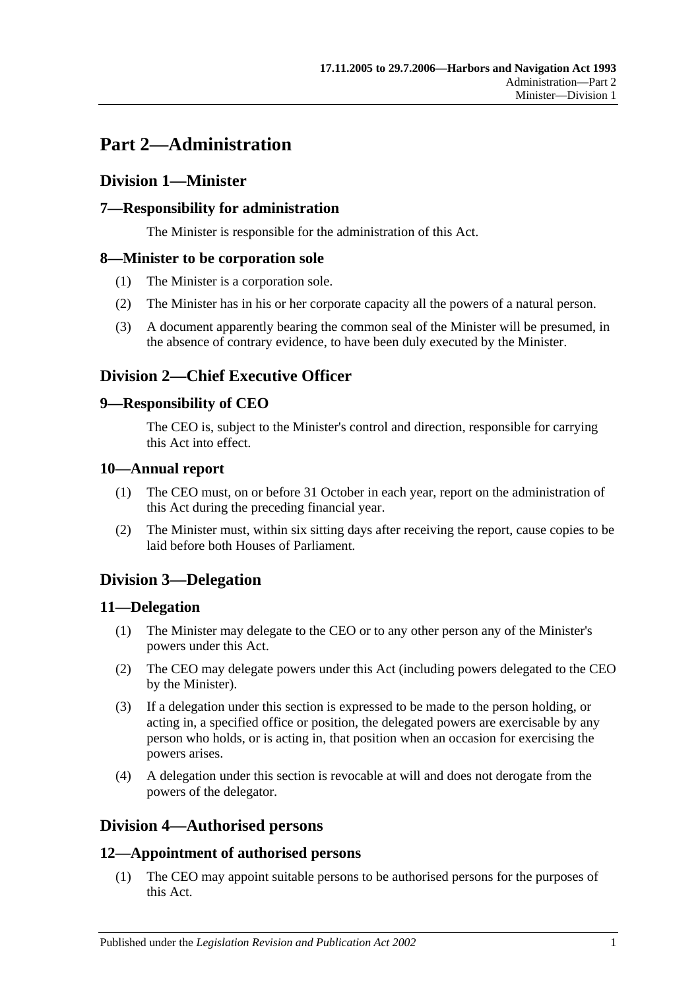# <span id="page-10-0"></span>**Part 2—Administration**

# <span id="page-10-1"></span>**Division 1—Minister**

# <span id="page-10-2"></span>**7—Responsibility for administration**

The Minister is responsible for the administration of this Act.

## <span id="page-10-3"></span>**8—Minister to be corporation sole**

- (1) The Minister is a corporation sole.
- (2) The Minister has in his or her corporate capacity all the powers of a natural person.
- (3) A document apparently bearing the common seal of the Minister will be presumed, in the absence of contrary evidence, to have been duly executed by the Minister.

# <span id="page-10-4"></span>**Division 2—Chief Executive Officer**

## <span id="page-10-5"></span>**9—Responsibility of CEO**

The CEO is, subject to the Minister's control and direction, responsible for carrying this Act into effect.

## <span id="page-10-6"></span>**10—Annual report**

- (1) The CEO must, on or before 31 October in each year, report on the administration of this Act during the preceding financial year.
- (2) The Minister must, within six sitting days after receiving the report, cause copies to be laid before both Houses of Parliament.

# <span id="page-10-7"></span>**Division 3—Delegation**

## <span id="page-10-8"></span>**11—Delegation**

- (1) The Minister may delegate to the CEO or to any other person any of the Minister's powers under this Act.
- (2) The CEO may delegate powers under this Act (including powers delegated to the CEO by the Minister).
- (3) If a delegation under this section is expressed to be made to the person holding, or acting in, a specified office or position, the delegated powers are exercisable by any person who holds, or is acting in, that position when an occasion for exercising the powers arises.
- (4) A delegation under this section is revocable at will and does not derogate from the powers of the delegator.

# <span id="page-10-9"></span>**Division 4—Authorised persons**

# <span id="page-10-10"></span>**12—Appointment of authorised persons**

(1) The CEO may appoint suitable persons to be authorised persons for the purposes of this Act.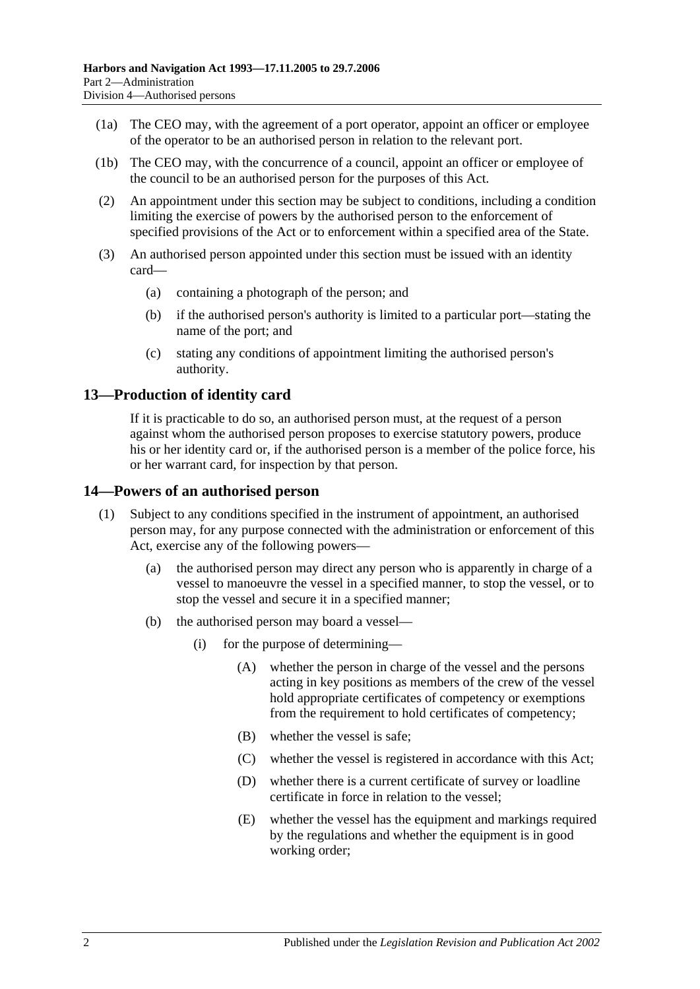- (1a) The CEO may, with the agreement of a port operator, appoint an officer or employee of the operator to be an authorised person in relation to the relevant port.
- (1b) The CEO may, with the concurrence of a council, appoint an officer or employee of the council to be an authorised person for the purposes of this Act.
- (2) An appointment under this section may be subject to conditions, including a condition limiting the exercise of powers by the authorised person to the enforcement of specified provisions of the Act or to enforcement within a specified area of the State.
- (3) An authorised person appointed under this section must be issued with an identity card—
	- (a) containing a photograph of the person; and
	- (b) if the authorised person's authority is limited to a particular port—stating the name of the port; and
	- (c) stating any conditions of appointment limiting the authorised person's authority.

## <span id="page-11-0"></span>**13—Production of identity card**

If it is practicable to do so, an authorised person must, at the request of a person against whom the authorised person proposes to exercise statutory powers, produce his or her identity card or, if the authorised person is a member of the police force, his or her warrant card, for inspection by that person.

#### <span id="page-11-1"></span>**14—Powers of an authorised person**

- (1) Subject to any conditions specified in the instrument of appointment, an authorised person may, for any purpose connected with the administration or enforcement of this Act, exercise any of the following powers—
	- (a) the authorised person may direct any person who is apparently in charge of a vessel to manoeuvre the vessel in a specified manner, to stop the vessel, or to stop the vessel and secure it in a specified manner;
	- (b) the authorised person may board a vessel—
		- (i) for the purpose of determining—
			- (A) whether the person in charge of the vessel and the persons acting in key positions as members of the crew of the vessel hold appropriate certificates of competency or exemptions from the requirement to hold certificates of competency;
			- (B) whether the vessel is safe;
			- (C) whether the vessel is registered in accordance with this Act;
			- (D) whether there is a current certificate of survey or loadline certificate in force in relation to the vessel;
			- (E) whether the vessel has the equipment and markings required by the regulations and whether the equipment is in good working order;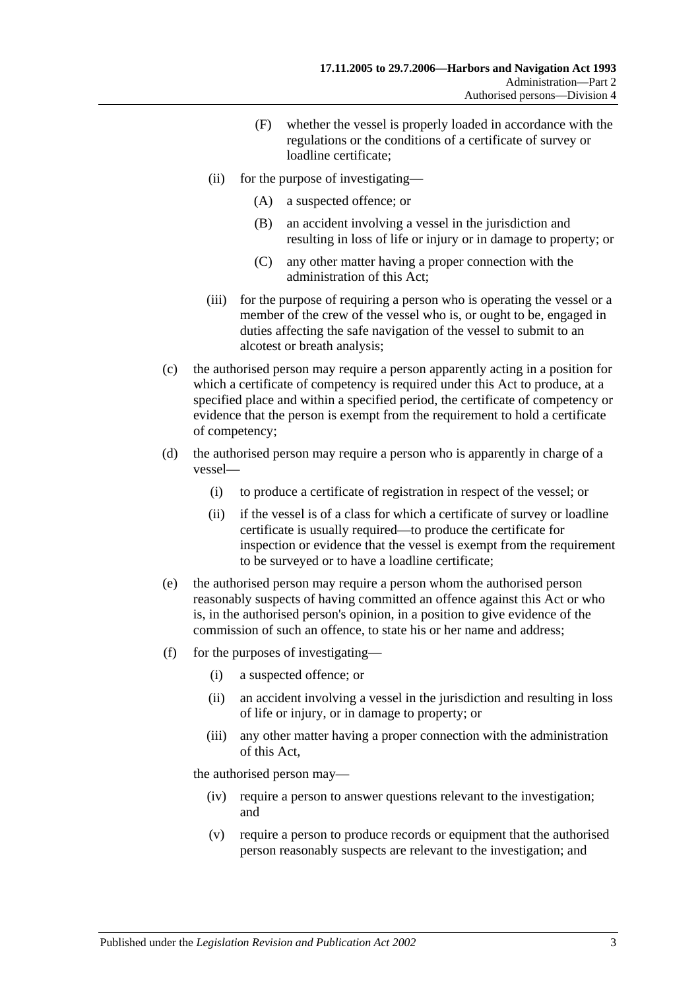- (F) whether the vessel is properly loaded in accordance with the regulations or the conditions of a certificate of survey or loadline certificate;
- (ii) for the purpose of investigating—
	- (A) a suspected offence; or
	- (B) an accident involving a vessel in the jurisdiction and resulting in loss of life or injury or in damage to property; or
	- (C) any other matter having a proper connection with the administration of this Act;
- (iii) for the purpose of requiring a person who is operating the vessel or a member of the crew of the vessel who is, or ought to be, engaged in duties affecting the safe navigation of the vessel to submit to an alcotest or breath analysis;
- (c) the authorised person may require a person apparently acting in a position for which a certificate of competency is required under this Act to produce, at a specified place and within a specified period, the certificate of competency or evidence that the person is exempt from the requirement to hold a certificate of competency;
- (d) the authorised person may require a person who is apparently in charge of a vessel—
	- (i) to produce a certificate of registration in respect of the vessel; or
	- (ii) if the vessel is of a class for which a certificate of survey or loadline certificate is usually required—to produce the certificate for inspection or evidence that the vessel is exempt from the requirement to be surveyed or to have a loadline certificate;
- (e) the authorised person may require a person whom the authorised person reasonably suspects of having committed an offence against this Act or who is, in the authorised person's opinion, in a position to give evidence of the commission of such an offence, to state his or her name and address;
- (f) for the purposes of investigating—
	- (i) a suspected offence; or
	- (ii) an accident involving a vessel in the jurisdiction and resulting in loss of life or injury, or in damage to property; or
	- (iii) any other matter having a proper connection with the administration of this Act,

the authorised person may—

- (iv) require a person to answer questions relevant to the investigation; and
- (v) require a person to produce records or equipment that the authorised person reasonably suspects are relevant to the investigation; and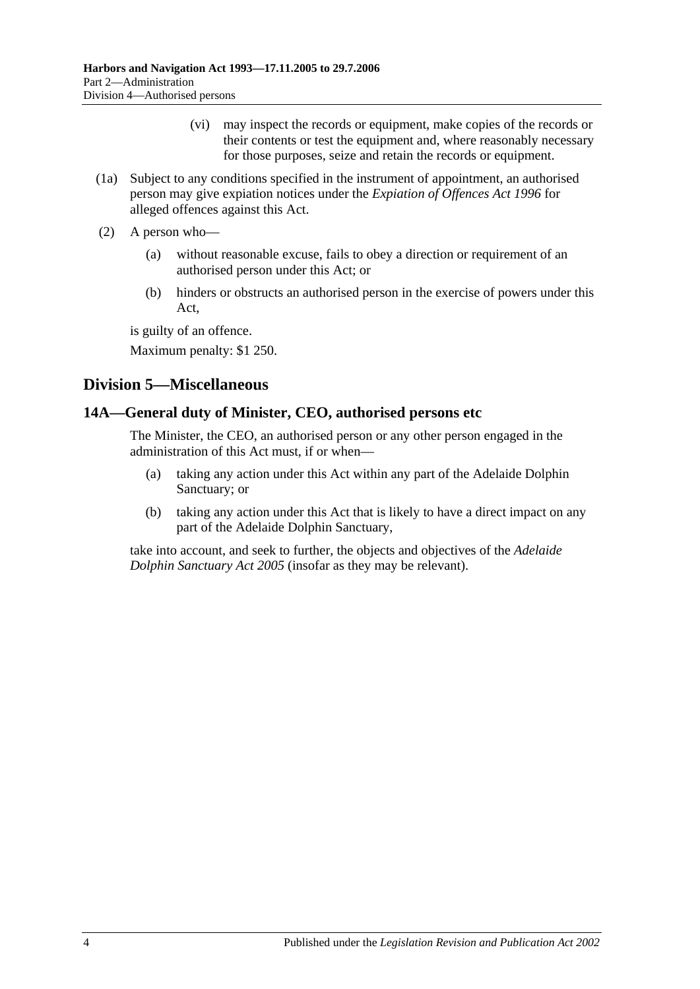- (vi) may inspect the records or equipment, make copies of the records or their contents or test the equipment and, where reasonably necessary for those purposes, seize and retain the records or equipment.
- (1a) Subject to any conditions specified in the instrument of appointment, an authorised person may give expiation notices under the *[Expiation of Offences Act](http://www.legislation.sa.gov.au/index.aspx?action=legref&type=act&legtitle=Expiation%20of%20Offences%20Act%201996) 1996* for alleged offences against this Act.
- (2) A person who—
	- (a) without reasonable excuse, fails to obey a direction or requirement of an authorised person under this Act; or
	- (b) hinders or obstructs an authorised person in the exercise of powers under this Act,

is guilty of an offence.

Maximum penalty: \$1 250.

# <span id="page-13-0"></span>**Division 5—Miscellaneous**

## <span id="page-13-1"></span>**14A—General duty of Minister, CEO, authorised persons etc**

The Minister, the CEO, an authorised person or any other person engaged in the administration of this Act must, if or when—

- (a) taking any action under this Act within any part of the Adelaide Dolphin Sanctuary; or
- (b) taking any action under this Act that is likely to have a direct impact on any part of the Adelaide Dolphin Sanctuary,

take into account, and seek to further, the objects and objectives of the *[Adelaide](http://www.legislation.sa.gov.au/index.aspx?action=legref&type=act&legtitle=Adelaide%20Dolphin%20Sanctuary%20Act%202005)  [Dolphin Sanctuary Act](http://www.legislation.sa.gov.au/index.aspx?action=legref&type=act&legtitle=Adelaide%20Dolphin%20Sanctuary%20Act%202005) 2005* (insofar as they may be relevant).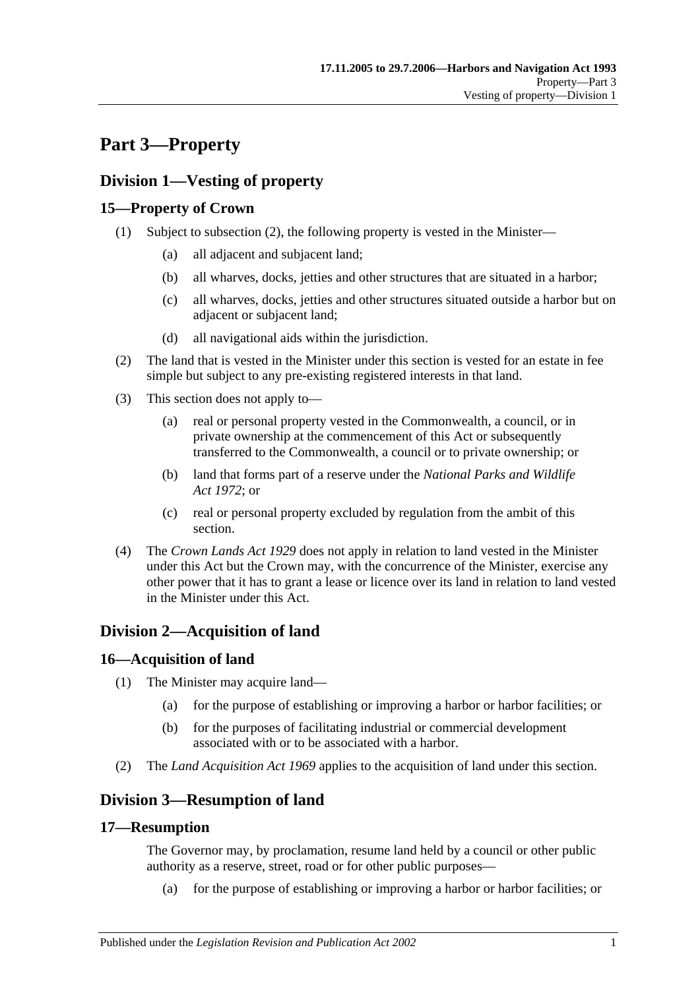# <span id="page-14-0"></span>**Part 3—Property**

# <span id="page-14-1"></span>**Division 1—Vesting of property**

# <span id="page-14-2"></span>**15—Property of Crown**

- (1) Subject to [subsection](#page-14-7) (2), the following property is vested in the Minister—
	- (a) all adjacent and subjacent land;
	- (b) all wharves, docks, jetties and other structures that are situated in a harbor;
	- (c) all wharves, docks, jetties and other structures situated outside a harbor but on adjacent or subjacent land;
	- (d) all navigational aids within the jurisdiction.
- <span id="page-14-7"></span>(2) The land that is vested in the Minister under this section is vested for an estate in fee simple but subject to any pre-existing registered interests in that land.
- (3) This section does not apply to—
	- (a) real or personal property vested in the Commonwealth, a council, or in private ownership at the commencement of this Act or subsequently transferred to the Commonwealth, a council or to private ownership; or
	- (b) land that forms part of a reserve under the *[National Parks and Wildlife](http://www.legislation.sa.gov.au/index.aspx?action=legref&type=act&legtitle=National%20Parks%20and%20Wildlife%20Act%201972)  Act [1972](http://www.legislation.sa.gov.au/index.aspx?action=legref&type=act&legtitle=National%20Parks%20and%20Wildlife%20Act%201972)*; or
	- (c) real or personal property excluded by regulation from the ambit of this section.
- (4) The *[Crown Lands Act](http://www.legislation.sa.gov.au/index.aspx?action=legref&type=act&legtitle=Crown%20Lands%20Act%201929) 1929* does not apply in relation to land vested in the Minister under this Act but the Crown may, with the concurrence of the Minister, exercise any other power that it has to grant a lease or licence over its land in relation to land vested in the Minister under this Act.

# <span id="page-14-3"></span>**Division 2—Acquisition of land**

# <span id="page-14-4"></span>**16—Acquisition of land**

- (1) The Minister may acquire land—
	- (a) for the purpose of establishing or improving a harbor or harbor facilities; or
	- (b) for the purposes of facilitating industrial or commercial development associated with or to be associated with a harbor.
- (2) The *[Land Acquisition Act](http://www.legislation.sa.gov.au/index.aspx?action=legref&type=act&legtitle=Land%20Acquisition%20Act%201969) 1969* applies to the acquisition of land under this section.

# <span id="page-14-5"></span>**Division 3—Resumption of land**

## <span id="page-14-6"></span>**17—Resumption**

The Governor may, by proclamation, resume land held by a council or other public authority as a reserve, street, road or for other public purposes—

(a) for the purpose of establishing or improving a harbor or harbor facilities; or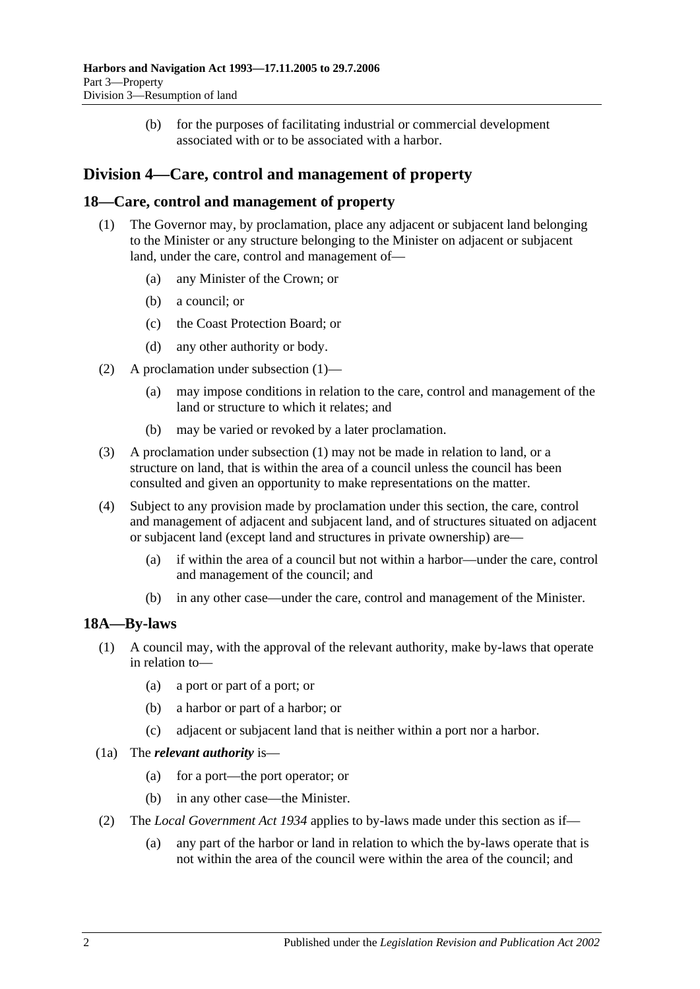(b) for the purposes of facilitating industrial or commercial development associated with or to be associated with a harbor.

# <span id="page-15-0"></span>**Division 4—Care, control and management of property**

#### <span id="page-15-3"></span><span id="page-15-1"></span>**18—Care, control and management of property**

- (1) The Governor may, by proclamation, place any adjacent or subjacent land belonging to the Minister or any structure belonging to the Minister on adjacent or subjacent land, under the care, control and management of—
	- (a) any Minister of the Crown; or
	- (b) a council; or
	- (c) the Coast Protection Board; or
	- (d) any other authority or body.
- (2) A proclamation under [subsection](#page-15-3) (1)—
	- (a) may impose conditions in relation to the care, control and management of the land or structure to which it relates; and
	- (b) may be varied or revoked by a later proclamation.
- (3) A proclamation under [subsection](#page-15-3) (1) may not be made in relation to land, or a structure on land, that is within the area of a council unless the council has been consulted and given an opportunity to make representations on the matter.
- (4) Subject to any provision made by proclamation under this section, the care, control and management of adjacent and subjacent land, and of structures situated on adjacent or subjacent land (except land and structures in private ownership) are—
	- (a) if within the area of a council but not within a harbor—under the care, control and management of the council; and
	- (b) in any other case—under the care, control and management of the Minister.

#### <span id="page-15-2"></span>**18A—By-laws**

- (1) A council may, with the approval of the relevant authority, make by-laws that operate in relation to—
	- (a) a port or part of a port; or
	- (b) a harbor or part of a harbor; or
	- (c) adjacent or subjacent land that is neither within a port nor a harbor.
- (1a) The *relevant authority* is—
	- (a) for a port—the port operator; or
	- (b) in any other case—the Minister.
- (2) The *[Local Government Act](http://www.legislation.sa.gov.au/index.aspx?action=legref&type=act&legtitle=Local%20Government%20Act%201934) 1934* applies to by-laws made under this section as if—
	- (a) any part of the harbor or land in relation to which the by-laws operate that is not within the area of the council were within the area of the council; and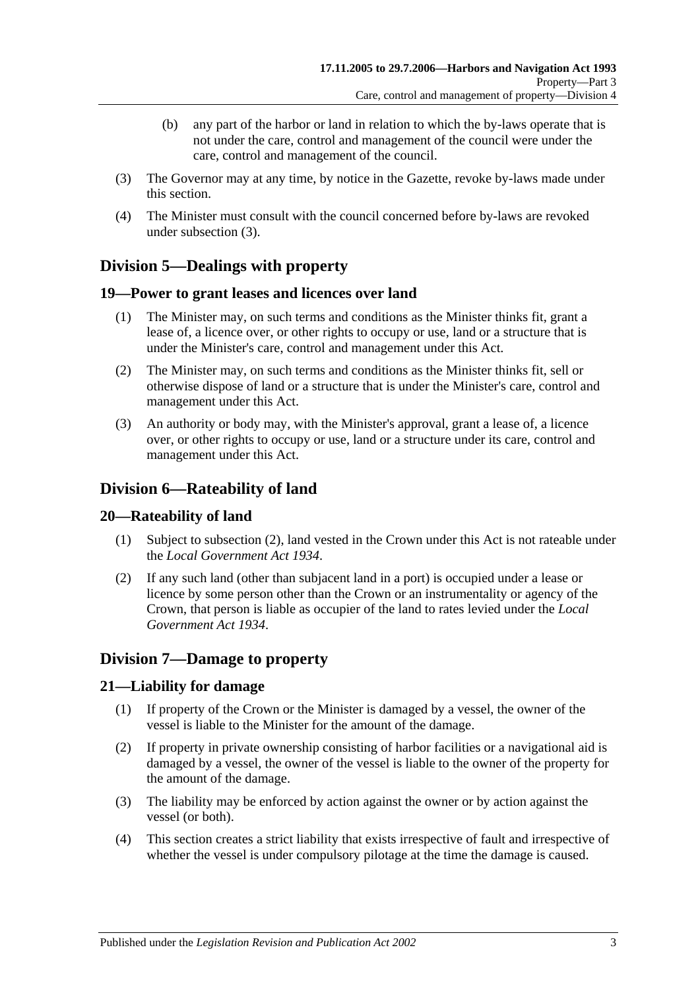- (b) any part of the harbor or land in relation to which the by-laws operate that is not under the care, control and management of the council were under the care, control and management of the council.
- <span id="page-16-6"></span>(3) The Governor may at any time, by notice in the Gazette, revoke by-laws made under this section.
- (4) The Minister must consult with the council concerned before by-laws are revoked under [subsection](#page-16-6) (3).

# <span id="page-16-0"></span>**Division 5—Dealings with property**

## <span id="page-16-1"></span>**19—Power to grant leases and licences over land**

- (1) The Minister may, on such terms and conditions as the Minister thinks fit, grant a lease of, a licence over, or other rights to occupy or use, land or a structure that is under the Minister's care, control and management under this Act.
- (2) The Minister may, on such terms and conditions as the Minister thinks fit, sell or otherwise dispose of land or a structure that is under the Minister's care, control and management under this Act.
- (3) An authority or body may, with the Minister's approval, grant a lease of, a licence over, or other rights to occupy or use, land or a structure under its care, control and management under this Act.

# <span id="page-16-2"></span>**Division 6—Rateability of land**

## <span id="page-16-3"></span>**20—Rateability of land**

- (1) Subject to [subsection](#page-16-7) (2), land vested in the Crown under this Act is not rateable under the *[Local Government Act](http://www.legislation.sa.gov.au/index.aspx?action=legref&type=act&legtitle=Local%20Government%20Act%201934) 1934*.
- <span id="page-16-7"></span>(2) If any such land (other than subjacent land in a port) is occupied under a lease or licence by some person other than the Crown or an instrumentality or agency of the Crown, that person is liable as occupier of the land to rates levied under the *[Local](http://www.legislation.sa.gov.au/index.aspx?action=legref&type=act&legtitle=Local%20Government%20Act%201934)  [Government Act](http://www.legislation.sa.gov.au/index.aspx?action=legref&type=act&legtitle=Local%20Government%20Act%201934) 1934*.

# <span id="page-16-4"></span>**Division 7—Damage to property**

## <span id="page-16-5"></span>**21—Liability for damage**

- (1) If property of the Crown or the Minister is damaged by a vessel, the owner of the vessel is liable to the Minister for the amount of the damage.
- (2) If property in private ownership consisting of harbor facilities or a navigational aid is damaged by a vessel, the owner of the vessel is liable to the owner of the property for the amount of the damage.
- (3) The liability may be enforced by action against the owner or by action against the vessel (or both).
- (4) This section creates a strict liability that exists irrespective of fault and irrespective of whether the vessel is under compulsory pilotage at the time the damage is caused.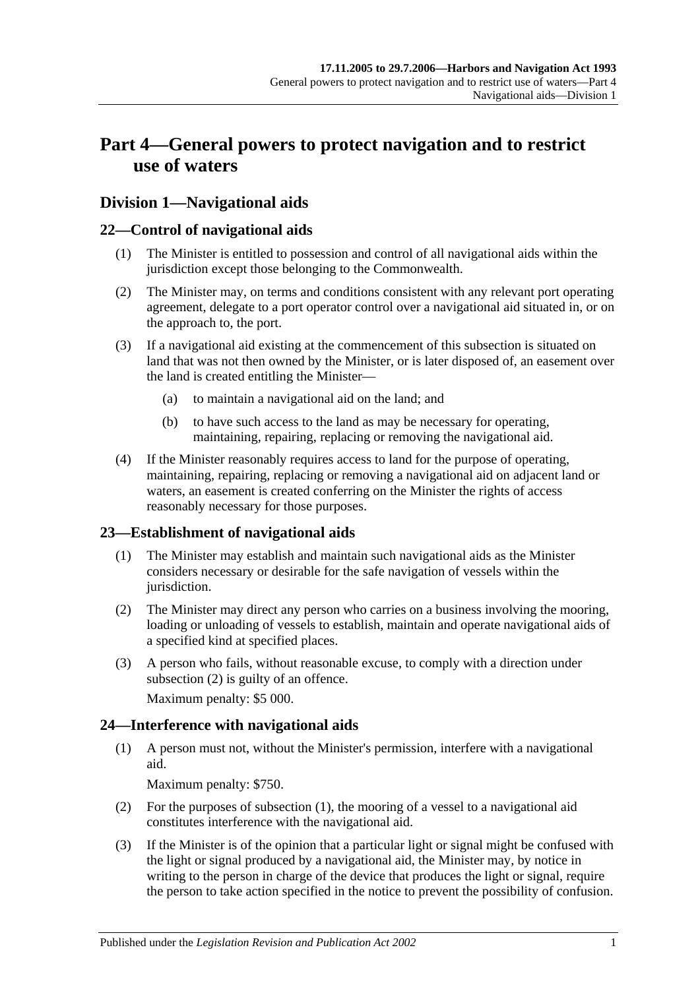# <span id="page-18-0"></span>**Part 4—General powers to protect navigation and to restrict use of waters**

# <span id="page-18-1"></span>**Division 1—Navigational aids**

## <span id="page-18-2"></span>**22—Control of navigational aids**

- (1) The Minister is entitled to possession and control of all navigational aids within the jurisdiction except those belonging to the Commonwealth.
- (2) The Minister may, on terms and conditions consistent with any relevant port operating agreement, delegate to a port operator control over a navigational aid situated in, or on the approach to, the port.
- (3) If a navigational aid existing at the commencement of this subsection is situated on land that was not then owned by the Minister, or is later disposed of, an easement over the land is created entitling the Minister—
	- (a) to maintain a navigational aid on the land; and
	- (b) to have such access to the land as may be necessary for operating, maintaining, repairing, replacing or removing the navigational aid.
- (4) If the Minister reasonably requires access to land for the purpose of operating, maintaining, repairing, replacing or removing a navigational aid on adjacent land or waters, an easement is created conferring on the Minister the rights of access reasonably necessary for those purposes.

## <span id="page-18-3"></span>**23—Establishment of navigational aids**

- (1) The Minister may establish and maintain such navigational aids as the Minister considers necessary or desirable for the safe navigation of vessels within the jurisdiction.
- <span id="page-18-5"></span>(2) The Minister may direct any person who carries on a business involving the mooring, loading or unloading of vessels to establish, maintain and operate navigational aids of a specified kind at specified places.
- (3) A person who fails, without reasonable excuse, to comply with a direction under [subsection](#page-18-5) (2) is guilty of an offence.

Maximum penalty: \$5 000.

# <span id="page-18-6"></span><span id="page-18-4"></span>**24—Interference with navigational aids**

(1) A person must not, without the Minister's permission, interfere with a navigational aid.

Maximum penalty: \$750.

- (2) For the purposes of [subsection](#page-18-6) (1), the mooring of a vessel to a navigational aid constitutes interference with the navigational aid.
- <span id="page-18-7"></span>(3) If the Minister is of the opinion that a particular light or signal might be confused with the light or signal produced by a navigational aid, the Minister may, by notice in writing to the person in charge of the device that produces the light or signal, require the person to take action specified in the notice to prevent the possibility of confusion.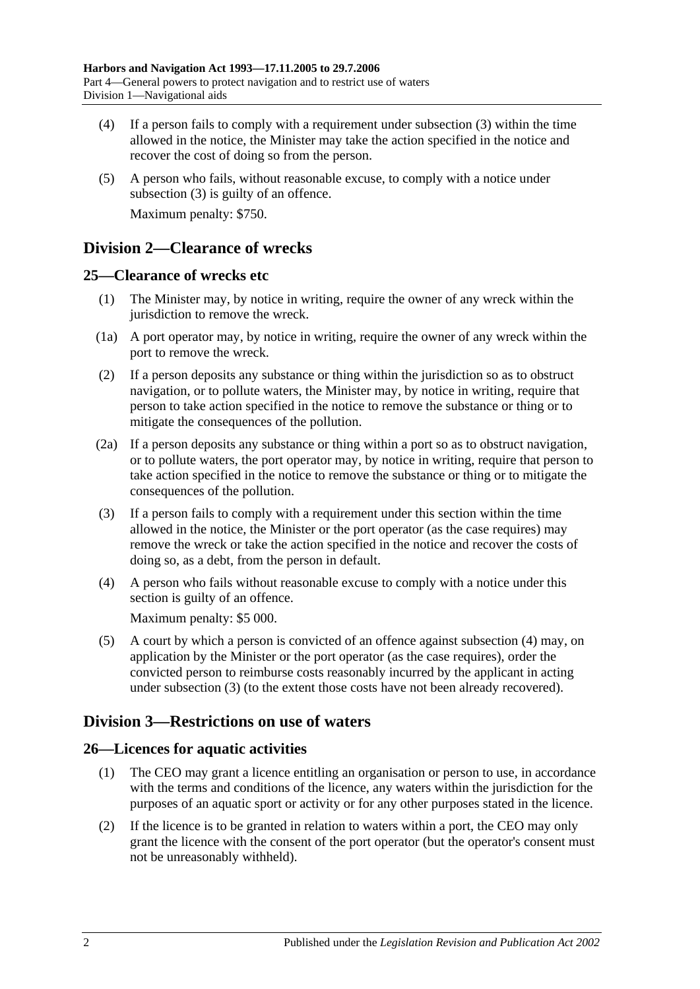- (4) If a person fails to comply with a requirement under [subsection](#page-18-7) (3) within the time allowed in the notice, the Minister may take the action specified in the notice and recover the cost of doing so from the person.
- (5) A person who fails, without reasonable excuse, to comply with a notice under [subsection](#page-18-7) (3) is guilty of an offence. Maximum penalty: \$750.

# <span id="page-19-0"></span>**Division 2—Clearance of wrecks**

## <span id="page-19-1"></span>**25—Clearance of wrecks etc**

- (1) The Minister may, by notice in writing, require the owner of any wreck within the jurisdiction to remove the wreck.
- (1a) A port operator may, by notice in writing, require the owner of any wreck within the port to remove the wreck.
- (2) If a person deposits any substance or thing within the jurisdiction so as to obstruct navigation, or to pollute waters, the Minister may, by notice in writing, require that person to take action specified in the notice to remove the substance or thing or to mitigate the consequences of the pollution.
- (2a) If a person deposits any substance or thing within a port so as to obstruct navigation, or to pollute waters, the port operator may, by notice in writing, require that person to take action specified in the notice to remove the substance or thing or to mitigate the consequences of the pollution.
- <span id="page-19-5"></span>(3) If a person fails to comply with a requirement under this section within the time allowed in the notice, the Minister or the port operator (as the case requires) may remove the wreck or take the action specified in the notice and recover the costs of doing so, as a debt, from the person in default.
- <span id="page-19-4"></span>(4) A person who fails without reasonable excuse to comply with a notice under this section is guilty of an offence.

Maximum penalty: \$5 000.

(5) A court by which a person is convicted of an offence against [subsection](#page-19-4) (4) may, on application by the Minister or the port operator (as the case requires), order the convicted person to reimburse costs reasonably incurred by the applicant in acting under [subsection](#page-19-5) (3) (to the extent those costs have not been already recovered).

# <span id="page-19-2"></span>**Division 3—Restrictions on use of waters**

# <span id="page-19-3"></span>**26—Licences for aquatic activities**

- (1) The CEO may grant a licence entitling an organisation or person to use, in accordance with the terms and conditions of the licence, any waters within the jurisdiction for the purposes of an aquatic sport or activity or for any other purposes stated in the licence.
- (2) If the licence is to be granted in relation to waters within a port, the CEO may only grant the licence with the consent of the port operator (but the operator's consent must not be unreasonably withheld).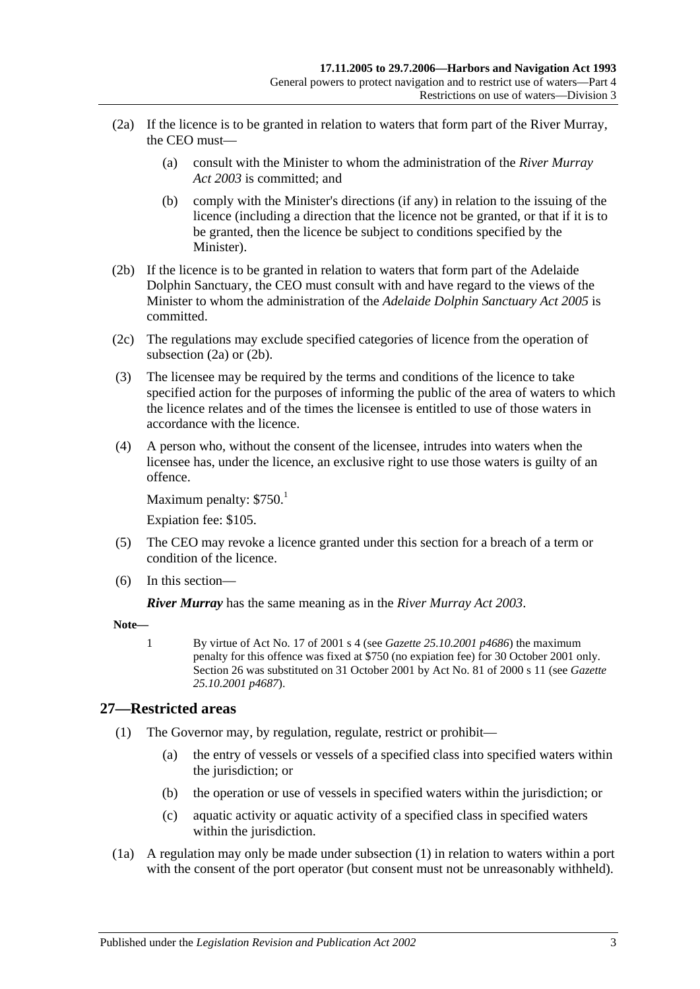- <span id="page-20-1"></span>(2a) If the licence is to be granted in relation to waters that form part of the River Murray, the CEO must—
	- (a) consult with the Minister to whom the administration of the *[River Murray](http://www.legislation.sa.gov.au/index.aspx?action=legref&type=act&legtitle=River%20Murray%20Act%202003)  Act [2003](http://www.legislation.sa.gov.au/index.aspx?action=legref&type=act&legtitle=River%20Murray%20Act%202003)* is committed; and
	- (b) comply with the Minister's directions (if any) in relation to the issuing of the licence (including a direction that the licence not be granted, or that if it is to be granted, then the licence be subject to conditions specified by the Minister).
- <span id="page-20-2"></span>(2b) If the licence is to be granted in relation to waters that form part of the Adelaide Dolphin Sanctuary, the CEO must consult with and have regard to the views of the Minister to whom the administration of the *[Adelaide Dolphin](http://www.legislation.sa.gov.au/index.aspx?action=legref&type=act&legtitle=Adelaide%20Dolphin%20Sanctuary%20Act%202005) Sanctuary Act 2005* is committed.
- (2c) The regulations may exclude specified categories of licence from the operation of [subsection](#page-20-1) (2a) or [\(2b\).](#page-20-2)
- (3) The licensee may be required by the terms and conditions of the licence to take specified action for the purposes of informing the public of the area of waters to which the licence relates and of the times the licensee is entitled to use of those waters in accordance with the licence.
- (4) A person who, without the consent of the licensee, intrudes into waters when the licensee has, under the licence, an exclusive right to use those waters is guilty of an offence.

Maximum penalty:  $$750.<sup>1</sup>$ 

Expiation fee: \$105.

- (5) The CEO may revoke a licence granted under this section for a breach of a term or condition of the licence.
- (6) In this section—

*River Murray* has the same meaning as in the *[River Murray Act](http://www.legislation.sa.gov.au/index.aspx?action=legref&type=act&legtitle=River%20Murray%20Act%202003) 2003*.

**Note—**

1 By virtue of Act No. 17 of 2001 s 4 (see *Gazette 25.10.2001 p4686*) the maximum penalty for this offence was fixed at \$750 (no expiation fee) for 30 October 2001 only. Section 26 was substituted on 31 October 2001 by Act No. 81 of 2000 s 11 (see *Gazette 25.10.2001 p4687*).

## <span id="page-20-3"></span><span id="page-20-0"></span>**27—Restricted areas**

- (1) The Governor may, by regulation, regulate, restrict or prohibit—
	- (a) the entry of vessels or vessels of a specified class into specified waters within the jurisdiction; or
	- (b) the operation or use of vessels in specified waters within the jurisdiction; or
	- (c) aquatic activity or aquatic activity of a specified class in specified waters within the jurisdiction.
- (1a) A regulation may only be made under [subsection](#page-20-3) (1) in relation to waters within a port with the consent of the port operator (but consent must not be unreasonably withheld).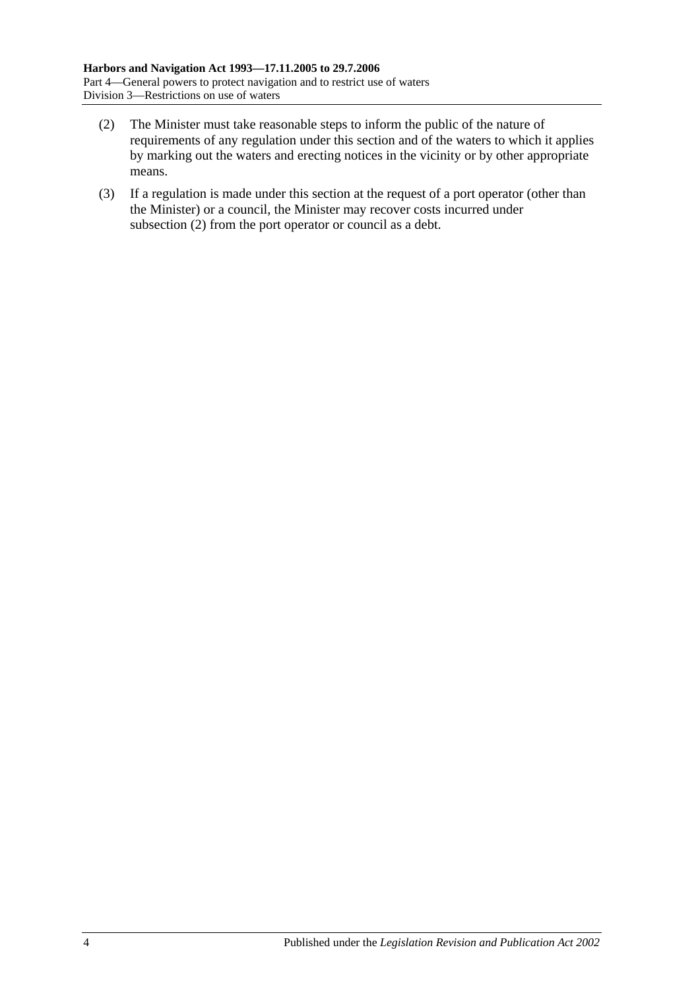- <span id="page-21-0"></span>(2) The Minister must take reasonable steps to inform the public of the nature of requirements of any regulation under this section and of the waters to which it applies by marking out the waters and erecting notices in the vicinity or by other appropriate means.
- (3) If a regulation is made under this section at the request of a port operator (other than the Minister) or a council, the Minister may recover costs incurred under [subsection](#page-21-0) (2) from the port operator or council as a debt.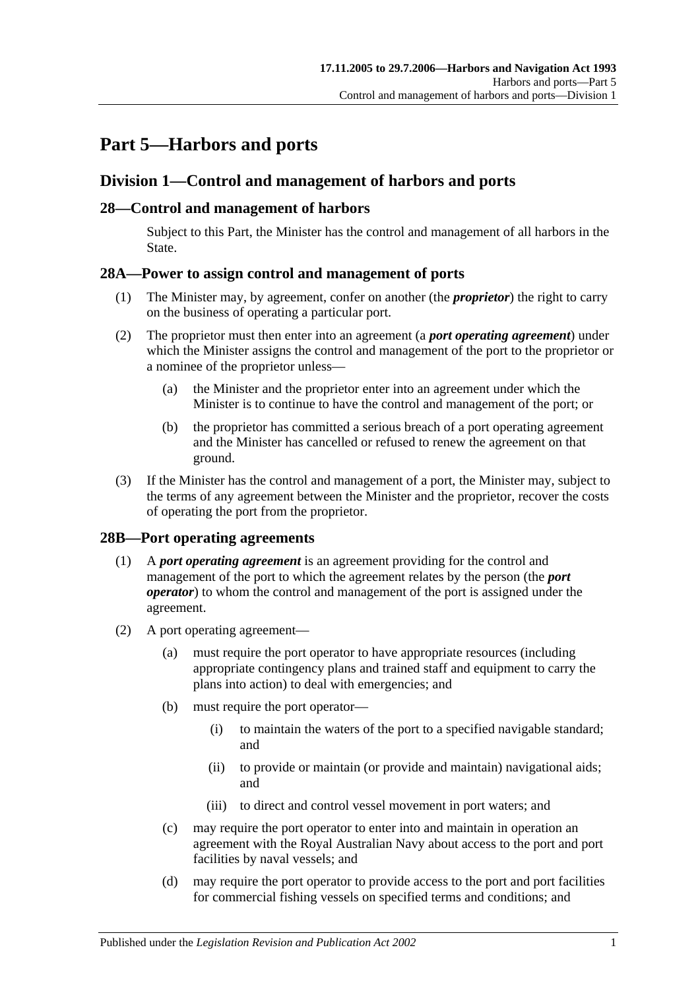# <span id="page-22-0"></span>**Part 5—Harbors and ports**

# <span id="page-22-1"></span>**Division 1—Control and management of harbors and ports**

## <span id="page-22-2"></span>**28—Control and management of harbors**

Subject to this Part, the Minister has the control and management of all harbors in the State.

## <span id="page-22-3"></span>**28A—Power to assign control and management of ports**

- (1) The Minister may, by agreement, confer on another (the *proprietor*) the right to carry on the business of operating a particular port.
- (2) The proprietor must then enter into an agreement (a *port operating agreement*) under which the Minister assigns the control and management of the port to the proprietor or a nominee of the proprietor unless—
	- (a) the Minister and the proprietor enter into an agreement under which the Minister is to continue to have the control and management of the port; or
	- (b) the proprietor has committed a serious breach of a port operating agreement and the Minister has cancelled or refused to renew the agreement on that ground.
- (3) If the Minister has the control and management of a port, the Minister may, subject to the terms of any agreement between the Minister and the proprietor, recover the costs of operating the port from the proprietor.

## <span id="page-22-4"></span>**28B—Port operating agreements**

- (1) A *port operating agreement* is an agreement providing for the control and management of the port to which the agreement relates by the person (the *port operator*) to whom the control and management of the port is assigned under the agreement.
- (2) A port operating agreement—
	- (a) must require the port operator to have appropriate resources (including appropriate contingency plans and trained staff and equipment to carry the plans into action) to deal with emergencies; and
	- (b) must require the port operator—
		- (i) to maintain the waters of the port to a specified navigable standard; and
		- (ii) to provide or maintain (or provide and maintain) navigational aids; and
		- (iii) to direct and control vessel movement in port waters; and
	- (c) may require the port operator to enter into and maintain in operation an agreement with the Royal Australian Navy about access to the port and port facilities by naval vessels; and
	- (d) may require the port operator to provide access to the port and port facilities for commercial fishing vessels on specified terms and conditions; and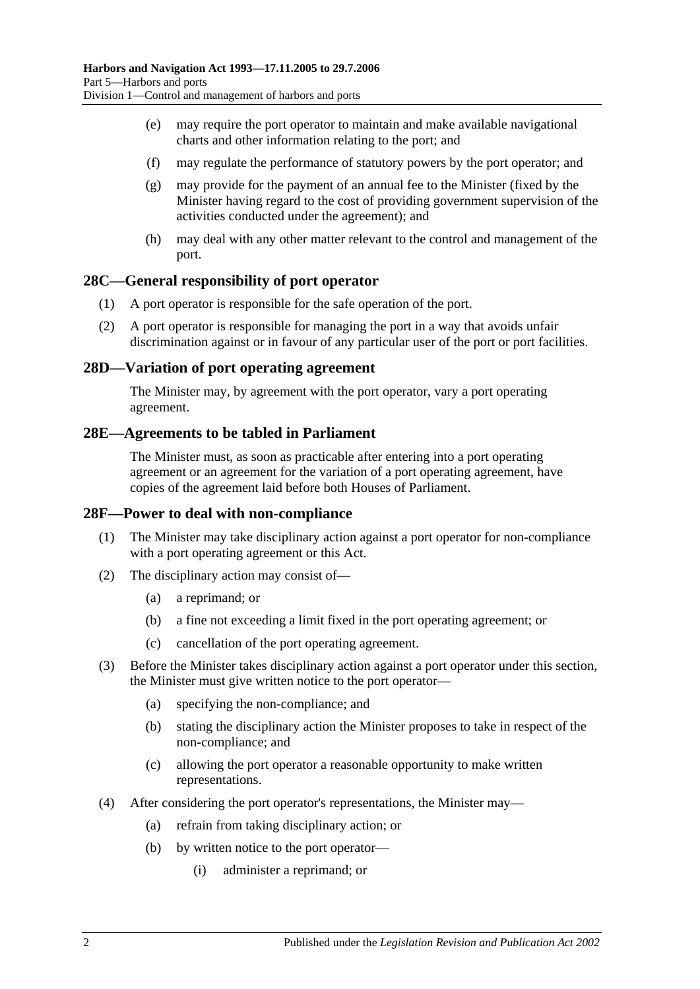- (e) may require the port operator to maintain and make available navigational charts and other information relating to the port; and
- (f) may regulate the performance of statutory powers by the port operator; and
- (g) may provide for the payment of an annual fee to the Minister (fixed by the Minister having regard to the cost of providing government supervision of the activities conducted under the agreement); and
- (h) may deal with any other matter relevant to the control and management of the port.

#### <span id="page-23-0"></span>**28C—General responsibility of port operator**

- (1) A port operator is responsible for the safe operation of the port.
- (2) A port operator is responsible for managing the port in a way that avoids unfair discrimination against or in favour of any particular user of the port or port facilities.

#### <span id="page-23-1"></span>**28D—Variation of port operating agreement**

The Minister may, by agreement with the port operator, vary a port operating agreement.

#### <span id="page-23-2"></span>**28E—Agreements to be tabled in Parliament**

The Minister must, as soon as practicable after entering into a port operating agreement or an agreement for the variation of a port operating agreement, have copies of the agreement laid before both Houses of Parliament.

#### <span id="page-23-3"></span>**28F—Power to deal with non-compliance**

- (1) The Minister may take disciplinary action against a port operator for non-compliance with a port operating agreement or this Act.
- (2) The disciplinary action may consist of—
	- (a) a reprimand; or
	- (b) a fine not exceeding a limit fixed in the port operating agreement; or
	- (c) cancellation of the port operating agreement.
- (3) Before the Minister takes disciplinary action against a port operator under this section, the Minister must give written notice to the port operator—
	- (a) specifying the non-compliance; and
	- (b) stating the disciplinary action the Minister proposes to take in respect of the non-compliance; and
	- (c) allowing the port operator a reasonable opportunity to make written representations.
- (4) After considering the port operator's representations, the Minister may—
	- (a) refrain from taking disciplinary action; or
	- (b) by written notice to the port operator—
		- (i) administer a reprimand; or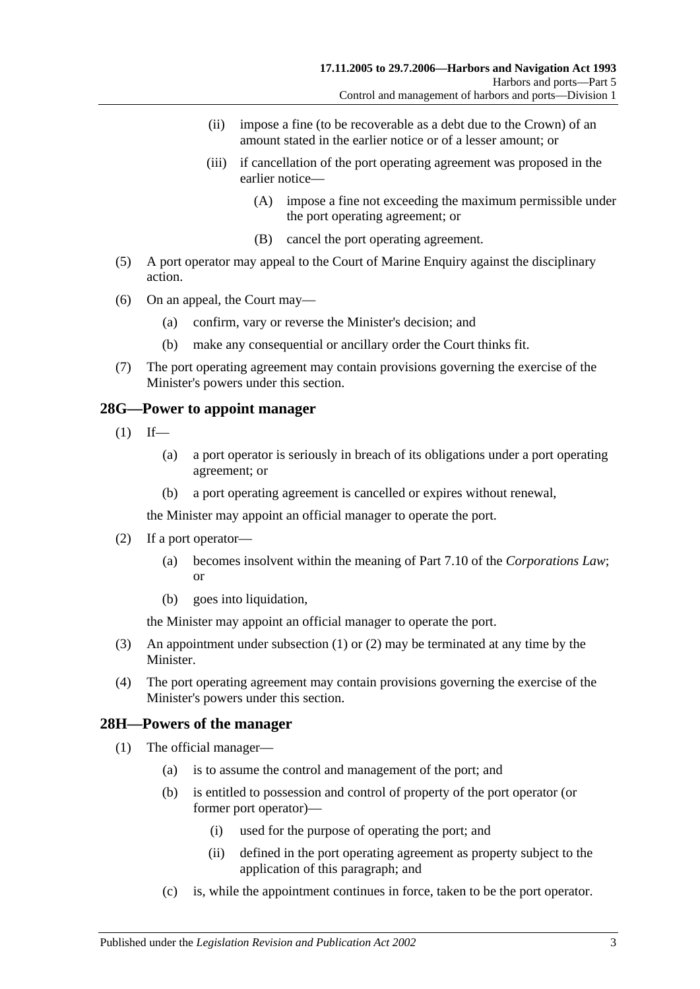- (ii) impose a fine (to be recoverable as a debt due to the Crown) of an amount stated in the earlier notice or of a lesser amount; or
- (iii) if cancellation of the port operating agreement was proposed in the earlier notice—
	- (A) impose a fine not exceeding the maximum permissible under the port operating agreement; or
	- (B) cancel the port operating agreement.
- (5) A port operator may appeal to the Court of Marine Enquiry against the disciplinary action.
- (6) On an appeal, the Court may—
	- (a) confirm, vary or reverse the Minister's decision; and
	- (b) make any consequential or ancillary order the Court thinks fit.
- (7) The port operating agreement may contain provisions governing the exercise of the Minister's powers under this section.

#### <span id="page-24-2"></span><span id="page-24-0"></span>**28G—Power to appoint manager**

- $(1)$  If—
	- (a) a port operator is seriously in breach of its obligations under a port operating agreement; or
	- (b) a port operating agreement is cancelled or expires without renewal,

the Minister may appoint an official manager to operate the port.

- <span id="page-24-3"></span>(2) If a port operator—
	- (a) becomes insolvent within the meaning of Part 7.10 of the *Corporations Law*; or
	- (b) goes into liquidation,

the Minister may appoint an official manager to operate the port.

- (3) An appointment under [subsection](#page-24-2) (1) or [\(2\)](#page-24-3) may be terminated at any time by the Minister.
- (4) The port operating agreement may contain provisions governing the exercise of the Minister's powers under this section.

## <span id="page-24-4"></span><span id="page-24-1"></span>**28H—Powers of the manager**

- (1) The official manager—
	- (a) is to assume the control and management of the port; and
	- (b) is entitled to possession and control of property of the port operator (or former port operator)—
		- (i) used for the purpose of operating the port; and
		- (ii) defined in the port operating agreement as property subject to the application of this paragraph; and
	- (c) is, while the appointment continues in force, taken to be the port operator.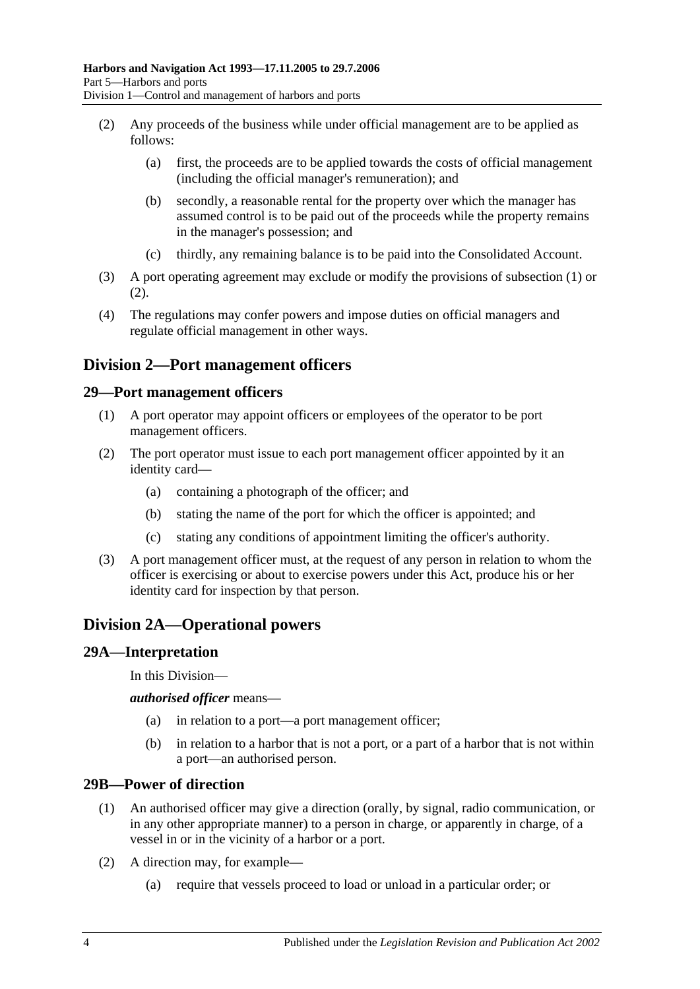- <span id="page-25-5"></span>(2) Any proceeds of the business while under official management are to be applied as follows:
	- (a) first, the proceeds are to be applied towards the costs of official management (including the official manager's remuneration); and
	- (b) secondly, a reasonable rental for the property over which the manager has assumed control is to be paid out of the proceeds while the property remains in the manager's possession; and
	- (c) thirdly, any remaining balance is to be paid into the Consolidated Account.
- (3) A port operating agreement may exclude or modify the provisions of [subsection](#page-24-4) (1) or [\(2\).](#page-25-5)
- (4) The regulations may confer powers and impose duties on official managers and regulate official management in other ways.

# <span id="page-25-0"></span>**Division 2—Port management officers**

#### <span id="page-25-1"></span>**29—Port management officers**

- (1) A port operator may appoint officers or employees of the operator to be port management officers.
- (2) The port operator must issue to each port management officer appointed by it an identity card—
	- (a) containing a photograph of the officer; and
	- (b) stating the name of the port for which the officer is appointed; and
	- (c) stating any conditions of appointment limiting the officer's authority.
- (3) A port management officer must, at the request of any person in relation to whom the officer is exercising or about to exercise powers under this Act, produce his or her identity card for inspection by that person.

# <span id="page-25-2"></span>**Division 2A—Operational powers**

#### <span id="page-25-3"></span>**29A—Interpretation**

In this Division—

*authorised officer* means—

- (a) in relation to a port—a port management officer;
- (b) in relation to a harbor that is not a port, or a part of a harbor that is not within a port—an authorised person.

#### <span id="page-25-4"></span>**29B—Power of direction**

- (1) An authorised officer may give a direction (orally, by signal, radio communication, or in any other appropriate manner) to a person in charge, or apparently in charge, of a vessel in or in the vicinity of a harbor or a port.
- (2) A direction may, for example—
	- (a) require that vessels proceed to load or unload in a particular order; or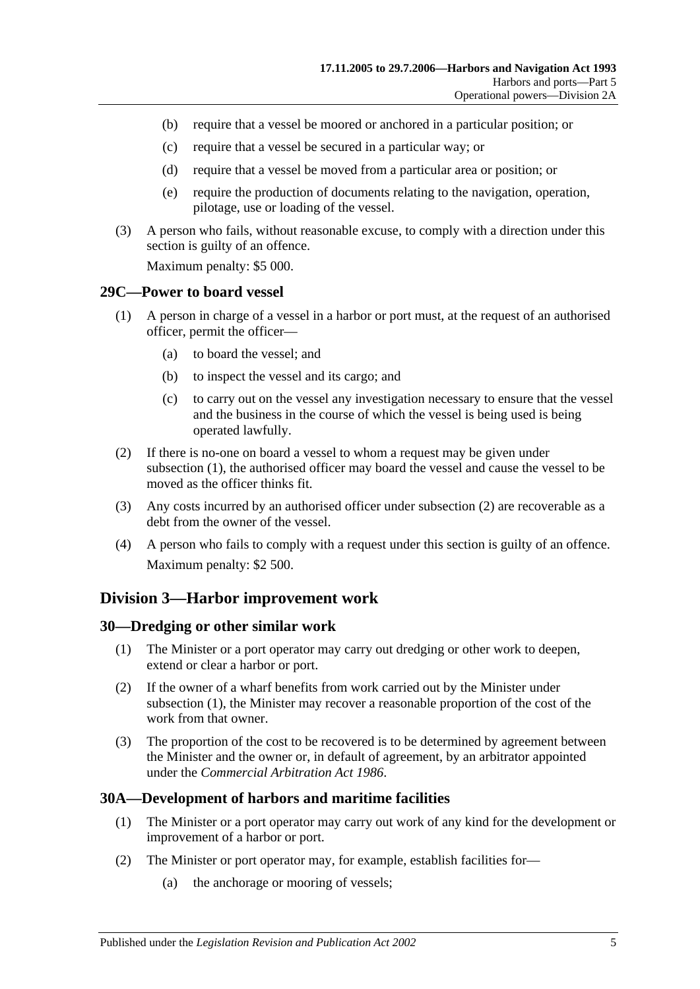- (b) require that a vessel be moored or anchored in a particular position; or
- (c) require that a vessel be secured in a particular way; or
- (d) require that a vessel be moved from a particular area or position; or
- (e) require the production of documents relating to the navigation, operation, pilotage, use or loading of the vessel.
- (3) A person who fails, without reasonable excuse, to comply with a direction under this section is guilty of an offence.

Maximum penalty: \$5 000.

#### <span id="page-26-4"></span><span id="page-26-0"></span>**29C—Power to board vessel**

- (1) A person in charge of a vessel in a harbor or port must, at the request of an authorised officer, permit the officer—
	- (a) to board the vessel; and
	- (b) to inspect the vessel and its cargo; and
	- (c) to carry out on the vessel any investigation necessary to ensure that the vessel and the business in the course of which the vessel is being used is being operated lawfully.
- <span id="page-26-5"></span>(2) If there is no-one on board a vessel to whom a request may be given under [subsection](#page-26-4) (1), the authorised officer may board the vessel and cause the vessel to be moved as the officer thinks fit.
- (3) Any costs incurred by an authorised officer under [subsection](#page-26-5) (2) are recoverable as a debt from the owner of the vessel.
- (4) A person who fails to comply with a request under this section is guilty of an offence. Maximum penalty: \$2 500.

## <span id="page-26-1"></span>**Division 3—Harbor improvement work**

#### <span id="page-26-6"></span><span id="page-26-2"></span>**30—Dredging or other similar work**

- (1) The Minister or a port operator may carry out dredging or other work to deepen, extend or clear a harbor or port.
- (2) If the owner of a wharf benefits from work carried out by the Minister under [subsection](#page-26-6) (1), the Minister may recover a reasonable proportion of the cost of the work from that owner.
- (3) The proportion of the cost to be recovered is to be determined by agreement between the Minister and the owner or, in default of agreement, by an arbitrator appointed under the *[Commercial Arbitration Act](http://www.legislation.sa.gov.au/index.aspx?action=legref&type=act&legtitle=Commercial%20Arbitration%20Act%201986) 1986*.

## <span id="page-26-3"></span>**30A—Development of harbors and maritime facilities**

- (1) The Minister or a port operator may carry out work of any kind for the development or improvement of a harbor or port.
- (2) The Minister or port operator may, for example, establish facilities for—
	- (a) the anchorage or mooring of vessels;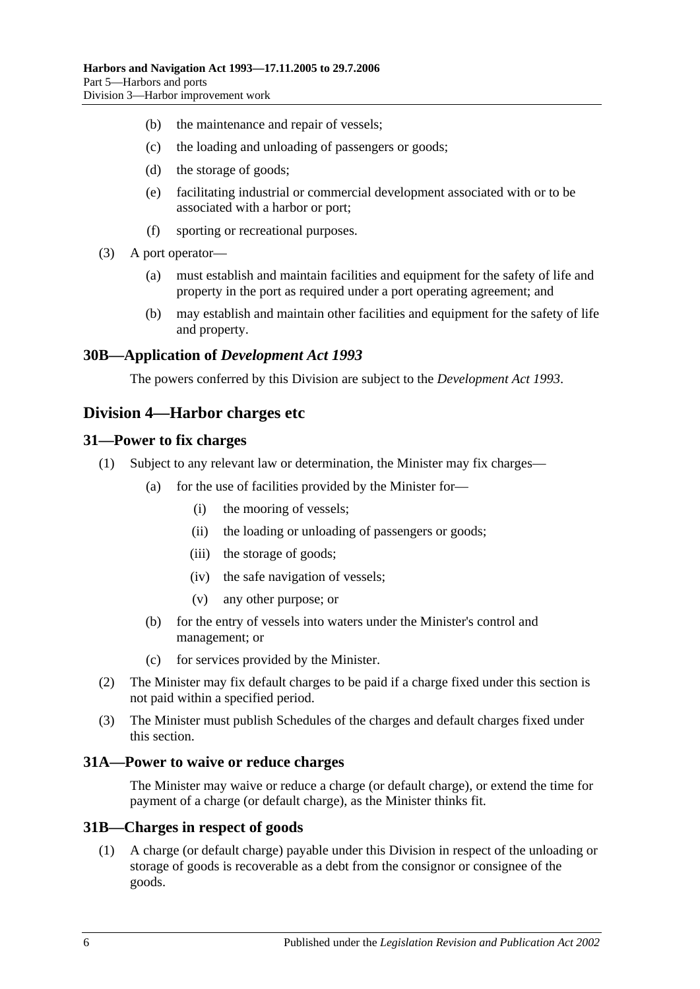- (b) the maintenance and repair of vessels;
- (c) the loading and unloading of passengers or goods;
- (d) the storage of goods;
- (e) facilitating industrial or commercial development associated with or to be associated with a harbor or port;
- (f) sporting or recreational purposes.
- (3) A port operator—
	- (a) must establish and maintain facilities and equipment for the safety of life and property in the port as required under a port operating agreement; and
	- (b) may establish and maintain other facilities and equipment for the safety of life and property.

#### <span id="page-27-0"></span>**30B—Application of** *Development Act 1993*

The powers conferred by this Division are subject to the *[Development Act](http://www.legislation.sa.gov.au/index.aspx?action=legref&type=act&legtitle=Development%20Act%201993) 1993*.

## <span id="page-27-1"></span>**Division 4—Harbor charges etc**

#### <span id="page-27-2"></span>**31—Power to fix charges**

- (1) Subject to any relevant law or determination, the Minister may fix charges—
	- (a) for the use of facilities provided by the Minister for—
		- (i) the mooring of vessels;
		- (ii) the loading or unloading of passengers or goods;
		- (iii) the storage of goods;
		- (iv) the safe navigation of vessels;
		- (v) any other purpose; or
	- (b) for the entry of vessels into waters under the Minister's control and management; or
	- (c) for services provided by the Minister.
- (2) The Minister may fix default charges to be paid if a charge fixed under this section is not paid within a specified period.
- (3) The Minister must publish Schedules of the charges and default charges fixed under this section.

#### <span id="page-27-3"></span>**31A—Power to waive or reduce charges**

The Minister may waive or reduce a charge (or default charge), or extend the time for payment of a charge (or default charge), as the Minister thinks fit.

#### <span id="page-27-4"></span>**31B—Charges in respect of goods**

(1) A charge (or default charge) payable under this Division in respect of the unloading or storage of goods is recoverable as a debt from the consignor or consignee of the goods.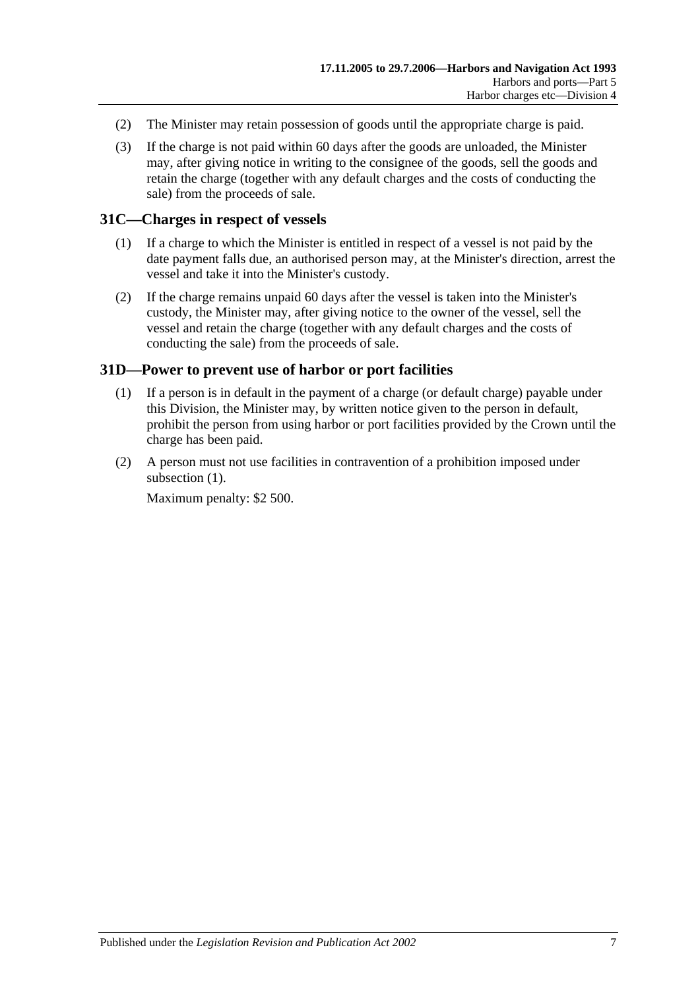- (2) The Minister may retain possession of goods until the appropriate charge is paid.
- (3) If the charge is not paid within 60 days after the goods are unloaded, the Minister may, after giving notice in writing to the consignee of the goods, sell the goods and retain the charge (together with any default charges and the costs of conducting the sale) from the proceeds of sale.

#### <span id="page-28-0"></span>**31C—Charges in respect of vessels**

- (1) If a charge to which the Minister is entitled in respect of a vessel is not paid by the date payment falls due, an authorised person may, at the Minister's direction, arrest the vessel and take it into the Minister's custody.
- (2) If the charge remains unpaid 60 days after the vessel is taken into the Minister's custody, the Minister may, after giving notice to the owner of the vessel, sell the vessel and retain the charge (together with any default charges and the costs of conducting the sale) from the proceeds of sale.

#### <span id="page-28-2"></span><span id="page-28-1"></span>**31D—Power to prevent use of harbor or port facilities**

- (1) If a person is in default in the payment of a charge (or default charge) payable under this Division, the Minister may, by written notice given to the person in default, prohibit the person from using harbor or port facilities provided by the Crown until the charge has been paid.
- (2) A person must not use facilities in contravention of a prohibition imposed under [subsection](#page-28-2)  $(1)$ .

Maximum penalty: \$2 500.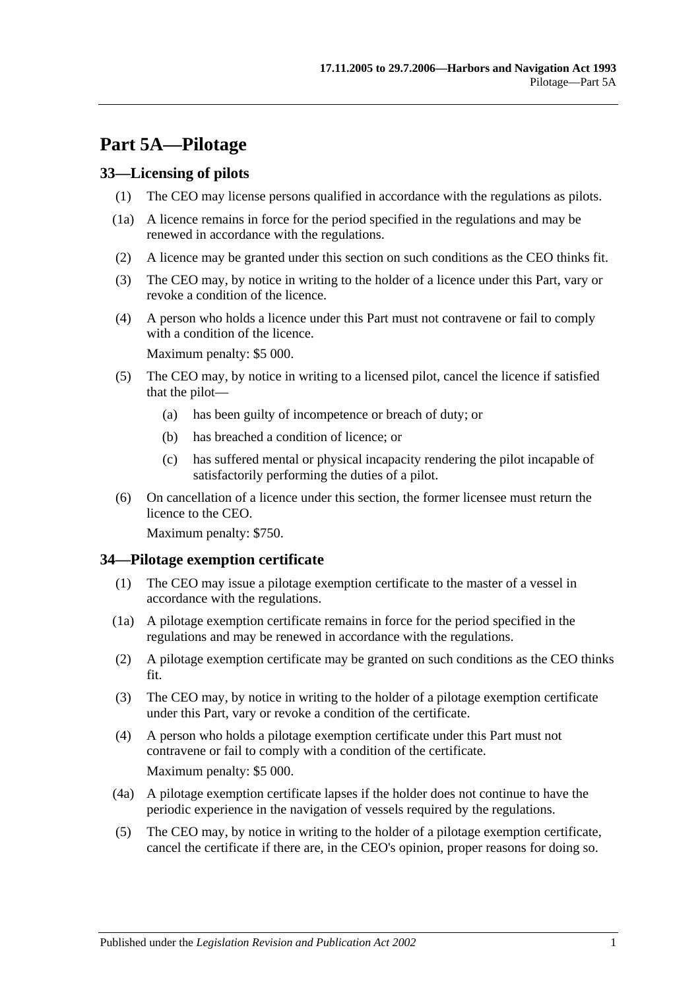# <span id="page-30-0"></span>**Part 5A—Pilotage**

## <span id="page-30-1"></span>**33—Licensing of pilots**

- (1) The CEO may license persons qualified in accordance with the regulations as pilots.
- (1a) A licence remains in force for the period specified in the regulations and may be renewed in accordance with the regulations.
- (2) A licence may be granted under this section on such conditions as the CEO thinks fit.
- (3) The CEO may, by notice in writing to the holder of a licence under this Part, vary or revoke a condition of the licence.
- (4) A person who holds a licence under this Part must not contravene or fail to comply with a condition of the licence.

Maximum penalty: \$5 000.

- (5) The CEO may, by notice in writing to a licensed pilot, cancel the licence if satisfied that the pilot—
	- (a) has been guilty of incompetence or breach of duty; or
	- (b) has breached a condition of licence; or
	- (c) has suffered mental or physical incapacity rendering the pilot incapable of satisfactorily performing the duties of a pilot.
- (6) On cancellation of a licence under this section, the former licensee must return the licence to the CEO.

Maximum penalty: \$750.

## <span id="page-30-2"></span>**34—Pilotage exemption certificate**

- (1) The CEO may issue a pilotage exemption certificate to the master of a vessel in accordance with the regulations.
- (1a) A pilotage exemption certificate remains in force for the period specified in the regulations and may be renewed in accordance with the regulations.
- (2) A pilotage exemption certificate may be granted on such conditions as the CEO thinks fit.
- (3) The CEO may, by notice in writing to the holder of a pilotage exemption certificate under this Part, vary or revoke a condition of the certificate.
- (4) A person who holds a pilotage exemption certificate under this Part must not contravene or fail to comply with a condition of the certificate. Maximum penalty: \$5 000.
- (4a) A pilotage exemption certificate lapses if the holder does not continue to have the periodic experience in the navigation of vessels required by the regulations.
- (5) The CEO may, by notice in writing to the holder of a pilotage exemption certificate, cancel the certificate if there are, in the CEO's opinion, proper reasons for doing so.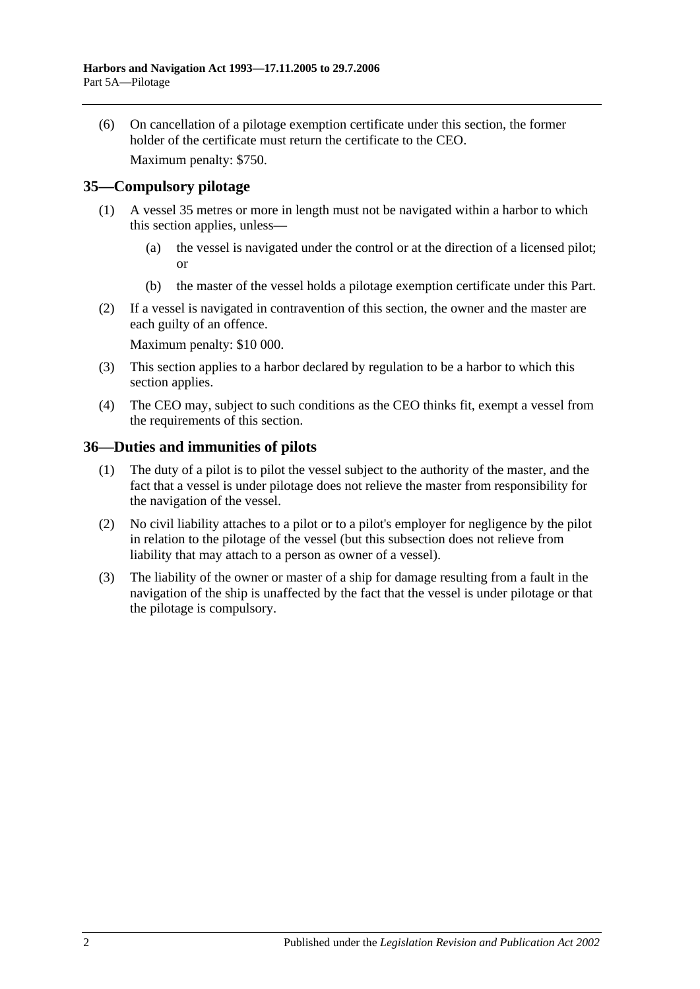(6) On cancellation of a pilotage exemption certificate under this section, the former holder of the certificate must return the certificate to the CEO. Maximum penalty: \$750.

<span id="page-31-0"></span>**35—Compulsory pilotage**

- (1) A vessel 35 metres or more in length must not be navigated within a harbor to which this section applies, unless—
	- (a) the vessel is navigated under the control or at the direction of a licensed pilot; or
	- (b) the master of the vessel holds a pilotage exemption certificate under this Part.
- (2) If a vessel is navigated in contravention of this section, the owner and the master are each guilty of an offence.

Maximum penalty: \$10 000.

- (3) This section applies to a harbor declared by regulation to be a harbor to which this section applies.
- (4) The CEO may, subject to such conditions as the CEO thinks fit, exempt a vessel from the requirements of this section.

#### <span id="page-31-1"></span>**36—Duties and immunities of pilots**

- (1) The duty of a pilot is to pilot the vessel subject to the authority of the master, and the fact that a vessel is under pilotage does not relieve the master from responsibility for the navigation of the vessel.
- (2) No civil liability attaches to a pilot or to a pilot's employer for negligence by the pilot in relation to the pilotage of the vessel (but this subsection does not relieve from liability that may attach to a person as owner of a vessel).
- (3) The liability of the owner or master of a ship for damage resulting from a fault in the navigation of the ship is unaffected by the fact that the vessel is under pilotage or that the pilotage is compulsory.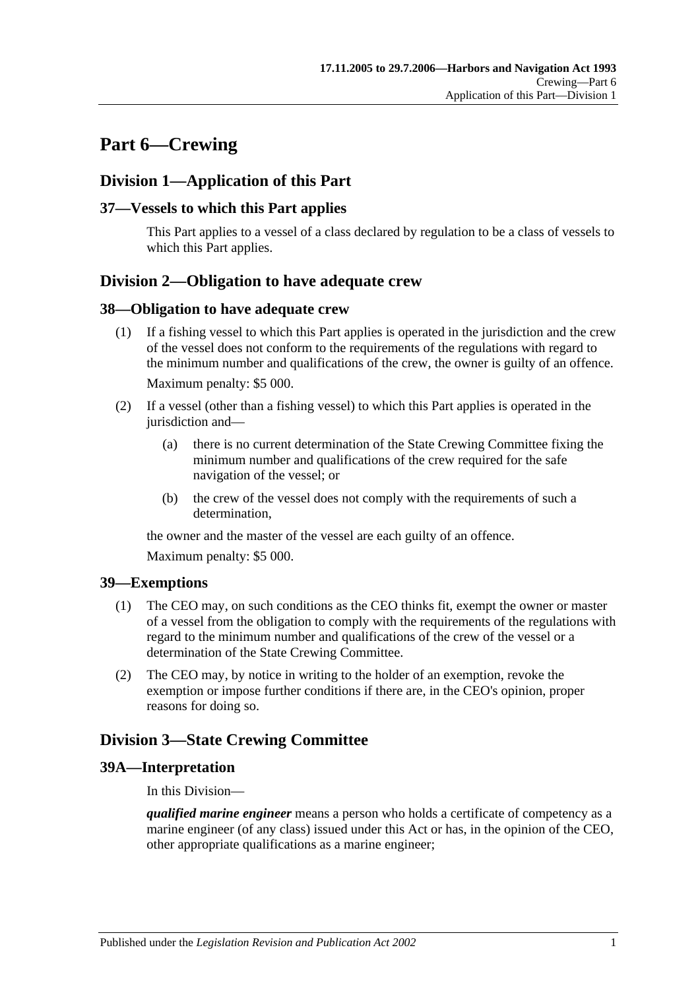# <span id="page-32-0"></span>**Part 6—Crewing**

# <span id="page-32-1"></span>**Division 1—Application of this Part**

## <span id="page-32-2"></span>**37—Vessels to which this Part applies**

This Part applies to a vessel of a class declared by regulation to be a class of vessels to which this Part applies.

# <span id="page-32-3"></span>**Division 2—Obligation to have adequate crew**

#### <span id="page-32-4"></span>**38—Obligation to have adequate crew**

- (1) If a fishing vessel to which this Part applies is operated in the jurisdiction and the crew of the vessel does not conform to the requirements of the regulations with regard to the minimum number and qualifications of the crew, the owner is guilty of an offence. Maximum penalty: \$5 000.
- (2) If a vessel (other than a fishing vessel) to which this Part applies is operated in the jurisdiction and—
	- (a) there is no current determination of the State Crewing Committee fixing the minimum number and qualifications of the crew required for the safe navigation of the vessel; or
	- (b) the crew of the vessel does not comply with the requirements of such a determination,

the owner and the master of the vessel are each guilty of an offence.

Maximum penalty: \$5 000.

## <span id="page-32-5"></span>**39—Exemptions**

- (1) The CEO may, on such conditions as the CEO thinks fit, exempt the owner or master of a vessel from the obligation to comply with the requirements of the regulations with regard to the minimum number and qualifications of the crew of the vessel or a determination of the State Crewing Committee.
- (2) The CEO may, by notice in writing to the holder of an exemption, revoke the exemption or impose further conditions if there are, in the CEO's opinion, proper reasons for doing so.

# <span id="page-32-6"></span>**Division 3—State Crewing Committee**

## <span id="page-32-7"></span>**39A—Interpretation**

In this Division—

*qualified marine engineer* means a person who holds a certificate of competency as a marine engineer (of any class) issued under this Act or has, in the opinion of the CEO, other appropriate qualifications as a marine engineer;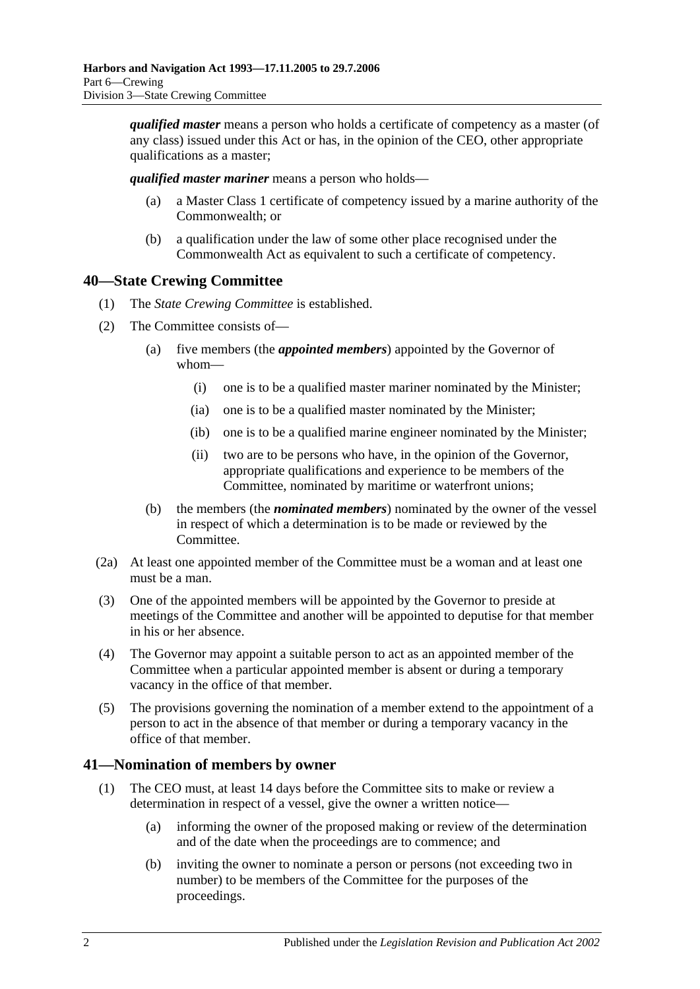*qualified master* means a person who holds a certificate of competency as a master (of any class) issued under this Act or has, in the opinion of the CEO, other appropriate qualifications as a master;

*qualified master mariner* means a person who holds—

- (a) a Master Class 1 certificate of competency issued by a marine authority of the Commonwealth; or
- (b) a qualification under the law of some other place recognised under the Commonwealth Act as equivalent to such a certificate of competency.

# <span id="page-33-0"></span>**40—State Crewing Committee**

- (1) The *State Crewing Committee* is established.
- (2) The Committee consists of—
	- (a) five members (the *appointed members*) appointed by the Governor of whom—
		- (i) one is to be a qualified master mariner nominated by the Minister;
		- (ia) one is to be a qualified master nominated by the Minister;
		- (ib) one is to be a qualified marine engineer nominated by the Minister;
		- (ii) two are to be persons who have, in the opinion of the Governor, appropriate qualifications and experience to be members of the Committee, nominated by maritime or waterfront unions;
	- (b) the members (the *nominated members*) nominated by the owner of the vessel in respect of which a determination is to be made or reviewed by the Committee.
- (2a) At least one appointed member of the Committee must be a woman and at least one must be a man.
- (3) One of the appointed members will be appointed by the Governor to preside at meetings of the Committee and another will be appointed to deputise for that member in his or her absence.
- (4) The Governor may appoint a suitable person to act as an appointed member of the Committee when a particular appointed member is absent or during a temporary vacancy in the office of that member.
- (5) The provisions governing the nomination of a member extend to the appointment of a person to act in the absence of that member or during a temporary vacancy in the office of that member.

## <span id="page-33-1"></span>**41—Nomination of members by owner**

- (1) The CEO must, at least 14 days before the Committee sits to make or review a determination in respect of a vessel, give the owner a written notice—
	- (a) informing the owner of the proposed making or review of the determination and of the date when the proceedings are to commence; and
	- (b) inviting the owner to nominate a person or persons (not exceeding two in number) to be members of the Committee for the purposes of the proceedings.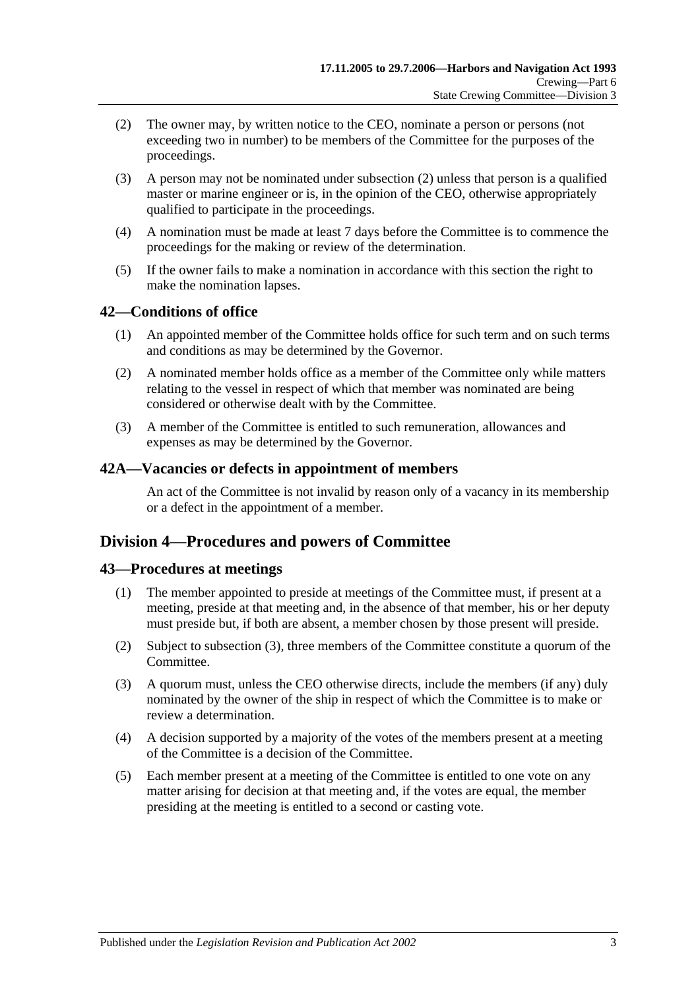- <span id="page-34-4"></span>(2) The owner may, by written notice to the CEO, nominate a person or persons (not exceeding two in number) to be members of the Committee for the purposes of the proceedings.
- (3) A person may not be nominated under [subsection](#page-34-4) (2) unless that person is a qualified master or marine engineer or is, in the opinion of the CEO, otherwise appropriately qualified to participate in the proceedings.
- (4) A nomination must be made at least 7 days before the Committee is to commence the proceedings for the making or review of the determination.
- (5) If the owner fails to make a nomination in accordance with this section the right to make the nomination lapses.

## <span id="page-34-0"></span>**42—Conditions of office**

- (1) An appointed member of the Committee holds office for such term and on such terms and conditions as may be determined by the Governor.
- (2) A nominated member holds office as a member of the Committee only while matters relating to the vessel in respect of which that member was nominated are being considered or otherwise dealt with by the Committee.
- (3) A member of the Committee is entitled to such remuneration, allowances and expenses as may be determined by the Governor.

#### <span id="page-34-1"></span>**42A—Vacancies or defects in appointment of members**

An act of the Committee is not invalid by reason only of a vacancy in its membership or a defect in the appointment of a member.

# <span id="page-34-2"></span>**Division 4—Procedures and powers of Committee**

## <span id="page-34-3"></span>**43—Procedures at meetings**

- (1) The member appointed to preside at meetings of the Committee must, if present at a meeting, preside at that meeting and, in the absence of that member, his or her deputy must preside but, if both are absent, a member chosen by those present will preside.
- (2) Subject to [subsection](#page-34-5) (3), three members of the Committee constitute a quorum of the Committee.
- <span id="page-34-5"></span>(3) A quorum must, unless the CEO otherwise directs, include the members (if any) duly nominated by the owner of the ship in respect of which the Committee is to make or review a determination.
- (4) A decision supported by a majority of the votes of the members present at a meeting of the Committee is a decision of the Committee.
- (5) Each member present at a meeting of the Committee is entitled to one vote on any matter arising for decision at that meeting and, if the votes are equal, the member presiding at the meeting is entitled to a second or casting vote.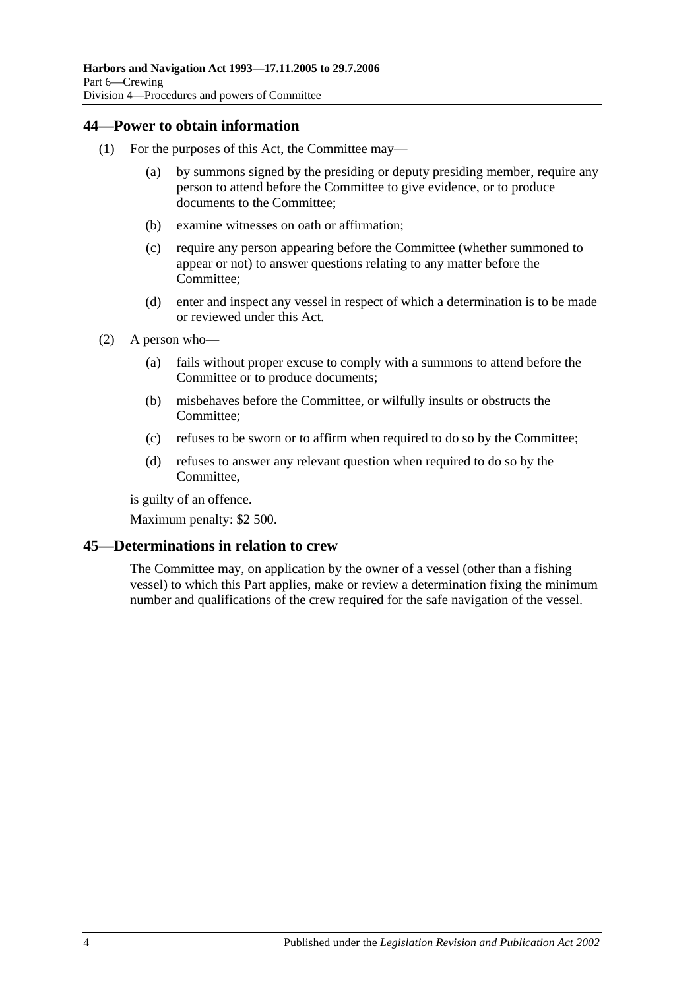#### <span id="page-35-0"></span>**44—Power to obtain information**

- (1) For the purposes of this Act, the Committee may—
	- (a) by summons signed by the presiding or deputy presiding member, require any person to attend before the Committee to give evidence, or to produce documents to the Committee;
	- (b) examine witnesses on oath or affirmation;
	- (c) require any person appearing before the Committee (whether summoned to appear or not) to answer questions relating to any matter before the Committee;
	- (d) enter and inspect any vessel in respect of which a determination is to be made or reviewed under this Act.
- (2) A person who—
	- (a) fails without proper excuse to comply with a summons to attend before the Committee or to produce documents;
	- (b) misbehaves before the Committee, or wilfully insults or obstructs the Committee;
	- (c) refuses to be sworn or to affirm when required to do so by the Committee;
	- (d) refuses to answer any relevant question when required to do so by the Committee,

is guilty of an offence.

Maximum penalty: \$2 500.

## <span id="page-35-1"></span>**45—Determinations in relation to crew**

The Committee may, on application by the owner of a vessel (other than a fishing vessel) to which this Part applies, make or review a determination fixing the minimum number and qualifications of the crew required for the safe navigation of the vessel.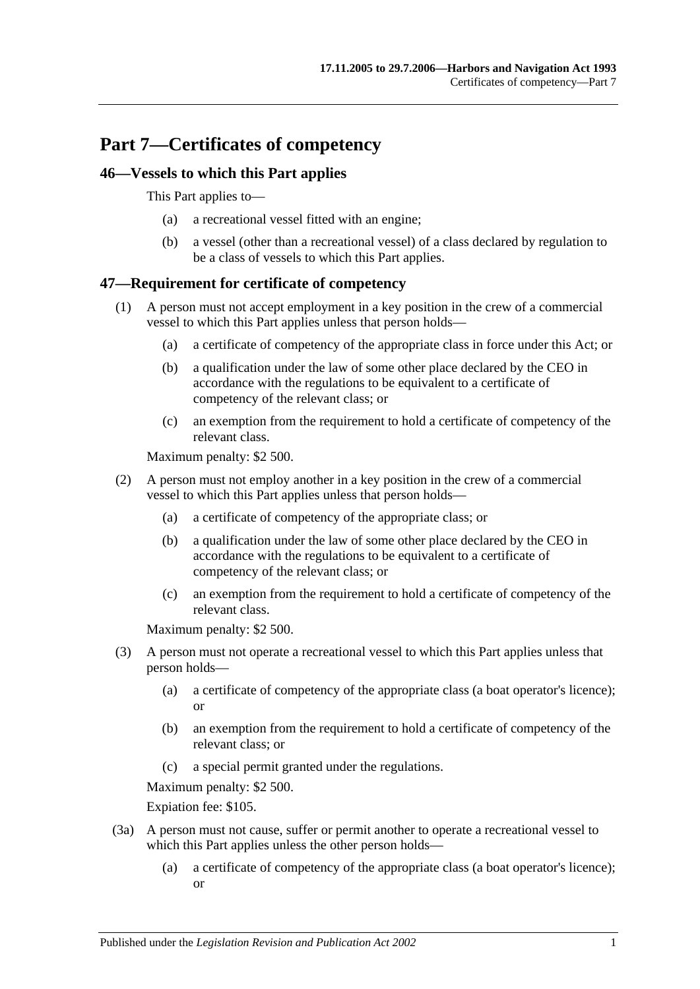# **Part 7—Certificates of competency**

## **46—Vessels to which this Part applies**

This Part applies to—

- (a) a recreational vessel fitted with an engine;
- (b) a vessel (other than a recreational vessel) of a class declared by regulation to be a class of vessels to which this Part applies.

## **47—Requirement for certificate of competency**

- (1) A person must not accept employment in a key position in the crew of a commercial vessel to which this Part applies unless that person holds—
	- (a) a certificate of competency of the appropriate class in force under this Act; or
	- (b) a qualification under the law of some other place declared by the CEO in accordance with the regulations to be equivalent to a certificate of competency of the relevant class; or
	- (c) an exemption from the requirement to hold a certificate of competency of the relevant class.

Maximum penalty: \$2 500.

- (2) A person must not employ another in a key position in the crew of a commercial vessel to which this Part applies unless that person holds—
	- (a) a certificate of competency of the appropriate class; or
	- (b) a qualification under the law of some other place declared by the CEO in accordance with the regulations to be equivalent to a certificate of competency of the relevant class; or
	- (c) an exemption from the requirement to hold a certificate of competency of the relevant class.

Maximum penalty: \$2 500.

- (3) A person must not operate a recreational vessel to which this Part applies unless that person holds—
	- (a) a certificate of competency of the appropriate class (a boat operator's licence); or
	- (b) an exemption from the requirement to hold a certificate of competency of the relevant class; or
	- (c) a special permit granted under the regulations.

Maximum penalty: \$2 500.

Expiation fee: \$105.

- (3a) A person must not cause, suffer or permit another to operate a recreational vessel to which this Part applies unless the other person holds—
	- (a) a certificate of competency of the appropriate class (a boat operator's licence); or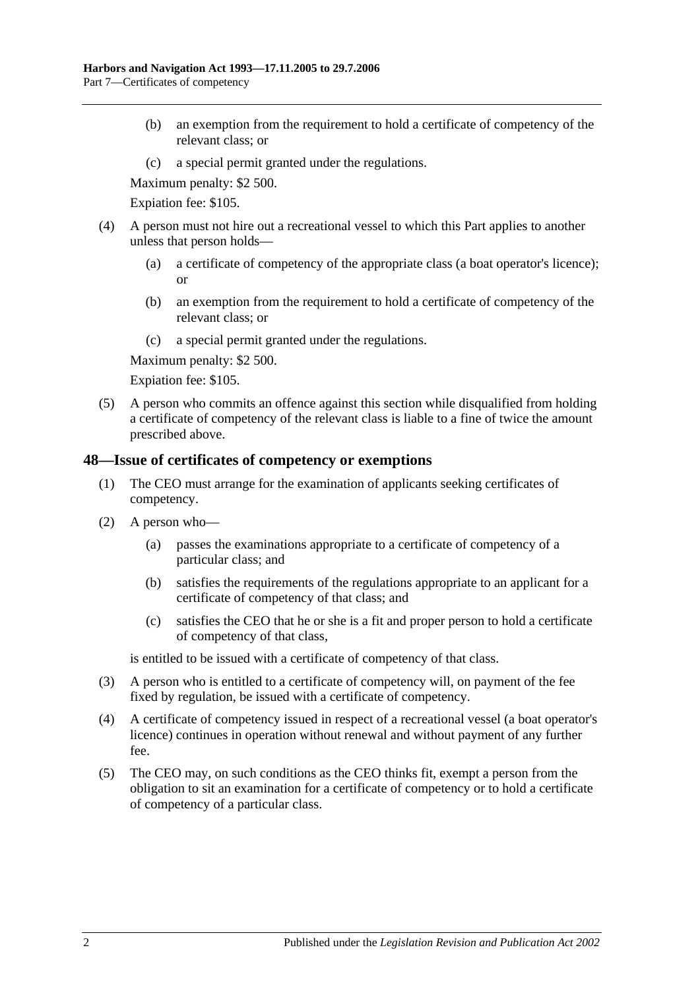- (b) an exemption from the requirement to hold a certificate of competency of the relevant class; or
- (c) a special permit granted under the regulations.

Maximum penalty: \$2 500.

Expiation fee: \$105.

- (4) A person must not hire out a recreational vessel to which this Part applies to another unless that person holds—
	- (a) a certificate of competency of the appropriate class (a boat operator's licence); or
	- (b) an exemption from the requirement to hold a certificate of competency of the relevant class; or
	- (c) a special permit granted under the regulations.

Maximum penalty: \$2 500.

Expiation fee: \$105.

(5) A person who commits an offence against this section while disqualified from holding a certificate of competency of the relevant class is liable to a fine of twice the amount prescribed above.

#### **48—Issue of certificates of competency or exemptions**

- (1) The CEO must arrange for the examination of applicants seeking certificates of competency.
- (2) A person who—
	- (a) passes the examinations appropriate to a certificate of competency of a particular class; and
	- (b) satisfies the requirements of the regulations appropriate to an applicant for a certificate of competency of that class; and
	- (c) satisfies the CEO that he or she is a fit and proper person to hold a certificate of competency of that class,

is entitled to be issued with a certificate of competency of that class.

- (3) A person who is entitled to a certificate of competency will, on payment of the fee fixed by regulation, be issued with a certificate of competency.
- (4) A certificate of competency issued in respect of a recreational vessel (a boat operator's licence) continues in operation without renewal and without payment of any further fee.
- (5) The CEO may, on such conditions as the CEO thinks fit, exempt a person from the obligation to sit an examination for a certificate of competency or to hold a certificate of competency of a particular class.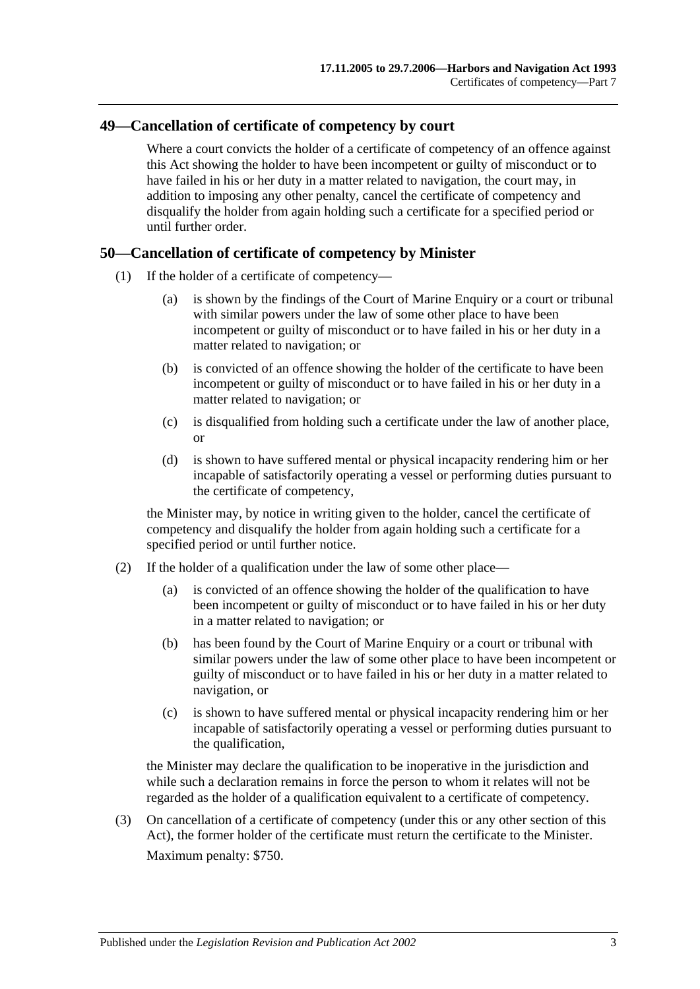### **49—Cancellation of certificate of competency by court**

Where a court convicts the holder of a certificate of competency of an offence against this Act showing the holder to have been incompetent or guilty of misconduct or to have failed in his or her duty in a matter related to navigation, the court may, in addition to imposing any other penalty, cancel the certificate of competency and disqualify the holder from again holding such a certificate for a specified period or until further order.

### **50—Cancellation of certificate of competency by Minister**

- (1) If the holder of a certificate of competency—
	- (a) is shown by the findings of the Court of Marine Enquiry or a court or tribunal with similar powers under the law of some other place to have been incompetent or guilty of misconduct or to have failed in his or her duty in a matter related to navigation; or
	- (b) is convicted of an offence showing the holder of the certificate to have been incompetent or guilty of misconduct or to have failed in his or her duty in a matter related to navigation; or
	- (c) is disqualified from holding such a certificate under the law of another place, or
	- (d) is shown to have suffered mental or physical incapacity rendering him or her incapable of satisfactorily operating a vessel or performing duties pursuant to the certificate of competency,

the Minister may, by notice in writing given to the holder, cancel the certificate of competency and disqualify the holder from again holding such a certificate for a specified period or until further notice.

- (2) If the holder of a qualification under the law of some other place—
	- (a) is convicted of an offence showing the holder of the qualification to have been incompetent or guilty of misconduct or to have failed in his or her duty in a matter related to navigation; or
	- (b) has been found by the Court of Marine Enquiry or a court or tribunal with similar powers under the law of some other place to have been incompetent or guilty of misconduct or to have failed in his or her duty in a matter related to navigation, or
	- (c) is shown to have suffered mental or physical incapacity rendering him or her incapable of satisfactorily operating a vessel or performing duties pursuant to the qualification,

the Minister may declare the qualification to be inoperative in the jurisdiction and while such a declaration remains in force the person to whom it relates will not be regarded as the holder of a qualification equivalent to a certificate of competency.

(3) On cancellation of a certificate of competency (under this or any other section of this Act), the former holder of the certificate must return the certificate to the Minister. Maximum penalty: \$750.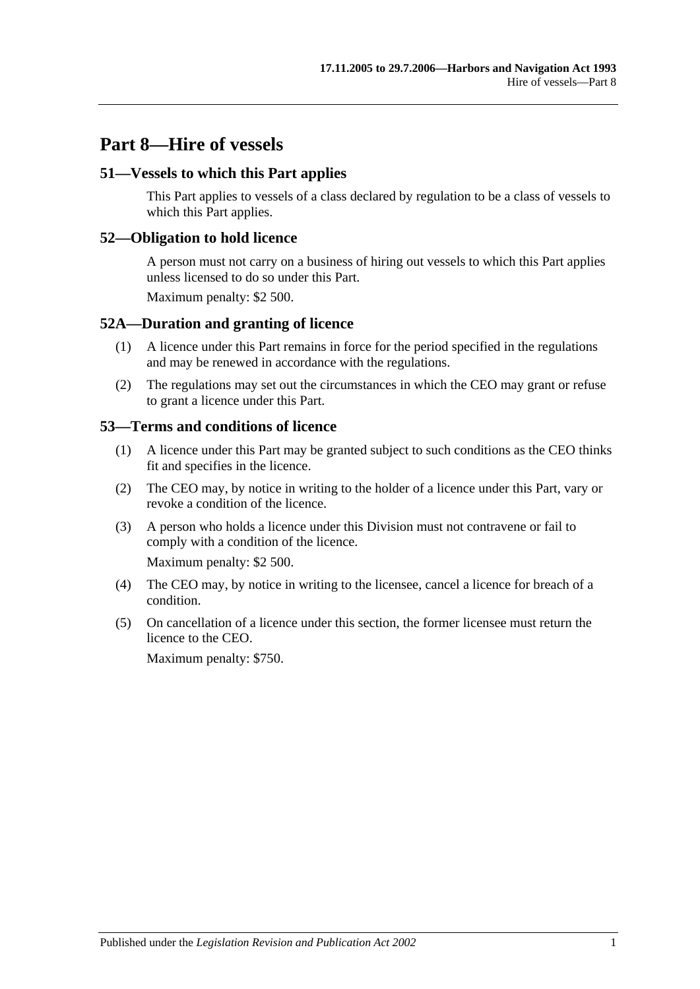# **Part 8—Hire of vessels**

#### **51—Vessels to which this Part applies**

This Part applies to vessels of a class declared by regulation to be a class of vessels to which this Part applies.

#### **52—Obligation to hold licence**

A person must not carry on a business of hiring out vessels to which this Part applies unless licensed to do so under this Part.

Maximum penalty: \$2 500.

#### **52A—Duration and granting of licence**

- (1) A licence under this Part remains in force for the period specified in the regulations and may be renewed in accordance with the regulations.
- (2) The regulations may set out the circumstances in which the CEO may grant or refuse to grant a licence under this Part.

#### **53—Terms and conditions of licence**

- (1) A licence under this Part may be granted subject to such conditions as the CEO thinks fit and specifies in the licence.
- (2) The CEO may, by notice in writing to the holder of a licence under this Part, vary or revoke a condition of the licence.
- (3) A person who holds a licence under this Division must not contravene or fail to comply with a condition of the licence.

Maximum penalty: \$2 500.

- (4) The CEO may, by notice in writing to the licensee, cancel a licence for breach of a condition.
- (5) On cancellation of a licence under this section, the former licensee must return the licence to the CEO.

Maximum penalty: \$750.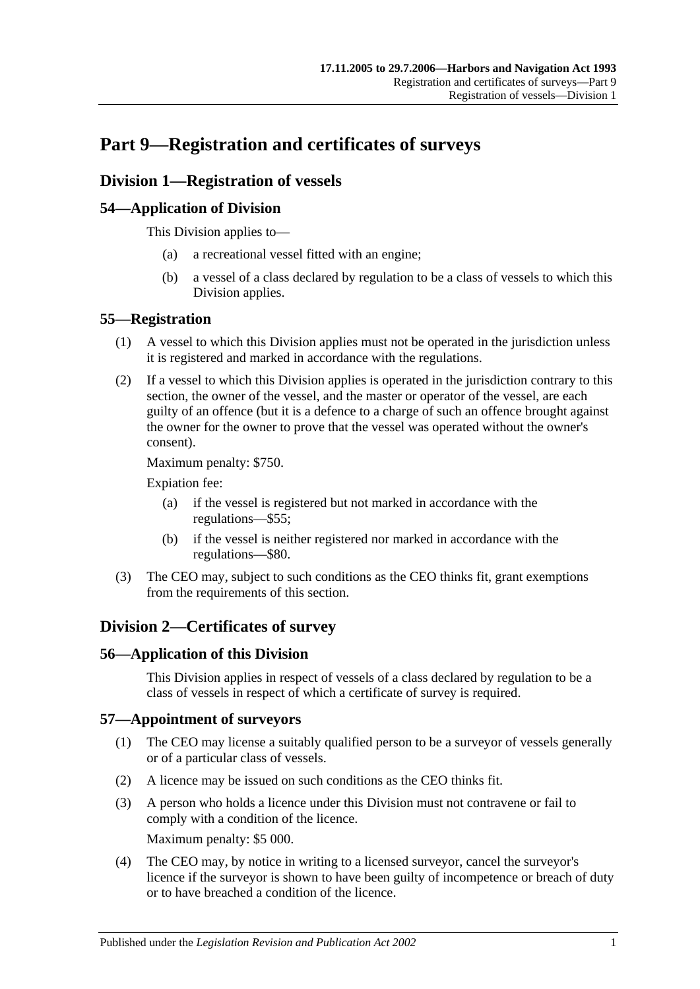# **Part 9—Registration and certificates of surveys**

## **Division 1—Registration of vessels**

## **54—Application of Division**

This Division applies to—

- (a) a recreational vessel fitted with an engine;
- (b) a vessel of a class declared by regulation to be a class of vessels to which this Division applies.

## **55—Registration**

- (1) A vessel to which this Division applies must not be operated in the jurisdiction unless it is registered and marked in accordance with the regulations.
- (2) If a vessel to which this Division applies is operated in the jurisdiction contrary to this section, the owner of the vessel, and the master or operator of the vessel, are each guilty of an offence (but it is a defence to a charge of such an offence brought against the owner for the owner to prove that the vessel was operated without the owner's consent).

Maximum penalty: \$750.

Expiation fee:

- (a) if the vessel is registered but not marked in accordance with the regulations—\$55;
- (b) if the vessel is neither registered nor marked in accordance with the regulations—\$80.
- (3) The CEO may, subject to such conditions as the CEO thinks fit, grant exemptions from the requirements of this section.

# **Division 2—Certificates of survey**

### **56—Application of this Division**

This Division applies in respect of vessels of a class declared by regulation to be a class of vessels in respect of which a certificate of survey is required.

### **57—Appointment of surveyors**

- (1) The CEO may license a suitably qualified person to be a surveyor of vessels generally or of a particular class of vessels.
- (2) A licence may be issued on such conditions as the CEO thinks fit.
- (3) A person who holds a licence under this Division must not contravene or fail to comply with a condition of the licence. Maximum penalty: \$5 000.
- (4) The CEO may, by notice in writing to a licensed surveyor, cancel the surveyor's licence if the surveyor is shown to have been guilty of incompetence or breach of duty or to have breached a condition of the licence.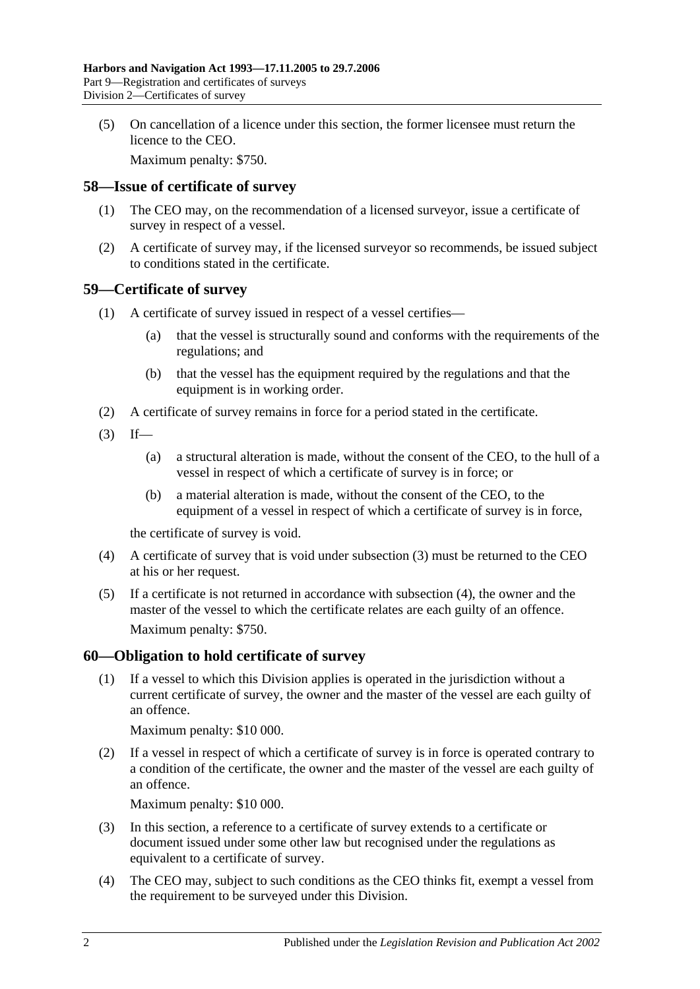(5) On cancellation of a licence under this section, the former licensee must return the licence to the CEO.

Maximum penalty: \$750.

#### **58—Issue of certificate of survey**

- (1) The CEO may, on the recommendation of a licensed surveyor, issue a certificate of survey in respect of a vessel.
- (2) A certificate of survey may, if the licensed surveyor so recommends, be issued subject to conditions stated in the certificate.

#### **59—Certificate of survey**

- (1) A certificate of survey issued in respect of a vessel certifies—
	- (a) that the vessel is structurally sound and conforms with the requirements of the regulations; and
	- (b) that the vessel has the equipment required by the regulations and that the equipment is in working order.
- (2) A certificate of survey remains in force for a period stated in the certificate.
- <span id="page-43-0"></span> $(3)$  If—
	- (a) a structural alteration is made, without the consent of the CEO, to the hull of a vessel in respect of which a certificate of survey is in force; or
	- (b) a material alteration is made, without the consent of the CEO, to the equipment of a vessel in respect of which a certificate of survey is in force,

the certificate of survey is void.

- <span id="page-43-1"></span>(4) A certificate of survey that is void under [subsection](#page-43-0) (3) must be returned to the CEO at his or her request.
- (5) If a certificate is not returned in accordance with [subsection](#page-43-1) (4), the owner and the master of the vessel to which the certificate relates are each guilty of an offence. Maximum penalty: \$750.

### **60—Obligation to hold certificate of survey**

(1) If a vessel to which this Division applies is operated in the jurisdiction without a current certificate of survey, the owner and the master of the vessel are each guilty of an offence.

Maximum penalty: \$10 000.

(2) If a vessel in respect of which a certificate of survey is in force is operated contrary to a condition of the certificate, the owner and the master of the vessel are each guilty of an offence.

Maximum penalty: \$10 000.

- (3) In this section, a reference to a certificate of survey extends to a certificate or document issued under some other law but recognised under the regulations as equivalent to a certificate of survey.
- (4) The CEO may, subject to such conditions as the CEO thinks fit, exempt a vessel from the requirement to be surveyed under this Division.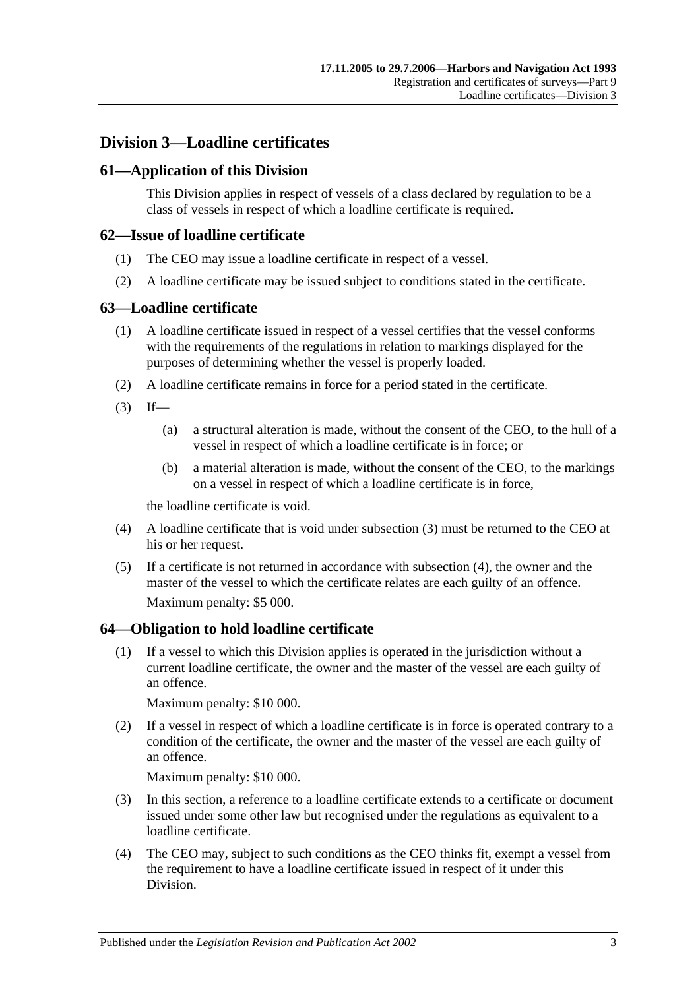## **Division 3—Loadline certificates**

## **61—Application of this Division**

This Division applies in respect of vessels of a class declared by regulation to be a class of vessels in respect of which a loadline certificate is required.

#### **62—Issue of loadline certificate**

- (1) The CEO may issue a loadline certificate in respect of a vessel.
- (2) A loadline certificate may be issued subject to conditions stated in the certificate.

#### **63—Loadline certificate**

- (1) A loadline certificate issued in respect of a vessel certifies that the vessel conforms with the requirements of the regulations in relation to markings displayed for the purposes of determining whether the vessel is properly loaded.
- (2) A loadline certificate remains in force for a period stated in the certificate.
- <span id="page-44-0"></span> $(3)$  If—
	- (a) a structural alteration is made, without the consent of the CEO, to the hull of a vessel in respect of which a loadline certificate is in force; or
	- (b) a material alteration is made, without the consent of the CEO, to the markings on a vessel in respect of which a loadline certificate is in force,

the loadline certificate is void.

- <span id="page-44-1"></span>(4) A loadline certificate that is void under [subsection](#page-44-0) (3) must be returned to the CEO at his or her request.
- (5) If a certificate is not returned in accordance with [subsection](#page-44-1) (4), the owner and the master of the vessel to which the certificate relates are each guilty of an offence. Maximum penalty: \$5 000.

### **64—Obligation to hold loadline certificate**

(1) If a vessel to which this Division applies is operated in the jurisdiction without a current loadline certificate, the owner and the master of the vessel are each guilty of an offence.

Maximum penalty: \$10 000.

(2) If a vessel in respect of which a loadline certificate is in force is operated contrary to a condition of the certificate, the owner and the master of the vessel are each guilty of an offence.

Maximum penalty: \$10 000.

- (3) In this section, a reference to a loadline certificate extends to a certificate or document issued under some other law but recognised under the regulations as equivalent to a loadline certificate.
- (4) The CEO may, subject to such conditions as the CEO thinks fit, exempt a vessel from the requirement to have a loadline certificate issued in respect of it under this Division.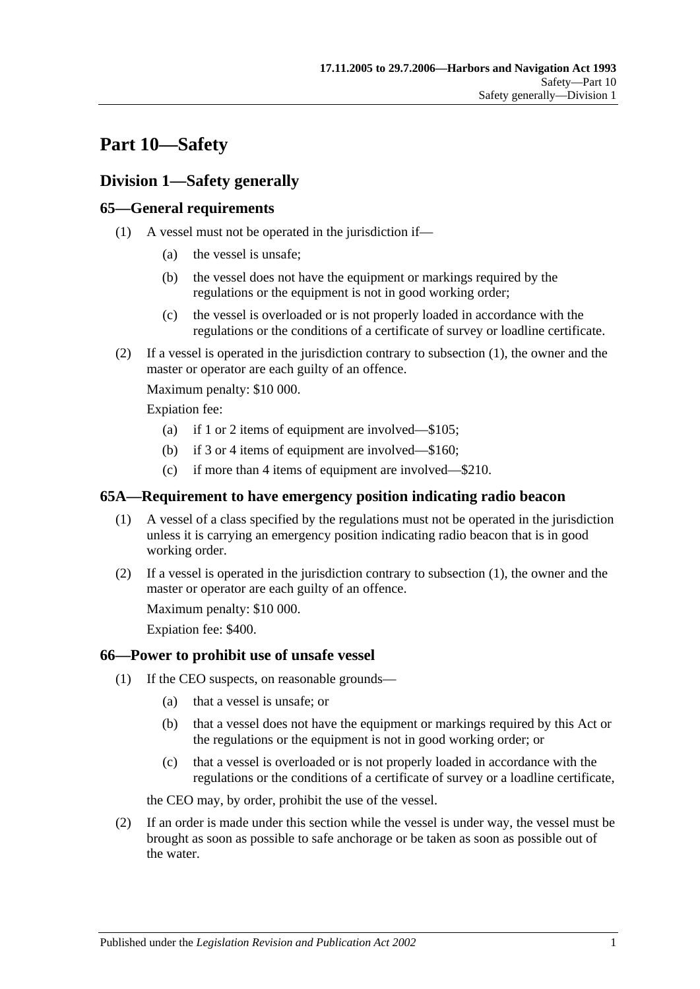# **Part 10—Safety**

# **Division 1—Safety generally**

## <span id="page-46-0"></span>**65—General requirements**

- (1) A vessel must not be operated in the jurisdiction if—
	- (a) the vessel is unsafe;
	- (b) the vessel does not have the equipment or markings required by the regulations or the equipment is not in good working order;
	- (c) the vessel is overloaded or is not properly loaded in accordance with the regulations or the conditions of a certificate of survey or loadline certificate.
- (2) If a vessel is operated in the jurisdiction contrary to [subsection](#page-46-0) (1), the owner and the master or operator are each guilty of an offence.

Maximum penalty: \$10 000.

Expiation fee:

- (a) if 1 or 2 items of equipment are involved—\$105;
- (b) if 3 or 4 items of equipment are involved—\$160;
- (c) if more than 4 items of equipment are involved—\$210.

#### <span id="page-46-1"></span>**65A—Requirement to have emergency position indicating radio beacon**

- (1) A vessel of a class specified by the regulations must not be operated in the jurisdiction unless it is carrying an emergency position indicating radio beacon that is in good working order.
- (2) If a vessel is operated in the jurisdiction contrary to [subsection](#page-46-1) (1), the owner and the master or operator are each guilty of an offence.

Maximum penalty: \$10 000.

Expiation fee: \$400.

### <span id="page-46-3"></span>**66—Power to prohibit use of unsafe vessel**

- (1) If the CEO suspects, on reasonable grounds—
	- (a) that a vessel is unsafe; or
	- (b) that a vessel does not have the equipment or markings required by this Act or the regulations or the equipment is not in good working order; or
	- (c) that a vessel is overloaded or is not properly loaded in accordance with the regulations or the conditions of a certificate of survey or a loadline certificate,

the CEO may, by order, prohibit the use of the vessel.

<span id="page-46-2"></span>(2) If an order is made under this section while the vessel is under way, the vessel must be brought as soon as possible to safe anchorage or be taken as soon as possible out of the water.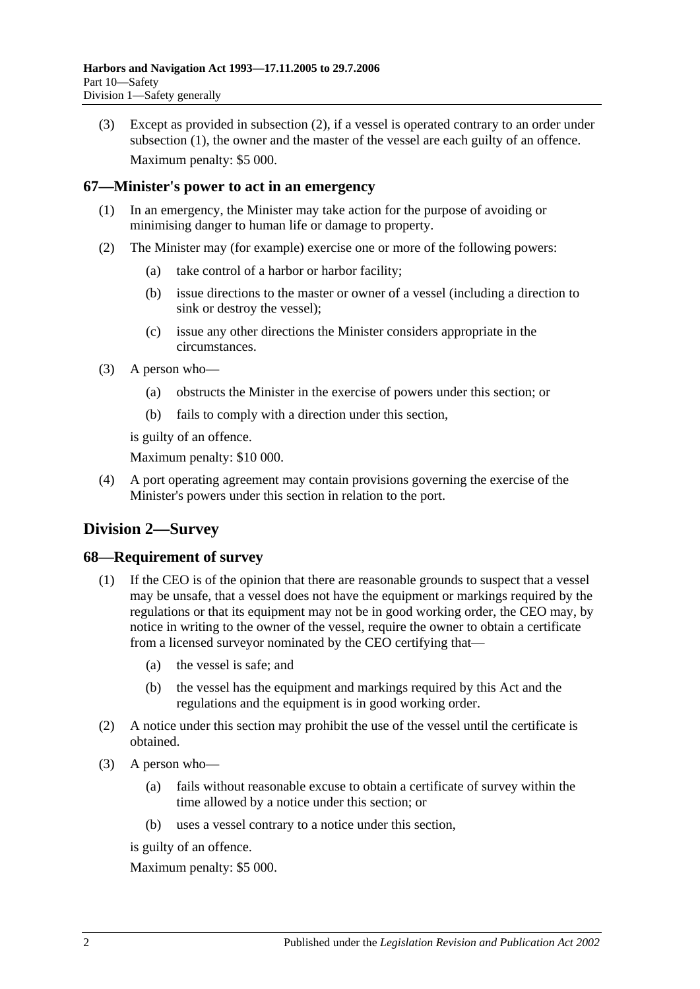(3) Except as provided in [subsection](#page-46-2) (2), if a vessel is operated contrary to an order under [subsection](#page-46-3) (1), the owner and the master of the vessel are each guilty of an offence. Maximum penalty: \$5 000.

#### **67—Minister's power to act in an emergency**

- (1) In an emergency, the Minister may take action for the purpose of avoiding or minimising danger to human life or damage to property.
- (2) The Minister may (for example) exercise one or more of the following powers:
	- (a) take control of a harbor or harbor facility;
	- (b) issue directions to the master or owner of a vessel (including a direction to sink or destroy the vessel);
	- (c) issue any other directions the Minister considers appropriate in the circumstances.
- (3) A person who—
	- (a) obstructs the Minister in the exercise of powers under this section; or
	- (b) fails to comply with a direction under this section,

is guilty of an offence.

Maximum penalty: \$10 000.

(4) A port operating agreement may contain provisions governing the exercise of the Minister's powers under this section in relation to the port.

# **Division 2—Survey**

#### **68—Requirement of survey**

- (1) If the CEO is of the opinion that there are reasonable grounds to suspect that a vessel may be unsafe, that a vessel does not have the equipment or markings required by the regulations or that its equipment may not be in good working order, the CEO may, by notice in writing to the owner of the vessel, require the owner to obtain a certificate from a licensed surveyor nominated by the CEO certifying that—
	- (a) the vessel is safe; and
	- (b) the vessel has the equipment and markings required by this Act and the regulations and the equipment is in good working order.
- (2) A notice under this section may prohibit the use of the vessel until the certificate is obtained.
- (3) A person who—
	- (a) fails without reasonable excuse to obtain a certificate of survey within the time allowed by a notice under this section; or
	- (b) uses a vessel contrary to a notice under this section,

is guilty of an offence.

Maximum penalty: \$5 000.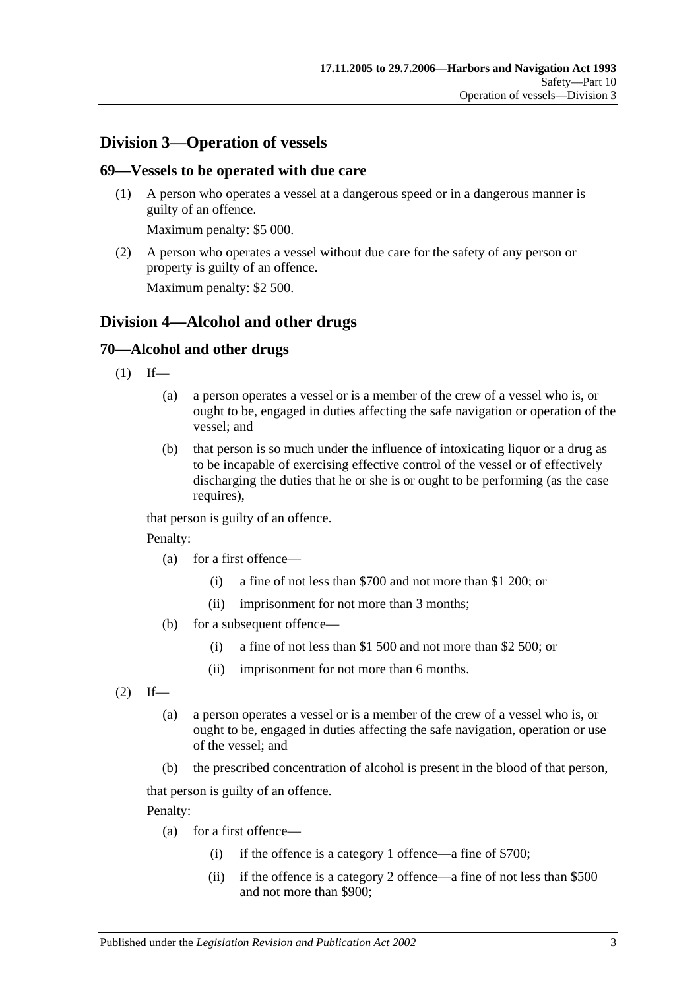## **Division 3—Operation of vessels**

#### **69—Vessels to be operated with due care**

(1) A person who operates a vessel at a dangerous speed or in a dangerous manner is guilty of an offence.

Maximum penalty: \$5 000.

(2) A person who operates a vessel without due care for the safety of any person or property is guilty of an offence.

Maximum penalty: \$2 500.

## **Division 4—Alcohol and other drugs**

### **70—Alcohol and other drugs**

- $(1)$  If—
	- (a) a person operates a vessel or is a member of the crew of a vessel who is, or ought to be, engaged in duties affecting the safe navigation or operation of the vessel; and
	- (b) that person is so much under the influence of intoxicating liquor or a drug as to be incapable of exercising effective control of the vessel or of effectively discharging the duties that he or she is or ought to be performing (as the case requires),

that person is guilty of an offence.

Penalty:

- (a) for a first offence—
	- (i) a fine of not less than \$700 and not more than \$1 200; or
	- (ii) imprisonment for not more than 3 months;
- (b) for a subsequent offence—
	- (i) a fine of not less than \$1 500 and not more than \$2 500; or
	- (ii) imprisonment for not more than 6 months.

<span id="page-48-0"></span> $(2)$  If—

- (a) a person operates a vessel or is a member of the crew of a vessel who is, or ought to be, engaged in duties affecting the safe navigation, operation or use of the vessel; and
- (b) the prescribed concentration of alcohol is present in the blood of that person,

that person is guilty of an offence.

Penalty:

- (a) for a first offence—
	- (i) if the offence is a category 1 offence—a fine of \$700;
	- (ii) if the offence is a category 2 offence—a fine of not less than \$500 and not more than \$900;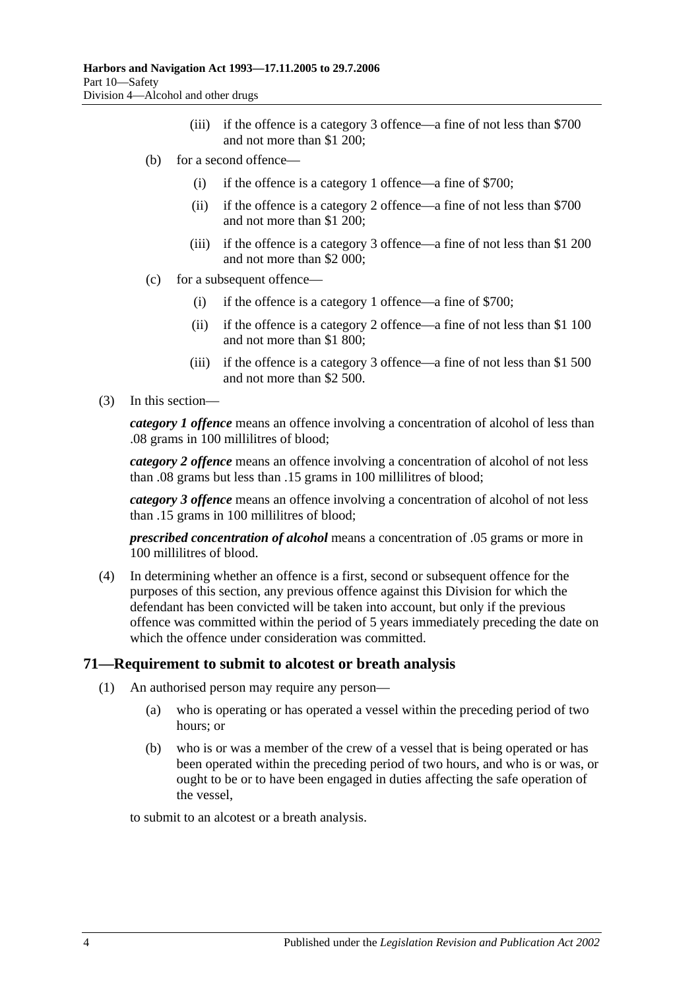- (iii) if the offence is a category 3 offence—a fine of not less than \$700 and not more than \$1 200;
- (b) for a second offence—
	- (i) if the offence is a category 1 offence—a fine of \$700;
	- (ii) if the offence is a category 2 offence—a fine of not less than \$700 and not more than \$1 200;
	- (iii) if the offence is a category 3 offence—a fine of not less than \$1 200 and not more than \$2 000;
- (c) for a subsequent offence—
	- (i) if the offence is a category 1 offence—a fine of \$700;
	- (ii) if the offence is a category 2 offence—a fine of not less than \$1 100 and not more than \$1 800;
	- (iii) if the offence is a category 3 offence—a fine of not less than \$1 500 and not more than \$2 500.
- (3) In this section—

*category 1 offence* means an offence involving a concentration of alcohol of less than .08 grams in 100 millilitres of blood;

*category 2 offence* means an offence involving a concentration of alcohol of not less than .08 grams but less than .15 grams in 100 millilitres of blood;

*category 3 offence* means an offence involving a concentration of alcohol of not less than .15 grams in 100 millilitres of blood;

*prescribed concentration of alcohol* means a concentration of .05 grams or more in 100 millilitres of blood.

(4) In determining whether an offence is a first, second or subsequent offence for the purposes of this section, any previous offence against this Division for which the defendant has been convicted will be taken into account, but only if the previous offence was committed within the period of 5 years immediately preceding the date on which the offence under consideration was committed.

### <span id="page-49-0"></span>**71—Requirement to submit to alcotest or breath analysis**

- (1) An authorised person may require any person—
	- (a) who is operating or has operated a vessel within the preceding period of two hours; or
	- (b) who is or was a member of the crew of a vessel that is being operated or has been operated within the preceding period of two hours, and who is or was, or ought to be or to have been engaged in duties affecting the safe operation of the vessel,

to submit to an alcotest or a breath analysis.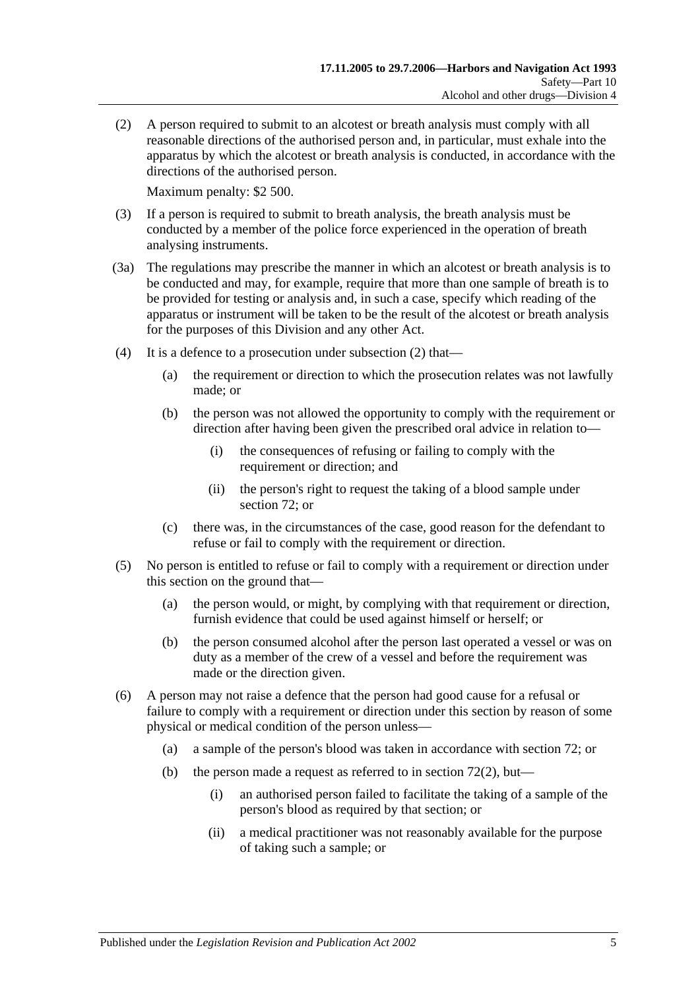<span id="page-50-0"></span>(2) A person required to submit to an alcotest or breath analysis must comply with all reasonable directions of the authorised person and, in particular, must exhale into the apparatus by which the alcotest or breath analysis is conducted, in accordance with the directions of the authorised person.

Maximum penalty: \$2 500.

- (3) If a person is required to submit to breath analysis, the breath analysis must be conducted by a member of the police force experienced in the operation of breath analysing instruments.
- (3a) The regulations may prescribe the manner in which an alcotest or breath analysis is to be conducted and may, for example, require that more than one sample of breath is to be provided for testing or analysis and, in such a case, specify which reading of the apparatus or instrument will be taken to be the result of the alcotest or breath analysis for the purposes of this Division and any other Act.
- (4) It is a defence to a prosecution under [subsection](#page-50-0) (2) that—
	- (a) the requirement or direction to which the prosecution relates was not lawfully made; or
	- (b) the person was not allowed the opportunity to comply with the requirement or direction after having been given the prescribed oral advice in relation to—
		- (i) the consequences of refusing or failing to comply with the requirement or direction; and
		- (ii) the person's right to request the taking of a blood sample under [section](#page-51-0) 72; or
	- (c) there was, in the circumstances of the case, good reason for the defendant to refuse or fail to comply with the requirement or direction.
- (5) No person is entitled to refuse or fail to comply with a requirement or direction under this section on the ground that—
	- (a) the person would, or might, by complying with that requirement or direction, furnish evidence that could be used against himself or herself; or
	- (b) the person consumed alcohol after the person last operated a vessel or was on duty as a member of the crew of a vessel and before the requirement was made or the direction given.
- (6) A person may not raise a defence that the person had good cause for a refusal or failure to comply with a requirement or direction under this section by reason of some physical or medical condition of the person unless—
	- (a) a sample of the person's blood was taken in accordance with [section](#page-51-0) 72; or
	- (b) the person made a request as referred to in [section](#page-51-1)  $72(2)$ , but—
		- (i) an authorised person failed to facilitate the taking of a sample of the person's blood as required by that section; or
		- (ii) a medical practitioner was not reasonably available for the purpose of taking such a sample; or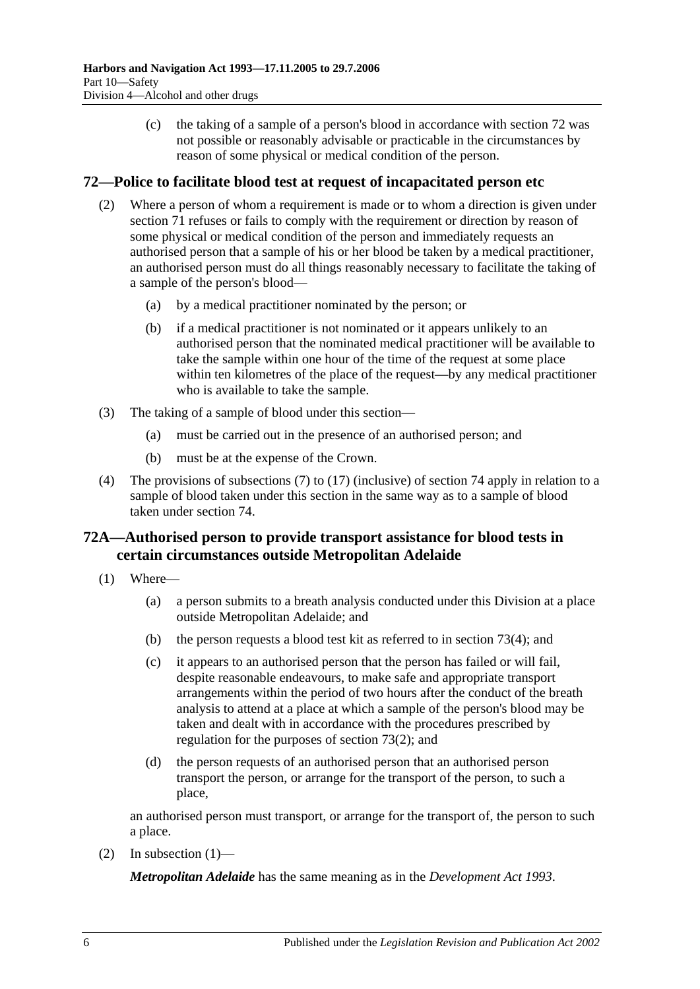(c) the taking of a sample of a person's blood in accordance with [section](#page-51-0) 72 was not possible or reasonably advisable or practicable in the circumstances by reason of some physical or medical condition of the person.

### <span id="page-51-1"></span><span id="page-51-0"></span>**72—Police to facilitate blood test at request of incapacitated person etc**

- (2) Where a person of whom a requirement is made or to whom a direction is given under [section](#page-49-0) 71 refuses or fails to comply with the requirement or direction by reason of some physical or medical condition of the person and immediately requests an authorised person that a sample of his or her blood be taken by a medical practitioner, an authorised person must do all things reasonably necessary to facilitate the taking of a sample of the person's blood—
	- (a) by a medical practitioner nominated by the person; or
	- (b) if a medical practitioner is not nominated or it appears unlikely to an authorised person that the nominated medical practitioner will be available to take the sample within one hour of the time of the request at some place within ten kilometres of the place of the request—by any medical practitioner who is available to take the sample.
- (3) The taking of a sample of blood under this section—
	- (a) must be carried out in the presence of an authorised person; and
	- (b) must be at the expense of the Crown.
- (4) The provisions of [subsections](#page-55-0) (7) to [\(17\)](#page-57-0) (inclusive) of [section](#page-55-1) 74 apply in relation to a sample of blood taken under this section in the same way as to a sample of blood taken under [section](#page-55-1) 74.

## **72A—Authorised person to provide transport assistance for blood tests in certain circumstances outside Metropolitan Adelaide**

- <span id="page-51-2"></span>(1) Where—
	- (a) a person submits to a breath analysis conducted under this Division at a place outside Metropolitan Adelaide; and
	- (b) the person requests a blood test kit as referred to in [section](#page-53-0) 73(4); and
	- (c) it appears to an authorised person that the person has failed or will fail, despite reasonable endeavours, to make safe and appropriate transport arrangements within the period of two hours after the conduct of the breath analysis to attend at a place at which a sample of the person's blood may be taken and dealt with in accordance with the procedures prescribed by regulation for the purposes of [section](#page-52-0) 73(2); and
	- (d) the person requests of an authorised person that an authorised person transport the person, or arrange for the transport of the person, to such a place,

an authorised person must transport, or arrange for the transport of, the person to such a place.

(2) In [subsection](#page-51-2)  $(1)$ —

*Metropolitan Adelaide* has the same meaning as in the *[Development Act](http://www.legislation.sa.gov.au/index.aspx?action=legref&type=act&legtitle=Development%20Act%201993) 1993*.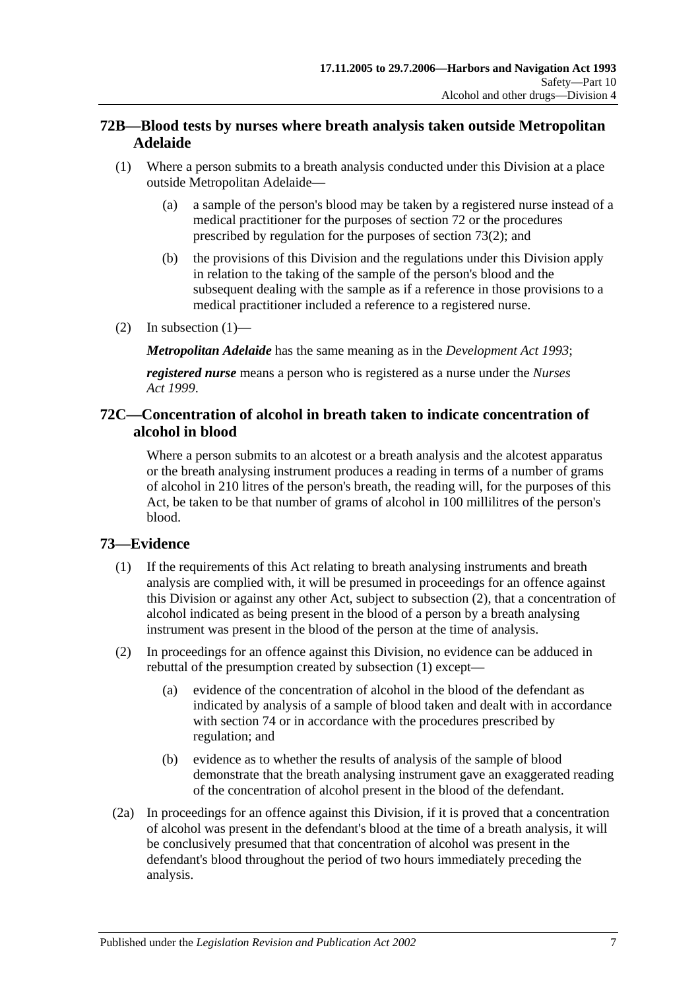## **72B—Blood tests by nurses where breath analysis taken outside Metropolitan Adelaide**

- <span id="page-52-1"></span>(1) Where a person submits to a breath analysis conducted under this Division at a place outside Metropolitan Adelaide—
	- (a) a sample of the person's blood may be taken by a registered nurse instead of a medical practitioner for the purposes of [section](#page-51-0) 72 or the procedures prescribed by regulation for the purposes of [section](#page-52-0) 73(2); and
	- (b) the provisions of this Division and the regulations under this Division apply in relation to the taking of the sample of the person's blood and the subsequent dealing with the sample as if a reference in those provisions to a medical practitioner included a reference to a registered nurse.
- (2) In [subsection](#page-52-1)  $(1)$ —

*Metropolitan Adelaide* has the same meaning as in the *[Development Act](http://www.legislation.sa.gov.au/index.aspx?action=legref&type=act&legtitle=Development%20Act%201993) 1993*;

*registered nurse* means a person who is registered as a nurse under the *[Nurses](http://www.legislation.sa.gov.au/index.aspx?action=legref&type=act&legtitle=Nurses%20Act%201999)  Act [1999](http://www.legislation.sa.gov.au/index.aspx?action=legref&type=act&legtitle=Nurses%20Act%201999)*.

### **72C—Concentration of alcohol in breath taken to indicate concentration of alcohol in blood**

Where a person submits to an alcotest or a breath analysis and the alcotest apparatus or the breath analysing instrument produces a reading in terms of a number of grams of alcohol in 210 litres of the person's breath, the reading will, for the purposes of this Act, be taken to be that number of grams of alcohol in 100 millilitres of the person's blood.

## <span id="page-52-2"></span>**73—Evidence**

- (1) If the requirements of this Act relating to breath analysing instruments and breath analysis are complied with, it will be presumed in proceedings for an offence against this Division or against any other Act, subject to [subsection](#page-52-0) (2), that a concentration of alcohol indicated as being present in the blood of a person by a breath analysing instrument was present in the blood of the person at the time of analysis.
- <span id="page-52-0"></span>(2) In proceedings for an offence against this Division, no evidence can be adduced in rebuttal of the presumption created by [subsection](#page-52-2) (1) except—
	- (a) evidence of the concentration of alcohol in the blood of the defendant as indicated by analysis of a sample of blood taken and dealt with in accordance with [section](#page-55-1) 74 or in accordance with the procedures prescribed by regulation; and
	- (b) evidence as to whether the results of analysis of the sample of blood demonstrate that the breath analysing instrument gave an exaggerated reading of the concentration of alcohol present in the blood of the defendant.
- (2a) In proceedings for an offence against this Division, if it is proved that a concentration of alcohol was present in the defendant's blood at the time of a breath analysis, it will be conclusively presumed that that concentration of alcohol was present in the defendant's blood throughout the period of two hours immediately preceding the analysis.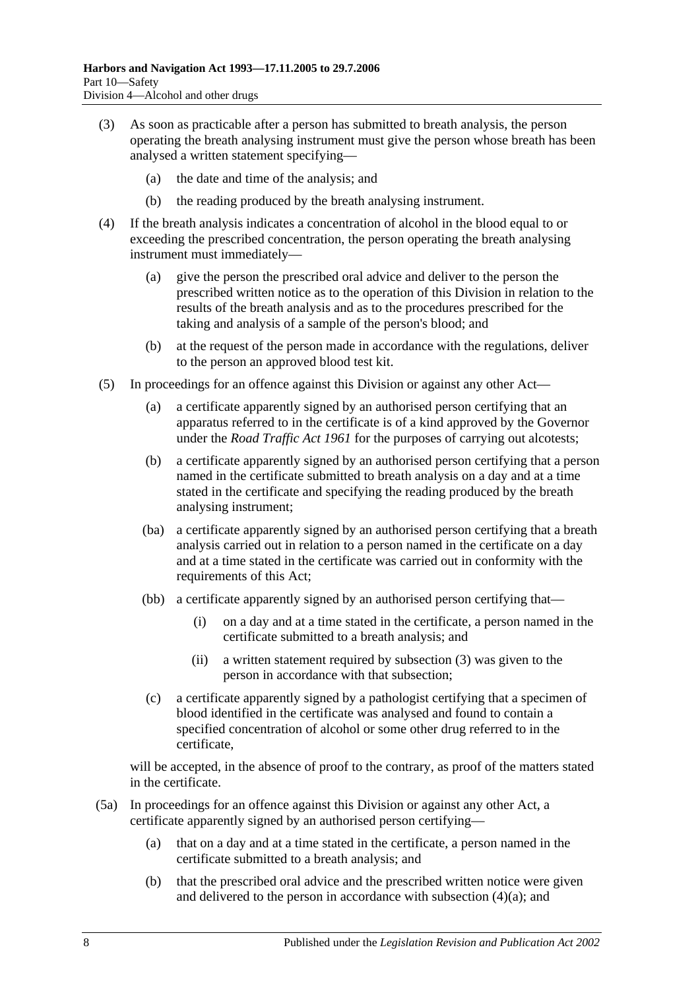- <span id="page-53-1"></span>(3) As soon as practicable after a person has submitted to breath analysis, the person operating the breath analysing instrument must give the person whose breath has been analysed a written statement specifying—
	- (a) the date and time of the analysis; and
	- (b) the reading produced by the breath analysing instrument.
- <span id="page-53-2"></span><span id="page-53-0"></span>(4) If the breath analysis indicates a concentration of alcohol in the blood equal to or exceeding the prescribed concentration, the person operating the breath analysing instrument must immediately—
	- (a) give the person the prescribed oral advice and deliver to the person the prescribed written notice as to the operation of this Division in relation to the results of the breath analysis and as to the procedures prescribed for the taking and analysis of a sample of the person's blood; and
	- (b) at the request of the person made in accordance with the regulations, deliver to the person an approved blood test kit.
- <span id="page-53-3"></span>(5) In proceedings for an offence against this Division or against any other Act—
	- (a) a certificate apparently signed by an authorised person certifying that an apparatus referred to in the certificate is of a kind approved by the Governor under the *[Road Traffic Act](http://www.legislation.sa.gov.au/index.aspx?action=legref&type=act&legtitle=Road%20Traffic%20Act%201961) 1961* for the purposes of carrying out alcotests;
	- (b) a certificate apparently signed by an authorised person certifying that a person named in the certificate submitted to breath analysis on a day and at a time stated in the certificate and specifying the reading produced by the breath analysing instrument;
	- (ba) a certificate apparently signed by an authorised person certifying that a breath analysis carried out in relation to a person named in the certificate on a day and at a time stated in the certificate was carried out in conformity with the requirements of this Act;
	- (bb) a certificate apparently signed by an authorised person certifying that—
		- (i) on a day and at a time stated in the certificate, a person named in the certificate submitted to a breath analysis; and
		- (ii) a written statement required by [subsection](#page-53-1) (3) was given to the person in accordance with that subsection;
	- (c) a certificate apparently signed by a pathologist certifying that a specimen of blood identified in the certificate was analysed and found to contain a specified concentration of alcohol or some other drug referred to in the certificate,

will be accepted, in the absence of proof to the contrary, as proof of the matters stated in the certificate.

- (5a) In proceedings for an offence against this Division or against any other Act, a certificate apparently signed by an authorised person certifying—
	- (a) that on a day and at a time stated in the certificate, a person named in the certificate submitted to a breath analysis; and
	- (b) that the prescribed oral advice and the prescribed written notice were given and delivered to the person in accordance with [subsection](#page-53-2) (4)(a); and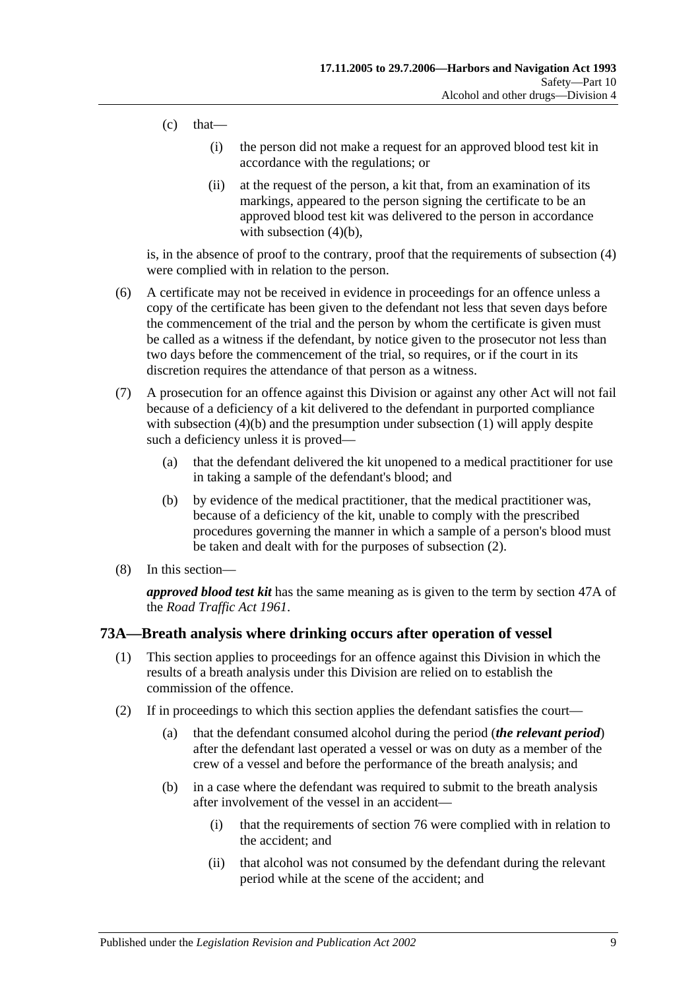- $(c)$  that—
	- (i) the person did not make a request for an approved blood test kit in accordance with the regulations; or
	- (ii) at the request of the person, a kit that, from an examination of its markings, appeared to the person signing the certificate to be an approved blood test kit was delivered to the person in accordance with [subsection](#page-53-3)  $(4)(b)$ ,

is, in the absence of proof to the contrary, proof that the requirements of [subsection](#page-53-0) (4) were complied with in relation to the person.

- (6) A certificate may not be received in evidence in proceedings for an offence unless a copy of the certificate has been given to the defendant not less that seven days before the commencement of the trial and the person by whom the certificate is given must be called as a witness if the defendant, by notice given to the prosecutor not less than two days before the commencement of the trial, so requires, or if the court in its discretion requires the attendance of that person as a witness.
- (7) A prosecution for an offence against this Division or against any other Act will not fail because of a deficiency of a kit delivered to the defendant in purported compliance with [subsection](#page-52-2) (4)(b) and the presumption under subsection (1) will apply despite such a deficiency unless it is proved—
	- (a) that the defendant delivered the kit unopened to a medical practitioner for use in taking a sample of the defendant's blood; and
	- (b) by evidence of the medical practitioner, that the medical practitioner was, because of a deficiency of the kit, unable to comply with the prescribed procedures governing the manner in which a sample of a person's blood must be taken and dealt with for the purposes of [subsection](#page-52-0) (2).
- (8) In this section—

*approved blood test kit* has the same meaning as is given to the term by section 47A of the *[Road Traffic Act](http://www.legislation.sa.gov.au/index.aspx?action=legref&type=act&legtitle=Road%20Traffic%20Act%201961) 1961*.

### **73A—Breath analysis where drinking occurs after operation of vessel**

- (1) This section applies to proceedings for an offence against this Division in which the results of a breath analysis under this Division are relied on to establish the commission of the offence.
- (2) If in proceedings to which this section applies the defendant satisfies the court—
	- (a) that the defendant consumed alcohol during the period (*the relevant period*) after the defendant last operated a vessel or was on duty as a member of the crew of a vessel and before the performance of the breath analysis; and
	- (b) in a case where the defendant was required to submit to the breath analysis after involvement of the vessel in an accident—
		- (i) that the requirements of [section](#page-60-0) 76 were complied with in relation to the accident; and
		- (ii) that alcohol was not consumed by the defendant during the relevant period while at the scene of the accident; and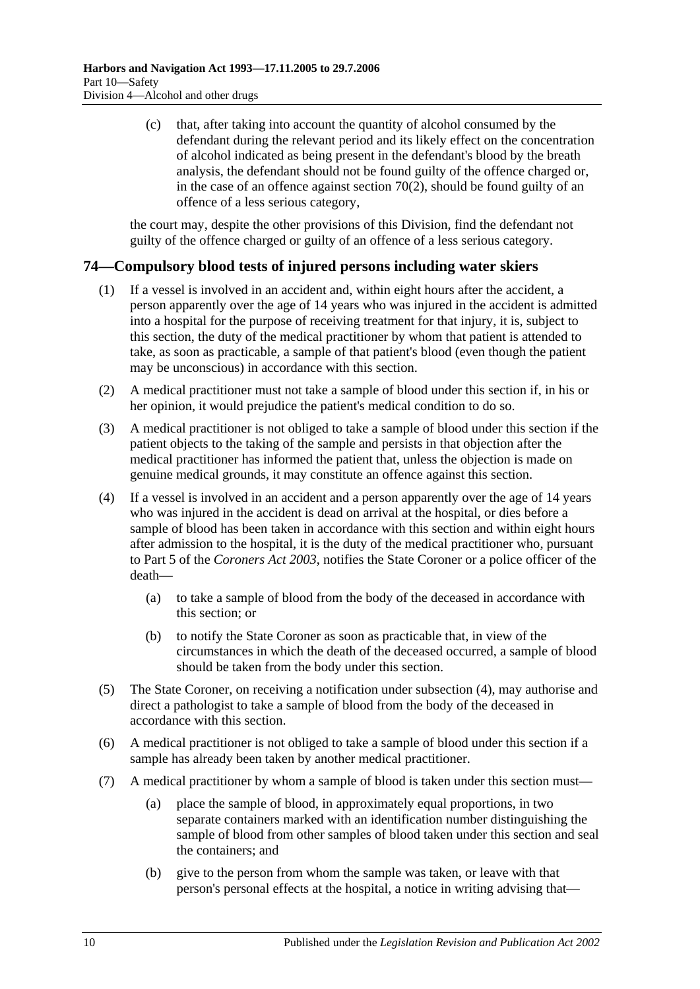(c) that, after taking into account the quantity of alcohol consumed by the defendant during the relevant period and its likely effect on the concentration of alcohol indicated as being present in the defendant's blood by the breath analysis, the defendant should not be found guilty of the offence charged or, in the case of an offence against [section](#page-48-0)  $70(2)$ , should be found guilty of an offence of a less serious category,

the court may, despite the other provisions of this Division, find the defendant not guilty of the offence charged or guilty of an offence of a less serious category.

## <span id="page-55-1"></span>**74—Compulsory blood tests of injured persons including water skiers**

- (1) If a vessel is involved in an accident and, within eight hours after the accident, a person apparently over the age of 14 years who was injured in the accident is admitted into a hospital for the purpose of receiving treatment for that injury, it is, subject to this section, the duty of the medical practitioner by whom that patient is attended to take, as soon as practicable, a sample of that patient's blood (even though the patient may be unconscious) in accordance with this section.
- (2) A medical practitioner must not take a sample of blood under this section if, in his or her opinion, it would prejudice the patient's medical condition to do so.
- (3) A medical practitioner is not obliged to take a sample of blood under this section if the patient objects to the taking of the sample and persists in that objection after the medical practitioner has informed the patient that, unless the objection is made on genuine medical grounds, it may constitute an offence against this section.
- (4) If a vessel is involved in an accident and a person apparently over the age of 14 years who was injured in the accident is dead on arrival at the hospital, or dies before a sample of blood has been taken in accordance with this section and within eight hours after admission to the hospital, it is the duty of the medical practitioner who, pursuant to Part 5 of the *[Coroners Act](http://www.legislation.sa.gov.au/index.aspx?action=legref&type=act&legtitle=Coroners%20Act%202003) 2003*, notifies the State Coroner or a police officer of the death—
	- (a) to take a sample of blood from the body of the deceased in accordance with this section; or
	- (b) to notify the State Coroner as soon as practicable that, in view of the circumstances in which the death of the deceased occurred, a sample of blood should be taken from the body under this section.
- (5) The State Coroner, on receiving a notification under subsection (4), may authorise and direct a pathologist to take a sample of blood from the body of the deceased in accordance with this section.
- (6) A medical practitioner is not obliged to take a sample of blood under this section if a sample has already been taken by another medical practitioner.
- <span id="page-55-0"></span>(7) A medical practitioner by whom a sample of blood is taken under this section must—
	- (a) place the sample of blood, in approximately equal proportions, in two separate containers marked with an identification number distinguishing the sample of blood from other samples of blood taken under this section and seal the containers; and
	- (b) give to the person from whom the sample was taken, or leave with that person's personal effects at the hospital, a notice in writing advising that—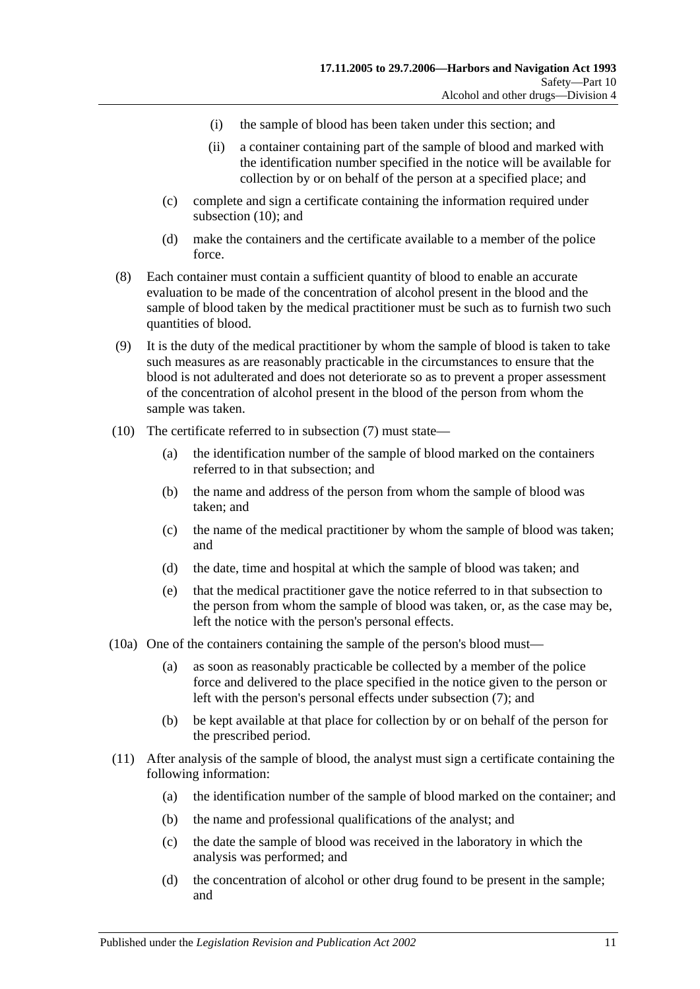- (i) the sample of blood has been taken under this section; and
- (ii) a container containing part of the sample of blood and marked with the identification number specified in the notice will be available for collection by or on behalf of the person at a specified place; and
- (c) complete and sign a certificate containing the information required under [subsection](#page-56-0) (10); and
- (d) make the containers and the certificate available to a member of the police force.
- (8) Each container must contain a sufficient quantity of blood to enable an accurate evaluation to be made of the concentration of alcohol present in the blood and the sample of blood taken by the medical practitioner must be such as to furnish two such quantities of blood.
- (9) It is the duty of the medical practitioner by whom the sample of blood is taken to take such measures as are reasonably practicable in the circumstances to ensure that the blood is not adulterated and does not deteriorate so as to prevent a proper assessment of the concentration of alcohol present in the blood of the person from whom the sample was taken.
- <span id="page-56-0"></span>(10) The certificate referred to in [subsection](#page-55-0) (7) must state—
	- (a) the identification number of the sample of blood marked on the containers referred to in that subsection; and
	- (b) the name and address of the person from whom the sample of blood was taken; and
	- (c) the name of the medical practitioner by whom the sample of blood was taken; and
	- (d) the date, time and hospital at which the sample of blood was taken; and
	- (e) that the medical practitioner gave the notice referred to in that subsection to the person from whom the sample of blood was taken, or, as the case may be, left the notice with the person's personal effects.
- (10a) One of the containers containing the sample of the person's blood must—
	- (a) as soon as reasonably practicable be collected by a member of the police force and delivered to the place specified in the notice given to the person or left with the person's personal effects under [subsection](#page-55-0) (7); and
	- (b) be kept available at that place for collection by or on behalf of the person for the prescribed period.
- (11) After analysis of the sample of blood, the analyst must sign a certificate containing the following information:
	- (a) the identification number of the sample of blood marked on the container; and
	- (b) the name and professional qualifications of the analyst; and
	- (c) the date the sample of blood was received in the laboratory in which the analysis was performed; and
	- (d) the concentration of alcohol or other drug found to be present in the sample; and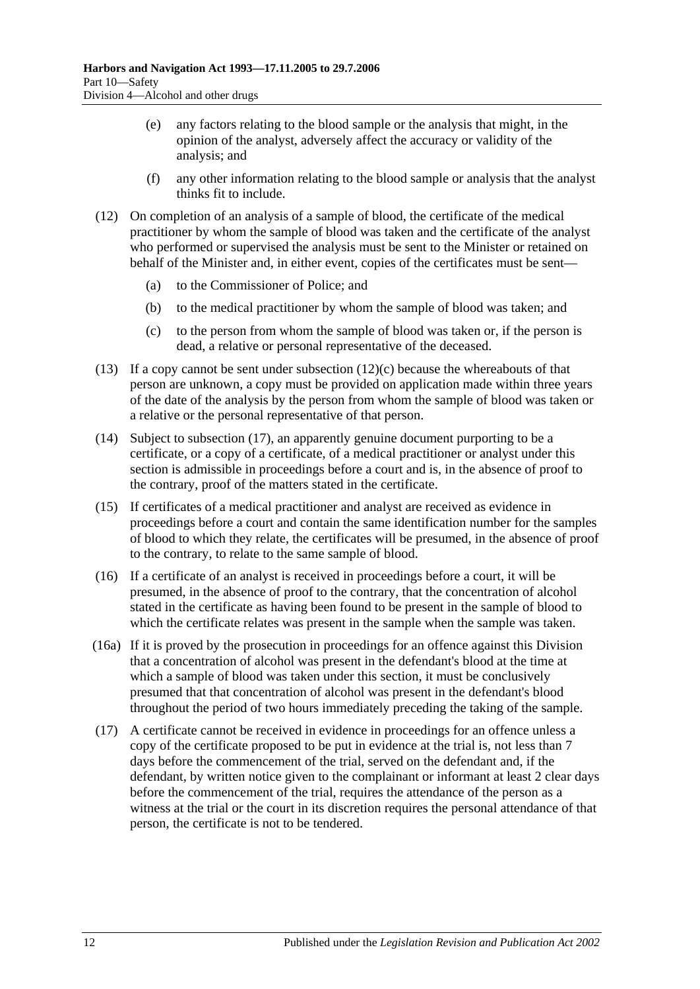- (e) any factors relating to the blood sample or the analysis that might, in the opinion of the analyst, adversely affect the accuracy or validity of the analysis; and
- (f) any other information relating to the blood sample or analysis that the analyst thinks fit to include.
- (12) On completion of an analysis of a sample of blood, the certificate of the medical practitioner by whom the sample of blood was taken and the certificate of the analyst who performed or supervised the analysis must be sent to the Minister or retained on behalf of the Minister and, in either event, copies of the certificates must be sent—
	- (a) to the Commissioner of Police; and
	- (b) to the medical practitioner by whom the sample of blood was taken; and
	- (c) to the person from whom the sample of blood was taken or, if the person is dead, a relative or personal representative of the deceased.
- <span id="page-57-1"></span>(13) If a copy cannot be sent under [subsection](#page-57-1)  $(12)(c)$  because the whereabouts of that person are unknown, a copy must be provided on application made within three years of the date of the analysis by the person from whom the sample of blood was taken or a relative or the personal representative of that person.
- (14) Subject to [subsection](#page-57-0) (17), an apparently genuine document purporting to be a certificate, or a copy of a certificate, of a medical practitioner or analyst under this section is admissible in proceedings before a court and is, in the absence of proof to the contrary, proof of the matters stated in the certificate.
- (15) If certificates of a medical practitioner and analyst are received as evidence in proceedings before a court and contain the same identification number for the samples of blood to which they relate, the certificates will be presumed, in the absence of proof to the contrary, to relate to the same sample of blood.
- (16) If a certificate of an analyst is received in proceedings before a court, it will be presumed, in the absence of proof to the contrary, that the concentration of alcohol stated in the certificate as having been found to be present in the sample of blood to which the certificate relates was present in the sample when the sample was taken.
- (16a) If it is proved by the prosecution in proceedings for an offence against this Division that a concentration of alcohol was present in the defendant's blood at the time at which a sample of blood was taken under this section, it must be conclusively presumed that that concentration of alcohol was present in the defendant's blood throughout the period of two hours immediately preceding the taking of the sample.
- <span id="page-57-0"></span>(17) A certificate cannot be received in evidence in proceedings for an offence unless a copy of the certificate proposed to be put in evidence at the trial is, not less than 7 days before the commencement of the trial, served on the defendant and, if the defendant, by written notice given to the complainant or informant at least 2 clear days before the commencement of the trial, requires the attendance of the person as a witness at the trial or the court in its discretion requires the personal attendance of that person, the certificate is not to be tendered.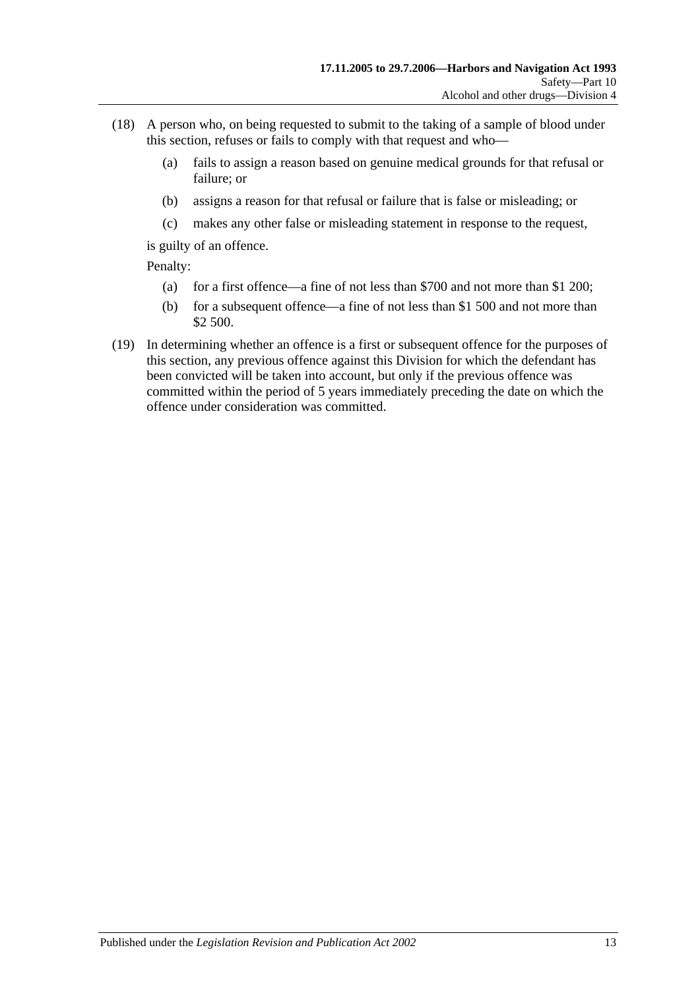- (18) A person who, on being requested to submit to the taking of a sample of blood under this section, refuses or fails to comply with that request and who—
	- (a) fails to assign a reason based on genuine medical grounds for that refusal or failure; or
	- (b) assigns a reason for that refusal or failure that is false or misleading; or
	- (c) makes any other false or misleading statement in response to the request,

is guilty of an offence.

Penalty:

- (a) for a first offence—a fine of not less than \$700 and not more than \$1 200;
- (b) for a subsequent offence—a fine of not less than \$1 500 and not more than \$2 500.
- (19) In determining whether an offence is a first or subsequent offence for the purposes of this section, any previous offence against this Division for which the defendant has been convicted will be taken into account, but only if the previous offence was committed within the period of 5 years immediately preceding the date on which the offence under consideration was committed.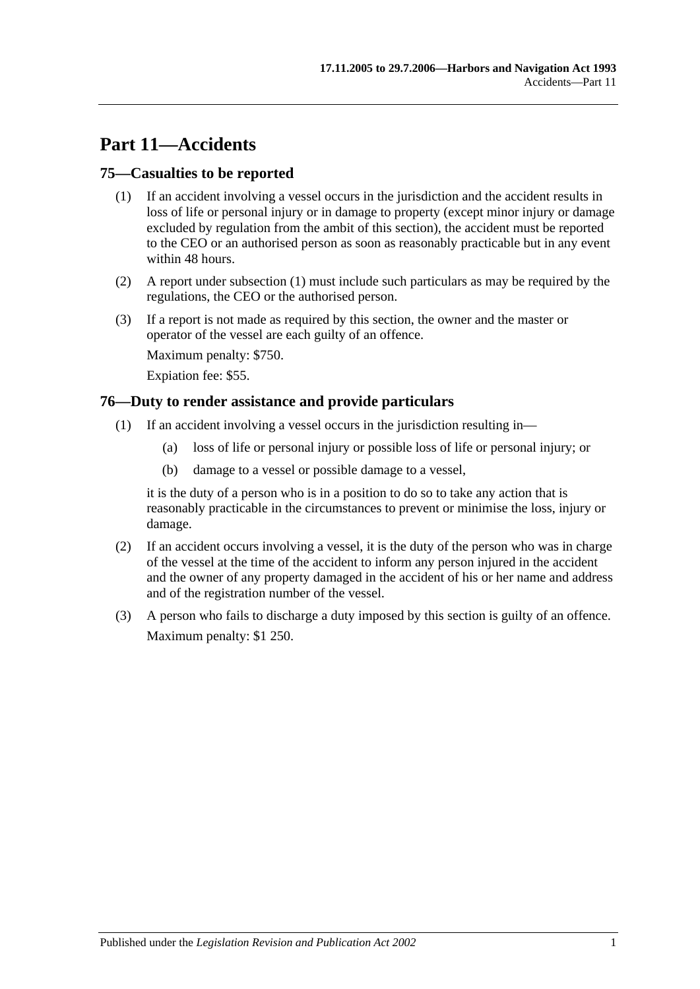# **Part 11—Accidents**

### <span id="page-60-1"></span>**75—Casualties to be reported**

- (1) If an accident involving a vessel occurs in the jurisdiction and the accident results in loss of life or personal injury or in damage to property (except minor injury or damage excluded by regulation from the ambit of this section), the accident must be reported to the CEO or an authorised person as soon as reasonably practicable but in any event within 48 hours.
- (2) A report under [subsection](#page-60-1) (1) must include such particulars as may be required by the regulations, the CEO or the authorised person.
- (3) If a report is not made as required by this section, the owner and the master or operator of the vessel are each guilty of an offence.

Maximum penalty: \$750.

Expiation fee: \$55.

### <span id="page-60-0"></span>**76—Duty to render assistance and provide particulars**

- (1) If an accident involving a vessel occurs in the jurisdiction resulting in—
	- (a) loss of life or personal injury or possible loss of life or personal injury; or
	- (b) damage to a vessel or possible damage to a vessel,

it is the duty of a person who is in a position to do so to take any action that is reasonably practicable in the circumstances to prevent or minimise the loss, injury or damage.

- (2) If an accident occurs involving a vessel, it is the duty of the person who was in charge of the vessel at the time of the accident to inform any person injured in the accident and the owner of any property damaged in the accident of his or her name and address and of the registration number of the vessel.
- (3) A person who fails to discharge a duty imposed by this section is guilty of an offence. Maximum penalty: \$1 250.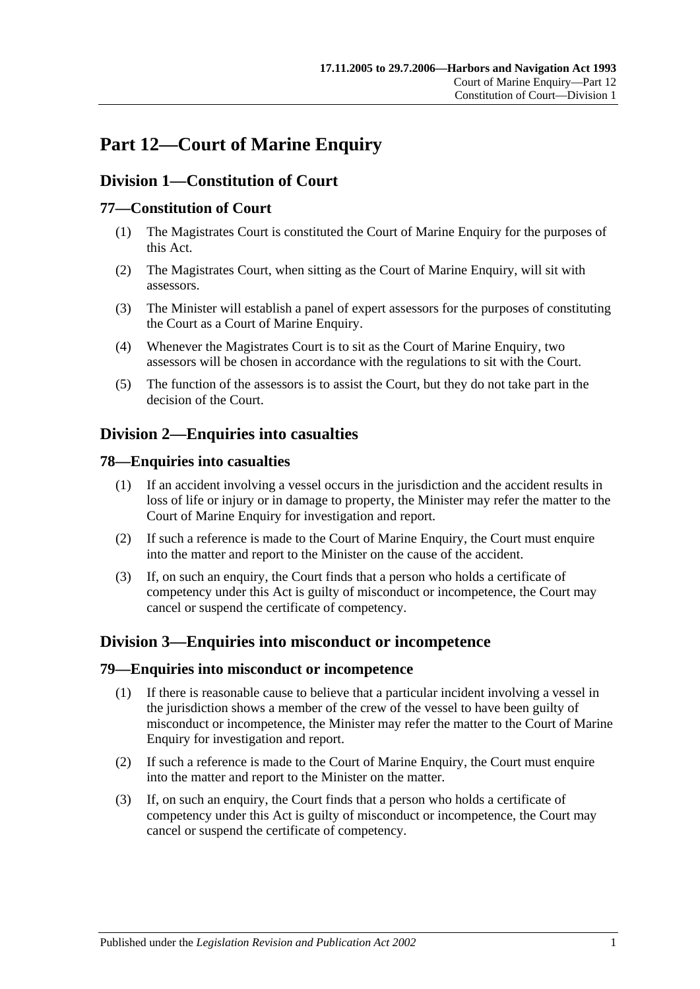# **Part 12—Court of Marine Enquiry**

# **Division 1—Constitution of Court**

## **77—Constitution of Court**

- (1) The Magistrates Court is constituted the Court of Marine Enquiry for the purposes of this Act.
- (2) The Magistrates Court, when sitting as the Court of Marine Enquiry, will sit with assessors.
- (3) The Minister will establish a panel of expert assessors for the purposes of constituting the Court as a Court of Marine Enquiry.
- (4) Whenever the Magistrates Court is to sit as the Court of Marine Enquiry, two assessors will be chosen in accordance with the regulations to sit with the Court.
- (5) The function of the assessors is to assist the Court, but they do not take part in the decision of the Court.

## **Division 2—Enquiries into casualties**

### **78—Enquiries into casualties**

- (1) If an accident involving a vessel occurs in the jurisdiction and the accident results in loss of life or injury or in damage to property, the Minister may refer the matter to the Court of Marine Enquiry for investigation and report.
- (2) If such a reference is made to the Court of Marine Enquiry, the Court must enquire into the matter and report to the Minister on the cause of the accident.
- (3) If, on such an enquiry, the Court finds that a person who holds a certificate of competency under this Act is guilty of misconduct or incompetence, the Court may cancel or suspend the certificate of competency.

## **Division 3—Enquiries into misconduct or incompetence**

#### **79—Enquiries into misconduct or incompetence**

- (1) If there is reasonable cause to believe that a particular incident involving a vessel in the jurisdiction shows a member of the crew of the vessel to have been guilty of misconduct or incompetence, the Minister may refer the matter to the Court of Marine Enquiry for investigation and report.
- (2) If such a reference is made to the Court of Marine Enquiry, the Court must enquire into the matter and report to the Minister on the matter.
- (3) If, on such an enquiry, the Court finds that a person who holds a certificate of competency under this Act is guilty of misconduct or incompetence, the Court may cancel or suspend the certificate of competency.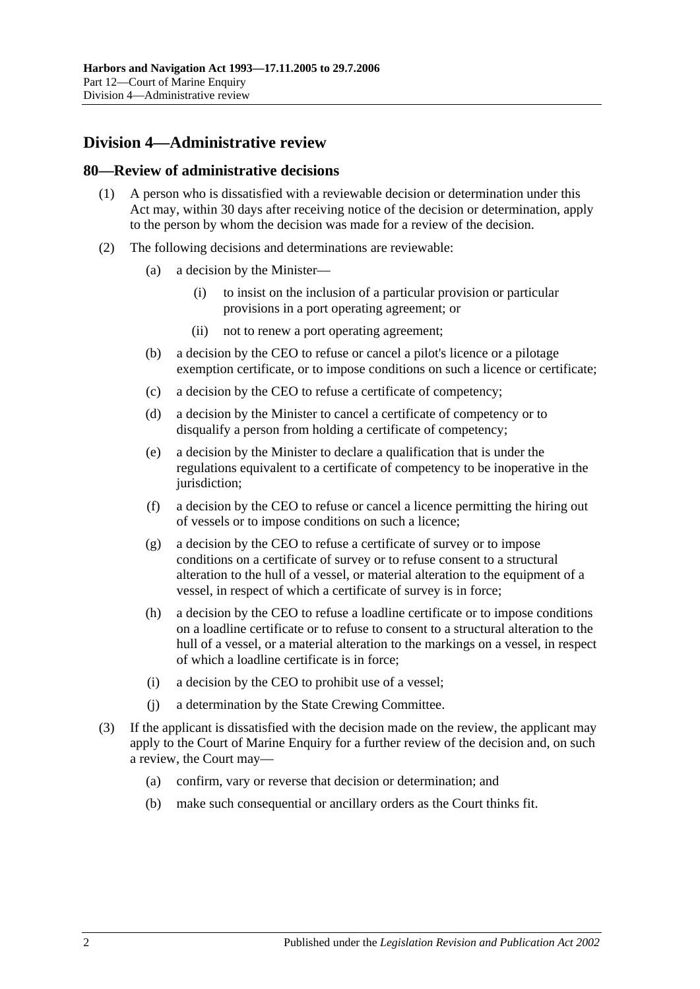# **Division 4—Administrative review**

#### **80—Review of administrative decisions**

- (1) A person who is dissatisfied with a reviewable decision or determination under this Act may, within 30 days after receiving notice of the decision or determination, apply to the person by whom the decision was made for a review of the decision.
- (2) The following decisions and determinations are reviewable:
	- (a) a decision by the Minister—
		- (i) to insist on the inclusion of a particular provision or particular provisions in a port operating agreement; or
		- (ii) not to renew a port operating agreement;
	- (b) a decision by the CEO to refuse or cancel a pilot's licence or a pilotage exemption certificate, or to impose conditions on such a licence or certificate;
	- (c) a decision by the CEO to refuse a certificate of competency;
	- (d) a decision by the Minister to cancel a certificate of competency or to disqualify a person from holding a certificate of competency;
	- (e) a decision by the Minister to declare a qualification that is under the regulations equivalent to a certificate of competency to be inoperative in the jurisdiction:
	- (f) a decision by the CEO to refuse or cancel a licence permitting the hiring out of vessels or to impose conditions on such a licence;
	- (g) a decision by the CEO to refuse a certificate of survey or to impose conditions on a certificate of survey or to refuse consent to a structural alteration to the hull of a vessel, or material alteration to the equipment of a vessel, in respect of which a certificate of survey is in force;
	- (h) a decision by the CEO to refuse a loadline certificate or to impose conditions on a loadline certificate or to refuse to consent to a structural alteration to the hull of a vessel, or a material alteration to the markings on a vessel, in respect of which a loadline certificate is in force;
	- (i) a decision by the CEO to prohibit use of a vessel;
	- (j) a determination by the State Crewing Committee.
- (3) If the applicant is dissatisfied with the decision made on the review, the applicant may apply to the Court of Marine Enquiry for a further review of the decision and, on such a review, the Court may—
	- (a) confirm, vary or reverse that decision or determination; and
	- (b) make such consequential or ancillary orders as the Court thinks fit.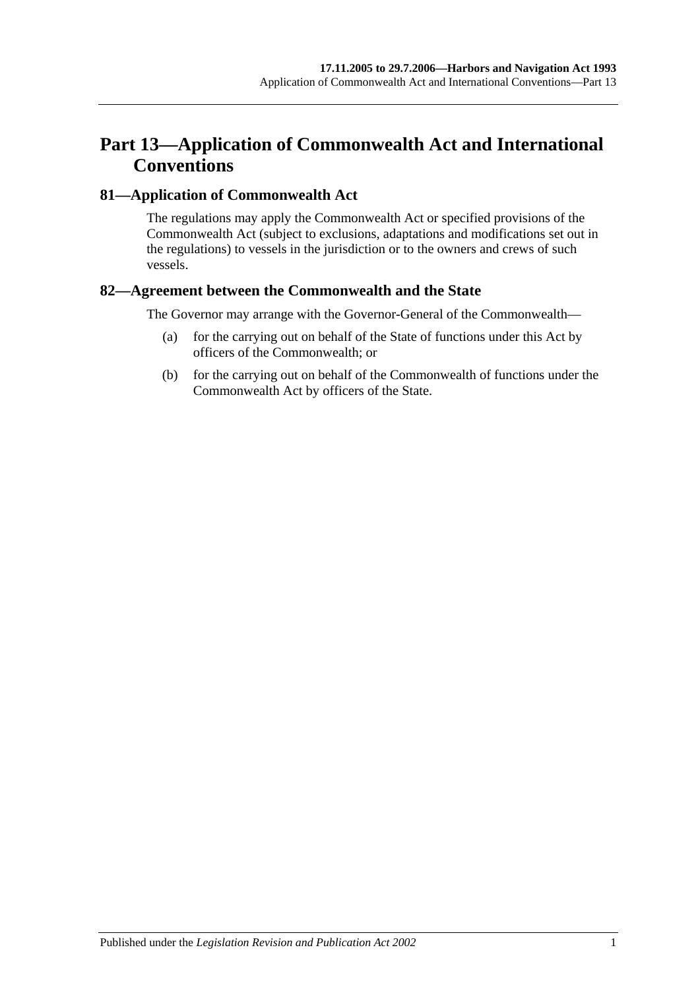# **Part 13—Application of Commonwealth Act and International Conventions**

### **81—Application of Commonwealth Act**

The regulations may apply the Commonwealth Act or specified provisions of the Commonwealth Act (subject to exclusions, adaptations and modifications set out in the regulations) to vessels in the jurisdiction or to the owners and crews of such vessels.

### **82—Agreement between the Commonwealth and the State**

The Governor may arrange with the Governor-General of the Commonwealth—

- (a) for the carrying out on behalf of the State of functions under this Act by officers of the Commonwealth; or
- (b) for the carrying out on behalf of the Commonwealth of functions under the Commonwealth Act by officers of the State.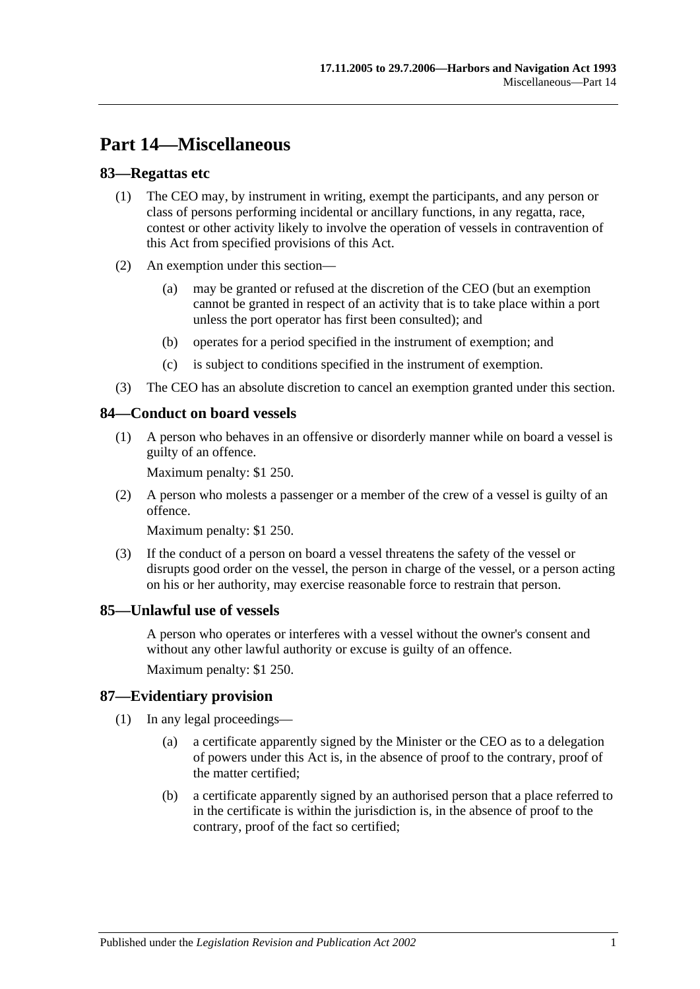# **Part 14—Miscellaneous**

### **83—Regattas etc**

- (1) The CEO may, by instrument in writing, exempt the participants, and any person or class of persons performing incidental or ancillary functions, in any regatta, race, contest or other activity likely to involve the operation of vessels in contravention of this Act from specified provisions of this Act.
- (2) An exemption under this section—
	- (a) may be granted or refused at the discretion of the CEO (but an exemption cannot be granted in respect of an activity that is to take place within a port unless the port operator has first been consulted); and
	- (b) operates for a period specified in the instrument of exemption; and
	- (c) is subject to conditions specified in the instrument of exemption.
- (3) The CEO has an absolute discretion to cancel an exemption granted under this section.

### **84—Conduct on board vessels**

(1) A person who behaves in an offensive or disorderly manner while on board a vessel is guilty of an offence.

Maximum penalty: \$1 250.

(2) A person who molests a passenger or a member of the crew of a vessel is guilty of an offence.

Maximum penalty: \$1 250.

(3) If the conduct of a person on board a vessel threatens the safety of the vessel or disrupts good order on the vessel, the person in charge of the vessel, or a person acting on his or her authority, may exercise reasonable force to restrain that person.

### **85—Unlawful use of vessels**

A person who operates or interferes with a vessel without the owner's consent and without any other lawful authority or excuse is guilty of an offence.

Maximum penalty: \$1 250.

### **87—Evidentiary provision**

- (1) In any legal proceedings—
	- (a) a certificate apparently signed by the Minister or the CEO as to a delegation of powers under this Act is, in the absence of proof to the contrary, proof of the matter certified;
	- (b) a certificate apparently signed by an authorised person that a place referred to in the certificate is within the jurisdiction is, in the absence of proof to the contrary, proof of the fact so certified;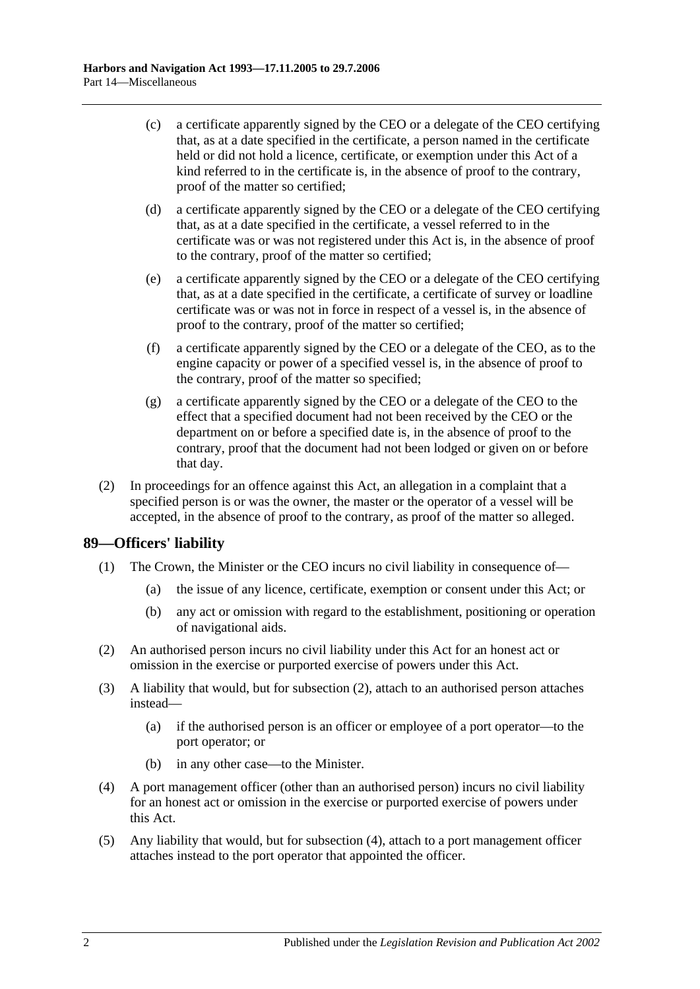- (c) a certificate apparently signed by the CEO or a delegate of the CEO certifying that, as at a date specified in the certificate, a person named in the certificate held or did not hold a licence, certificate, or exemption under this Act of a kind referred to in the certificate is, in the absence of proof to the contrary, proof of the matter so certified;
- (d) a certificate apparently signed by the CEO or a delegate of the CEO certifying that, as at a date specified in the certificate, a vessel referred to in the certificate was or was not registered under this Act is, in the absence of proof to the contrary, proof of the matter so certified;
- (e) a certificate apparently signed by the CEO or a delegate of the CEO certifying that, as at a date specified in the certificate, a certificate of survey or loadline certificate was or was not in force in respect of a vessel is, in the absence of proof to the contrary, proof of the matter so certified;
- (f) a certificate apparently signed by the CEO or a delegate of the CEO, as to the engine capacity or power of a specified vessel is, in the absence of proof to the contrary, proof of the matter so specified;
- (g) a certificate apparently signed by the CEO or a delegate of the CEO to the effect that a specified document had not been received by the CEO or the department on or before a specified date is, in the absence of proof to the contrary, proof that the document had not been lodged or given on or before that day.
- (2) In proceedings for an offence against this Act, an allegation in a complaint that a specified person is or was the owner, the master or the operator of a vessel will be accepted, in the absence of proof to the contrary, as proof of the matter so alleged.

### **89—Officers' liability**

- (1) The Crown, the Minister or the CEO incurs no civil liability in consequence of—
	- (a) the issue of any licence, certificate, exemption or consent under this Act; or
	- (b) any act or omission with regard to the establishment, positioning or operation of navigational aids.
- <span id="page-67-0"></span>(2) An authorised person incurs no civil liability under this Act for an honest act or omission in the exercise or purported exercise of powers under this Act.
- (3) A liability that would, but for [subsection](#page-67-0) (2), attach to an authorised person attaches instead—
	- (a) if the authorised person is an officer or employee of a port operator—to the port operator; or
	- (b) in any other case—to the Minister.
- <span id="page-67-1"></span>(4) A port management officer (other than an authorised person) incurs no civil liability for an honest act or omission in the exercise or purported exercise of powers under this Act.
- (5) Any liability that would, but for [subsection](#page-67-1) (4), attach to a port management officer attaches instead to the port operator that appointed the officer.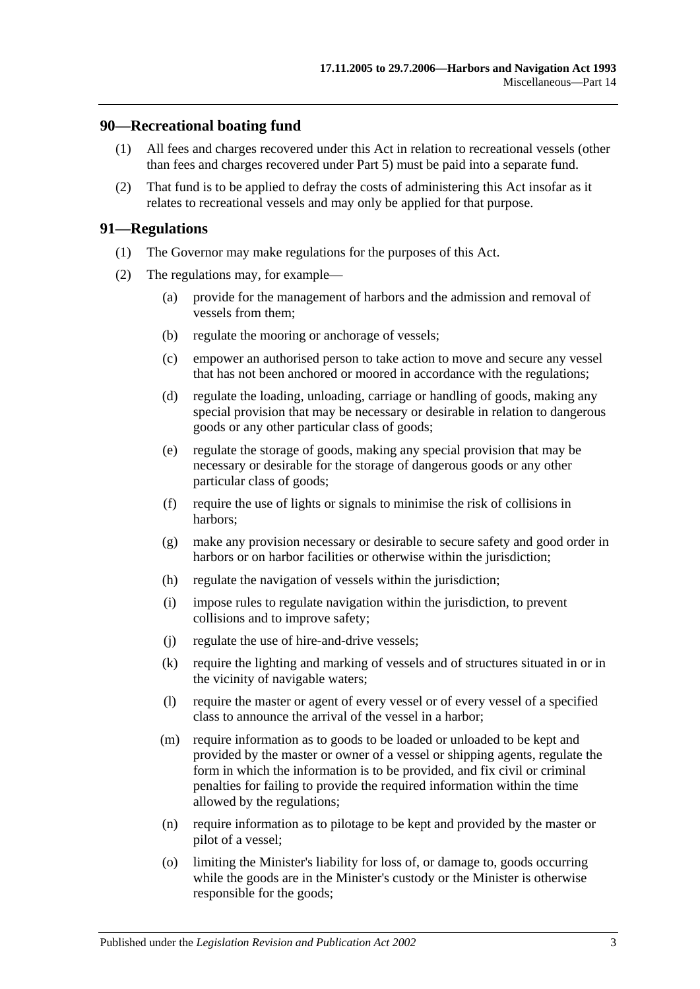#### **90—Recreational boating fund**

- (1) All fees and charges recovered under this Act in relation to recreational vessels (other than fees and charges recovered under [Part 5\)](#page-22-0) must be paid into a separate fund.
- (2) That fund is to be applied to defray the costs of administering this Act insofar as it relates to recreational vessels and may only be applied for that purpose.

#### **91—Regulations**

- (1) The Governor may make regulations for the purposes of this Act.
- (2) The regulations may, for example—
	- (a) provide for the management of harbors and the admission and removal of vessels from them;
	- (b) regulate the mooring or anchorage of vessels;
	- (c) empower an authorised person to take action to move and secure any vessel that has not been anchored or moored in accordance with the regulations;
	- (d) regulate the loading, unloading, carriage or handling of goods, making any special provision that may be necessary or desirable in relation to dangerous goods or any other particular class of goods;
	- (e) regulate the storage of goods, making any special provision that may be necessary or desirable for the storage of dangerous goods or any other particular class of goods;
	- (f) require the use of lights or signals to minimise the risk of collisions in harbors;
	- (g) make any provision necessary or desirable to secure safety and good order in harbors or on harbor facilities or otherwise within the jurisdiction;
	- (h) regulate the navigation of vessels within the jurisdiction;
	- (i) impose rules to regulate navigation within the jurisdiction, to prevent collisions and to improve safety;
	- (j) regulate the use of hire-and-drive vessels;
	- (k) require the lighting and marking of vessels and of structures situated in or in the vicinity of navigable waters;
	- (l) require the master or agent of every vessel or of every vessel of a specified class to announce the arrival of the vessel in a harbor;
	- (m) require information as to goods to be loaded or unloaded to be kept and provided by the master or owner of a vessel or shipping agents, regulate the form in which the information is to be provided, and fix civil or criminal penalties for failing to provide the required information within the time allowed by the regulations;
	- (n) require information as to pilotage to be kept and provided by the master or pilot of a vessel;
	- (o) limiting the Minister's liability for loss of, or damage to, goods occurring while the goods are in the Minister's custody or the Minister is otherwise responsible for the goods;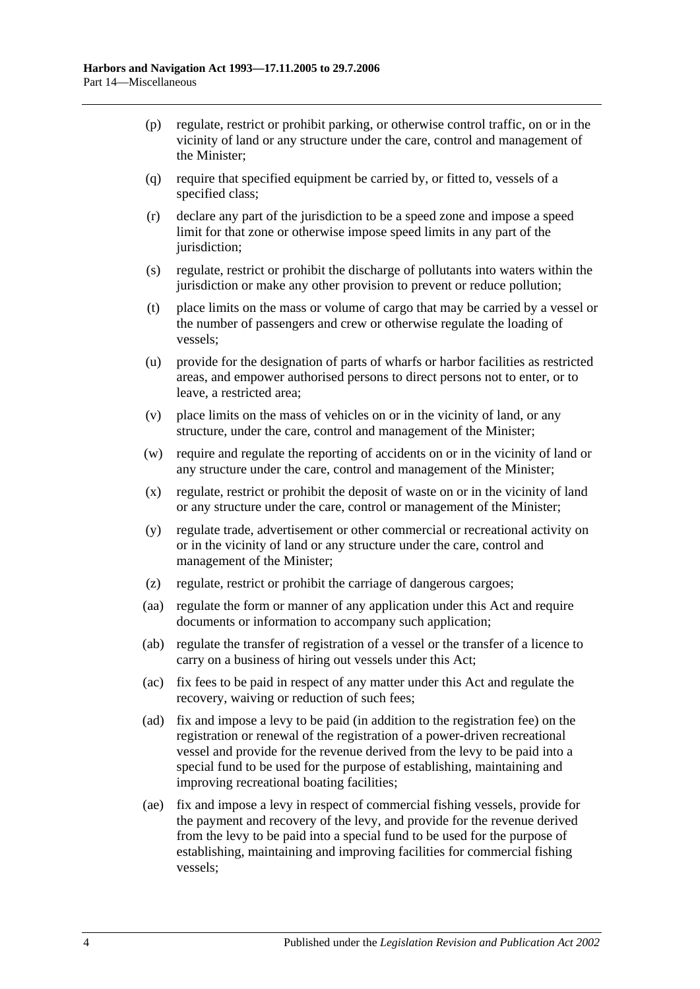- (p) regulate, restrict or prohibit parking, or otherwise control traffic, on or in the vicinity of land or any structure under the care, control and management of the Minister;
- (q) require that specified equipment be carried by, or fitted to, vessels of a specified class;
- (r) declare any part of the jurisdiction to be a speed zone and impose a speed limit for that zone or otherwise impose speed limits in any part of the jurisdiction;
- (s) regulate, restrict or prohibit the discharge of pollutants into waters within the jurisdiction or make any other provision to prevent or reduce pollution;
- (t) place limits on the mass or volume of cargo that may be carried by a vessel or the number of passengers and crew or otherwise regulate the loading of vessels;
- (u) provide for the designation of parts of wharfs or harbor facilities as restricted areas, and empower authorised persons to direct persons not to enter, or to leave, a restricted area;
- (v) place limits on the mass of vehicles on or in the vicinity of land, or any structure, under the care, control and management of the Minister;
- (w) require and regulate the reporting of accidents on or in the vicinity of land or any structure under the care, control and management of the Minister;
- (x) regulate, restrict or prohibit the deposit of waste on or in the vicinity of land or any structure under the care, control or management of the Minister;
- (y) regulate trade, advertisement or other commercial or recreational activity on or in the vicinity of land or any structure under the care, control and management of the Minister;
- (z) regulate, restrict or prohibit the carriage of dangerous cargoes;
- (aa) regulate the form or manner of any application under this Act and require documents or information to accompany such application;
- (ab) regulate the transfer of registration of a vessel or the transfer of a licence to carry on a business of hiring out vessels under this Act;
- (ac) fix fees to be paid in respect of any matter under this Act and regulate the recovery, waiving or reduction of such fees;
- <span id="page-69-0"></span>(ad) fix and impose a levy to be paid (in addition to the registration fee) on the registration or renewal of the registration of a power-driven recreational vessel and provide for the revenue derived from the levy to be paid into a special fund to be used for the purpose of establishing, maintaining and improving recreational boating facilities;
- <span id="page-69-1"></span>(ae) fix and impose a levy in respect of commercial fishing vessels, provide for the payment and recovery of the levy, and provide for the revenue derived from the levy to be paid into a special fund to be used for the purpose of establishing, maintaining and improving facilities for commercial fishing vessels;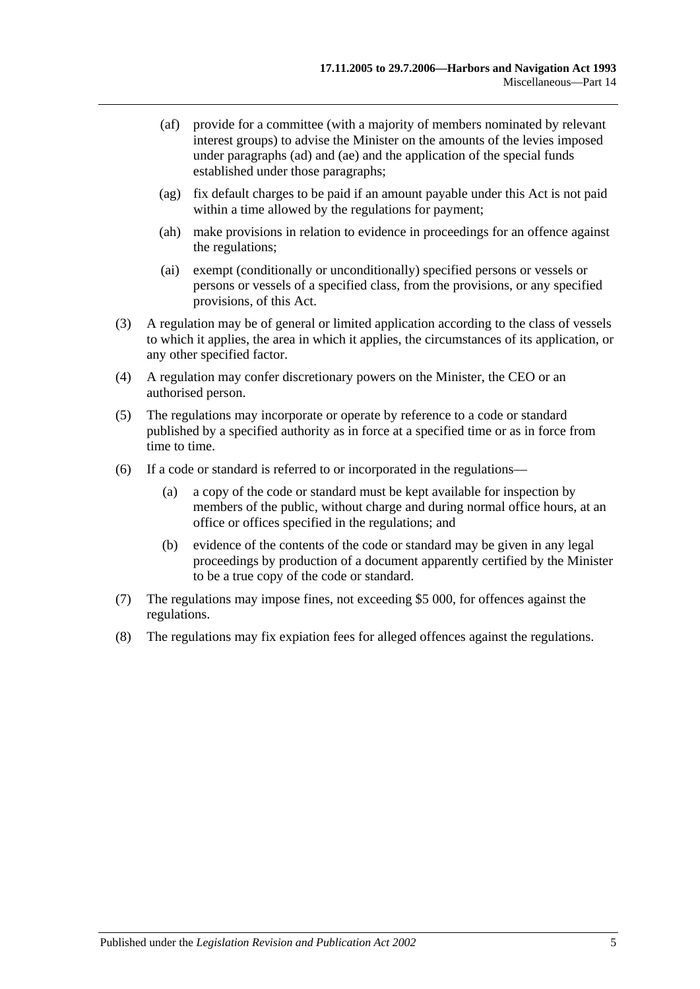- (af) provide for a committee (with a majority of members nominated by relevant interest groups) to advise the Minister on the amounts of the levies imposed under [paragraphs](#page-69-0) (ad) and [\(ae\)](#page-69-1) and the application of the special funds established under those paragraphs;
- (ag) fix default charges to be paid if an amount payable under this Act is not paid within a time allowed by the regulations for payment;
- (ah) make provisions in relation to evidence in proceedings for an offence against the regulations;
- (ai) exempt (conditionally or unconditionally) specified persons or vessels or persons or vessels of a specified class, from the provisions, or any specified provisions, of this Act.
- (3) A regulation may be of general or limited application according to the class of vessels to which it applies, the area in which it applies, the circumstances of its application, or any other specified factor.
- (4) A regulation may confer discretionary powers on the Minister, the CEO or an authorised person.
- (5) The regulations may incorporate or operate by reference to a code or standard published by a specified authority as in force at a specified time or as in force from time to time.
- (6) If a code or standard is referred to or incorporated in the regulations—
	- (a) a copy of the code or standard must be kept available for inspection by members of the public, without charge and during normal office hours, at an office or offices specified in the regulations; and
	- (b) evidence of the contents of the code or standard may be given in any legal proceedings by production of a document apparently certified by the Minister to be a true copy of the code or standard.
- (7) The regulations may impose fines, not exceeding \$5 000, for offences against the regulations.
- (8) The regulations may fix expiation fees for alleged offences against the regulations.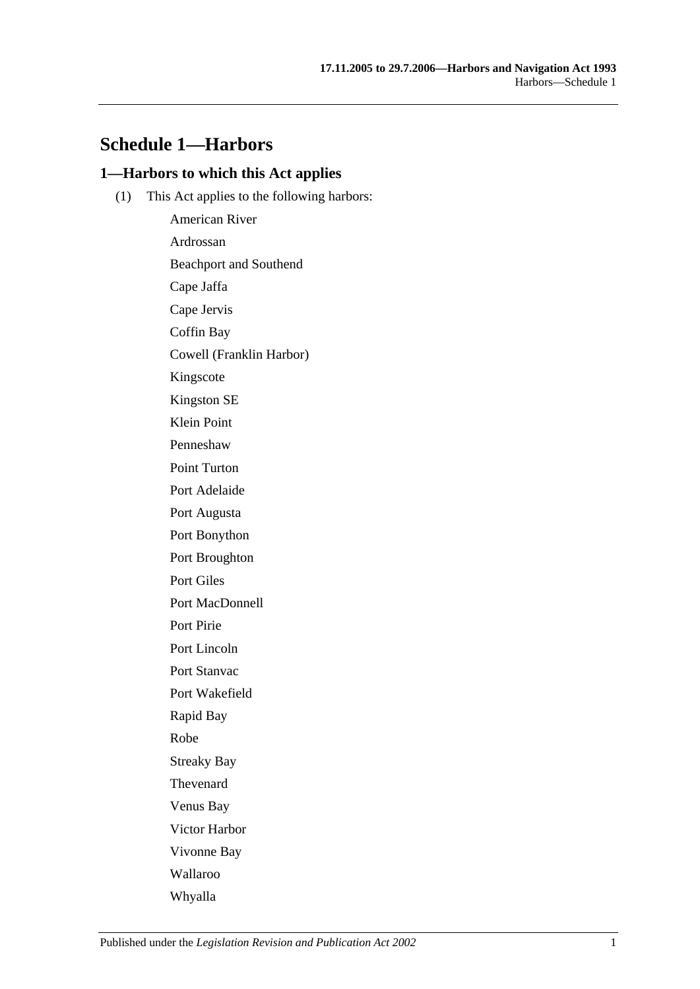## **Schedule 1—Harbors**

### **1—Harbors to which this Act applies**

(1) This Act applies to the following harbors:

American River Ardrossan Beachport and Southend Cape Jaffa Cape Jervis Coffin Bay Cowell (Franklin Harbor) Kingscote Kingston SE Klein Point Penneshaw Point Turton Port Adelaide Port Augusta Port Bonython Port Broughton Port Giles Port MacDonnell Port Pirie Port Lincoln Port Stanvac Port Wakefield Rapid Bay Robe Streaky Bay Thevenard Venus Bay Victor Harbor Vivonne Bay Wallaroo Whyalla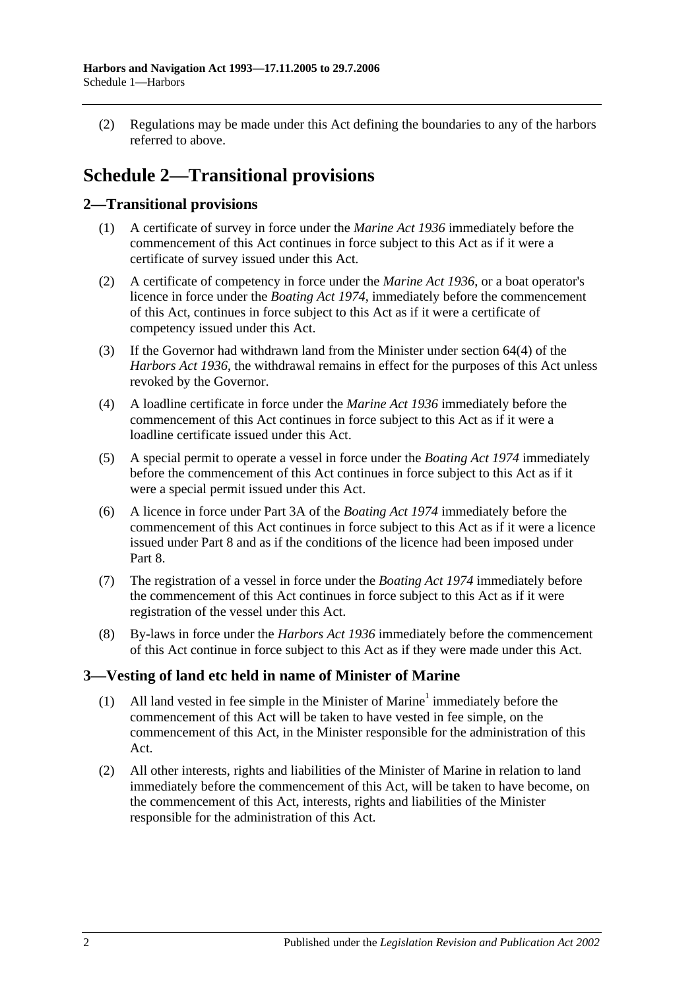(2) Regulations may be made under this Act defining the boundaries to any of the harbors referred to above.

# **Schedule 2—Transitional provisions**

### **2—Transitional provisions**

- (1) A certificate of survey in force under the *[Marine Act](http://www.legislation.sa.gov.au/index.aspx?action=legref&type=act&legtitle=Marine%20Act%201936) 1936* immediately before the commencement of this Act continues in force subject to this Act as if it were a certificate of survey issued under this Act.
- (2) A certificate of competency in force under the *[Marine Act](http://www.legislation.sa.gov.au/index.aspx?action=legref&type=act&legtitle=Marine%20Act%201936) 1936*, or a boat operator's licence in force under the *[Boating Act](http://www.legislation.sa.gov.au/index.aspx?action=legref&type=act&legtitle=Boating%20Act%201974) 1974*, immediately before the commencement of this Act, continues in force subject to this Act as if it were a certificate of competency issued under this Act.
- (3) If the Governor had withdrawn land from the Minister under section 64(4) of the *[Harbors Act](http://www.legislation.sa.gov.au/index.aspx?action=legref&type=act&legtitle=Harbors%20Act%201936) 1936*, the withdrawal remains in effect for the purposes of this Act unless revoked by the Governor.
- (4) A loadline certificate in force under the *[Marine Act](http://www.legislation.sa.gov.au/index.aspx?action=legref&type=act&legtitle=Marine%20Act%201936) 1936* immediately before the commencement of this Act continues in force subject to this Act as if it were a loadline certificate issued under this Act.
- (5) A special permit to operate a vessel in force under the *[Boating Act](http://www.legislation.sa.gov.au/index.aspx?action=legref&type=act&legtitle=Boating%20Act%201974) 1974* immediately before the commencement of this Act continues in force subject to this Act as if it were a special permit issued under this Act.
- (6) A licence in force under Part 3A of the *[Boating Act](http://www.legislation.sa.gov.au/index.aspx?action=legref&type=act&legtitle=Boating%20Act%201974) 1974* immediately before the commencement of this Act continues in force subject to this Act as if it were a licence issued under [Part 8](#page-40-0) and as if the conditions of the licence had been imposed under [Part](#page-40-0) 8.
- (7) The registration of a vessel in force under the *[Boating Act](http://www.legislation.sa.gov.au/index.aspx?action=legref&type=act&legtitle=Boating%20Act%201974) 1974* immediately before the commencement of this Act continues in force subject to this Act as if it were registration of the vessel under this Act.
- (8) By-laws in force under the *[Harbors Act](http://www.legislation.sa.gov.au/index.aspx?action=legref&type=act&legtitle=Harbors%20Act%201936) 1936* immediately before the commencement of this Act continue in force subject to this Act as if they were made under this Act.

### **3—Vesting of land etc held in name of Minister of Marine**

- (1) All land vested in fee simple in the Minister of Marine<sup>1</sup> immediately before the commencement of this Act will be taken to have vested in fee simple, on the commencement of this Act, in the Minister responsible for the administration of this Act.
- (2) All other interests, rights and liabilities of the Minister of Marine in relation to land immediately before the commencement of this Act, will be taken to have become, on the commencement of this Act, interests, rights and liabilities of the Minister responsible for the administration of this Act.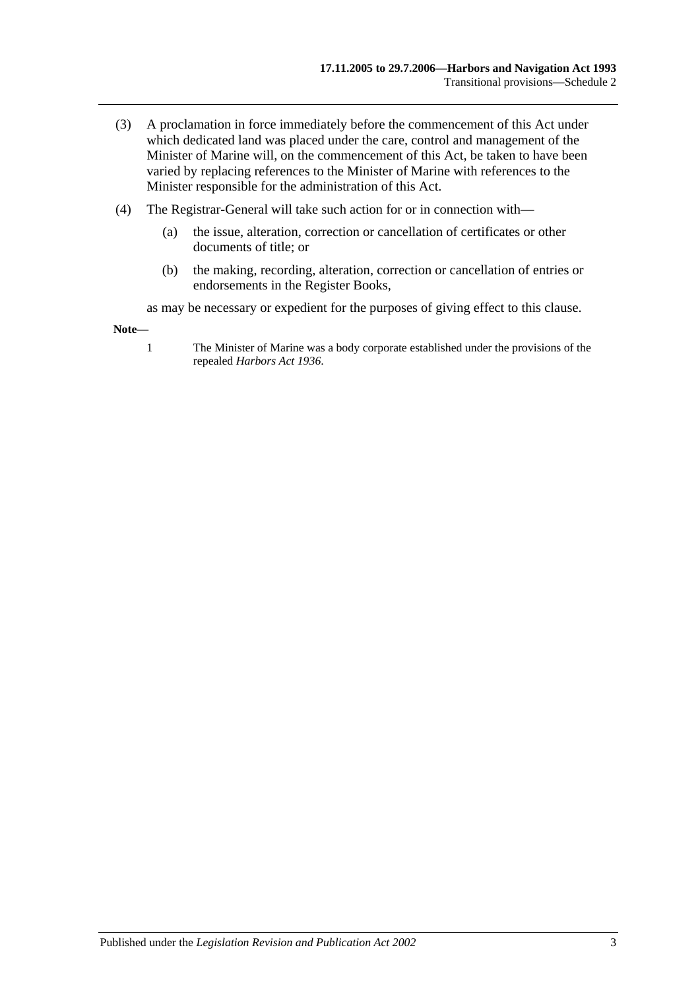- (3) A proclamation in force immediately before the commencement of this Act under which dedicated land was placed under the care, control and management of the Minister of Marine will, on the commencement of this Act, be taken to have been varied by replacing references to the Minister of Marine with references to the Minister responsible for the administration of this Act.
- (4) The Registrar-General will take such action for or in connection with—
	- (a) the issue, alteration, correction or cancellation of certificates or other documents of title; or
	- (b) the making, recording, alteration, correction or cancellation of entries or endorsements in the Register Books,

as may be necessary or expedient for the purposes of giving effect to this clause.

**Note—**

1 The Minister of Marine was a body corporate established under the provisions of the repealed *[Harbors Act](http://www.legislation.sa.gov.au/index.aspx?action=legref&type=act&legtitle=Harbors%20Act%201936) 1936*.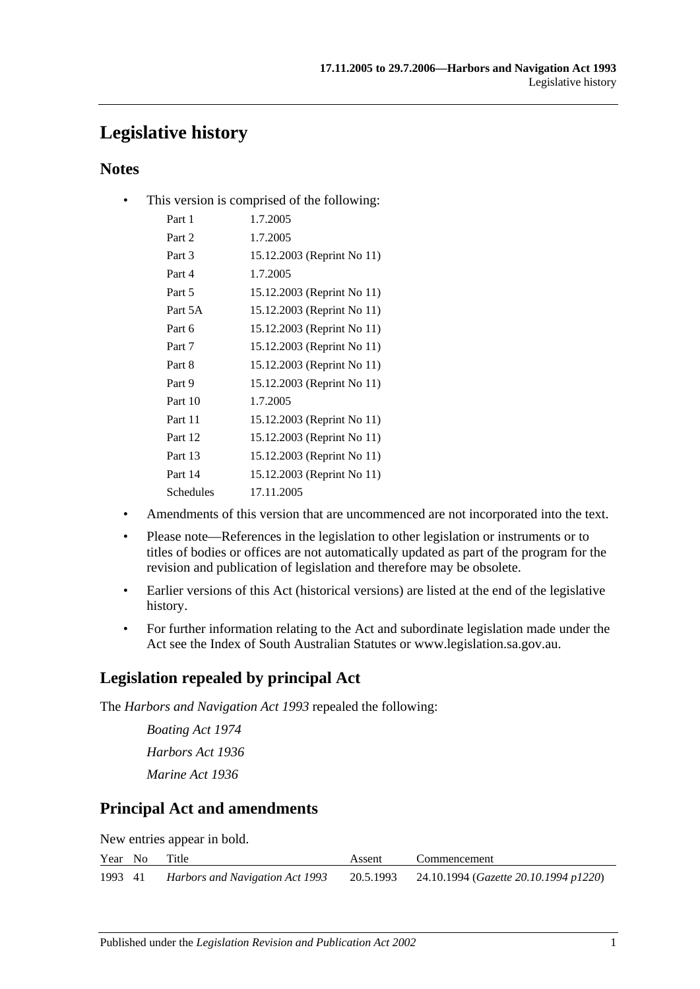# **Legislative history**

### **Notes**

• This version is comprised of the following:

| Part 1    | 1.7.2005                   |
|-----------|----------------------------|
| Part 2    | 1.7.2005                   |
| Part 3    | 15.12.2003 (Reprint No 11) |
| Part 4    | 1.7.2005                   |
| Part 5    | 15.12.2003 (Reprint No 11) |
| Part 5A   | 15.12.2003 (Reprint No 11) |
| Part 6    | 15.12.2003 (Reprint No 11) |
| Part 7    | 15.12.2003 (Reprint No 11) |
| Part 8    | 15.12.2003 (Reprint No 11) |
| Part 9    | 15.12.2003 (Reprint No 11) |
| Part 10   | 1.7.2005                   |
| Part 11   | 15.12.2003 (Reprint No 11) |
| Part 12   | 15.12.2003 (Reprint No 11) |
| Part 13   | 15.12.2003 (Reprint No 11) |
| Part 14   | 15.12.2003 (Reprint No 11) |
| Schedules | 17.11.2005                 |

- Amendments of this version that are uncommenced are not incorporated into the text.
- Please note—References in the legislation to other legislation or instruments or to titles of bodies or offices are not automatically updated as part of the program for the revision and publication of legislation and therefore may be obsolete.
- Earlier versions of this Act (historical versions) are listed at the end of the legislative history.
- For further information relating to the Act and subordinate legislation made under the Act see the Index of South Australian Statutes or www.legislation.sa.gov.au.

### **Legislation repealed by principal Act**

The *Harbors and Navigation Act 1993* repealed the following:

*Boating Act 1974 Harbors Act 1936 Marine Act 1936*

### **Principal Act and amendments**

New entries appear in bold.

|         | Year No Title |                                 | Assent | Commencement                                             |
|---------|---------------|---------------------------------|--------|----------------------------------------------------------|
| 1993 41 |               | Harbors and Navigation Act 1993 |        | 20.5.1993 24.10.1994 ( <i>Gazette 20.10.1994 p1220</i> ) |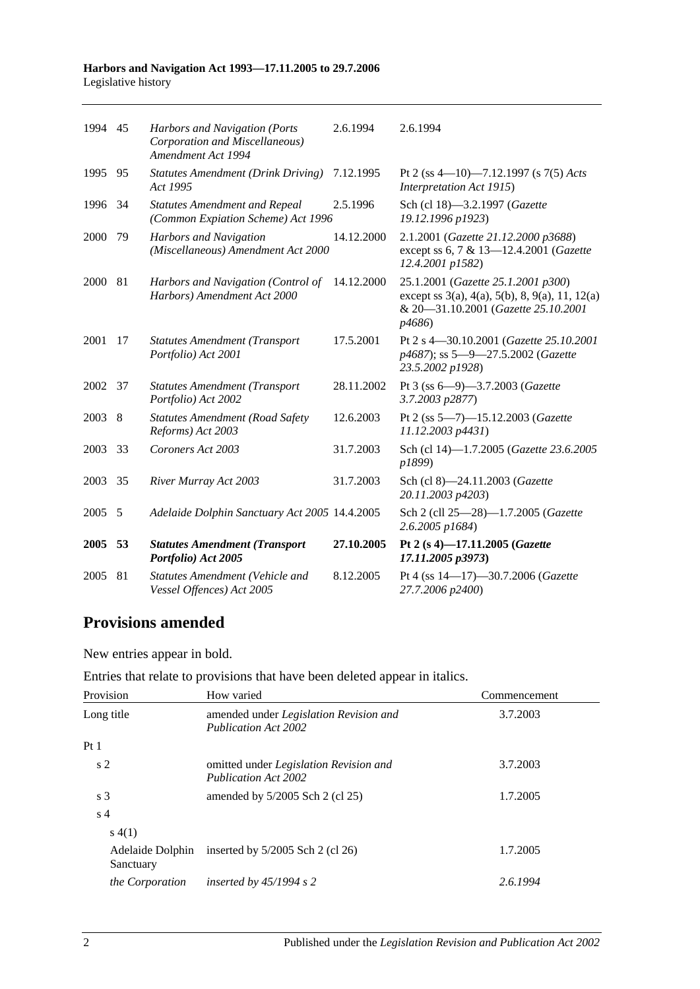#### **Harbors and Navigation Act 1993—17.11.2005 to 29.7.2006** Legislative history

| 1994 45 |     |                                                                                       |            |                                                                                                                                                                   |
|---------|-----|---------------------------------------------------------------------------------------|------------|-------------------------------------------------------------------------------------------------------------------------------------------------------------------|
|         |     | Harbors and Navigation (Ports<br>Corporation and Miscellaneous)<br>Amendment Act 1994 | 2.6.1994   | 2.6.1994                                                                                                                                                          |
| 1995    | 95  | <b>Statutes Amendment (Drink Driving)</b><br>Act 1995                                 | 7.12.1995  | Pt 2 (ss 4-10)-7.12.1997 (s 7(5) Acts<br>Interpretation Act 1915)                                                                                                 |
| 1996    | 34  | <b>Statutes Amendment and Repeal</b><br>(Common Expiation Scheme) Act 1996            | 2.5.1996   | Sch (cl 18)-3.2.1997 (Gazette<br>19.12.1996 p1923)                                                                                                                |
| 2000    | 79  | <b>Harbors and Navigation</b><br>(Miscellaneous) Amendment Act 2000                   | 14.12.2000 | 2.1.2001 (Gazette 21.12.2000 p3688)<br>except ss 6, 7 & 13-12.4.2001 (Gazette<br>12.4.2001 p1582)                                                                 |
| 2000    | 81  | Harbors and Navigation (Control of<br>Harbors) Amendment Act 2000                     | 14.12.2000 | 25.1.2001 (Gazette 25.1.2001 p300)<br>except ss $3(a)$ , $4(a)$ , $5(b)$ , $8$ , $9(a)$ , $11$ , $12(a)$<br>& 20-31.10.2001 (Gazette 25.10.2001<br><i>p</i> 4686) |
| 2001    | 17  | <b>Statutes Amendment (Transport</b><br>Portfolio) Act 2001                           | 17.5.2001  | Pt 2 s 4-30.10.2001 (Gazette 25.10.2001<br>p4687); ss 5-9-27.5.2002 (Gazette<br>23.5.2002 p1928)                                                                  |
| 2002 37 |     | <b>Statutes Amendment (Transport</b><br>Portfolio) Act 2002                           | 28.11.2002 | Pt 3 (ss 6-9)-3.7.2003 (Gazette<br>3.7.2003 p2877)                                                                                                                |
| 2003 8  |     | <b>Statutes Amendment (Road Safety</b><br>Reforms) Act 2003                           | 12.6.2003  | Pt 2 (ss 5-7)-15.12.2003 (Gazette<br>11.12.2003 p4431)                                                                                                            |
| 2003    | -33 | Coroners Act 2003                                                                     | 31.7.2003  | Sch (cl 14)-1.7.2005 (Gazette 23.6.2005<br>p1899)                                                                                                                 |
| 2003    | 35  | River Murray Act 2003                                                                 | 31.7.2003  | Sch (cl 8)-24.11.2003 (Gazette<br>20.11.2003 p4203)                                                                                                               |
| 2005    | 5   | Adelaide Dolphin Sanctuary Act 2005 14.4.2005                                         |            | Sch 2 (cll 25-28)-1.7.2005 (Gazette<br>2.6.2005 p1684)                                                                                                            |
| 2005    | 53  | <b>Statutes Amendment (Transport</b><br>Portfolio) Act 2005                           | 27.10.2005 | Pt 2 (s 4)-17.11.2005 (Gazette<br>17.11.2005 p3973)                                                                                                               |
| 2005    | 81  | Statutes Amendment (Vehicle and<br>Vessel Offences) Act 2005                          | 8.12.2005  | Pt 4 (ss 14-17)-30.7.2006 (Gazette<br>27.7.2006 p2400)                                                                                                            |

## **Provisions amended**

New entries appear in bold.

|  |  | Entries that relate to provisions that have been deleted appear in italics. |  |
|--|--|-----------------------------------------------------------------------------|--|
|--|--|-----------------------------------------------------------------------------|--|

| Provision                     | How varied                                                                   | Commencement |
|-------------------------------|------------------------------------------------------------------------------|--------------|
| Long title                    | amended under Legislation Revision and<br><b>Publication Act 2002</b>        | 3.7.2003     |
| Pt1                           |                                                                              |              |
| s <sub>2</sub>                | omitted under <i>Legislation Revision and</i><br><b>Publication Act 2002</b> | 3.7.2003     |
| s <sub>3</sub>                | amended by $5/2005$ Sch 2 (cl 25)                                            | 1.7.2005     |
| s <sub>4</sub>                |                                                                              |              |
| s(4(1))                       |                                                                              |              |
| Adelaide Dolphin<br>Sanctuary | inserted by $5/2005$ Sch 2 (cl 26)                                           | 1.7.2005     |
| the Corporation               | inserted by $45/1994$ s 2                                                    | 2.6.1994     |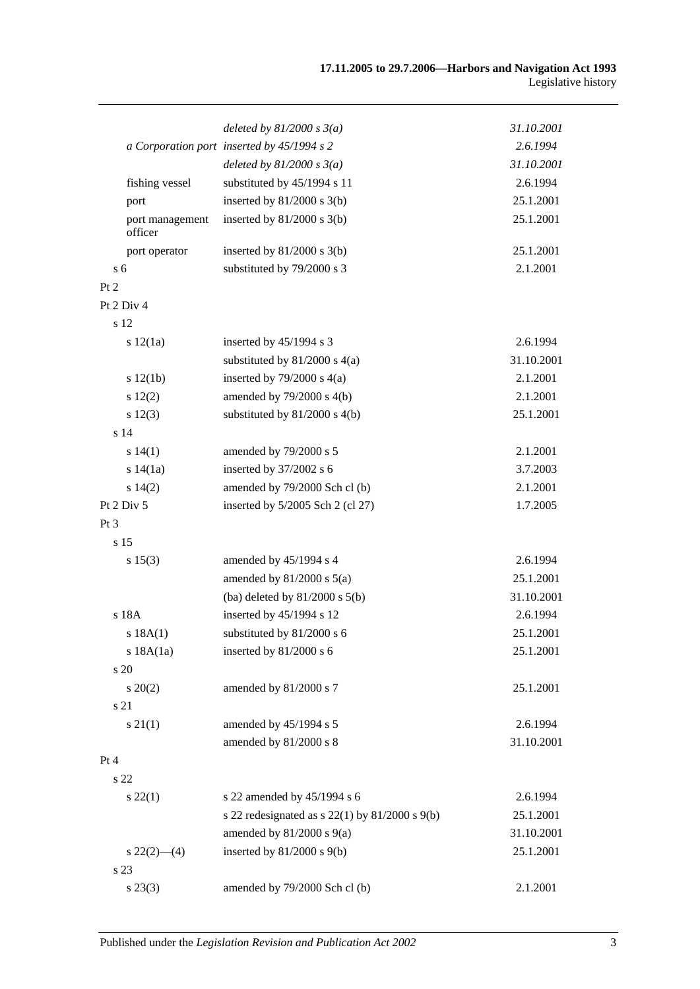|                 |                            | deleted by $81/2000 s 3(a)$                          | 31.10.2001 |
|-----------------|----------------------------|------------------------------------------------------|------------|
|                 |                            | a Corporation port inserted by 45/1994 s 2           | 2.6.1994   |
|                 |                            | deleted by $81/2000 s 3(a)$                          | 31.10.2001 |
|                 | fishing vessel             | substituted by 45/1994 s 11                          | 2.6.1994   |
|                 | port                       | inserted by $81/2000$ s $3(b)$                       | 25.1.2001  |
|                 | port management<br>officer | inserted by $81/2000$ s $3(b)$                       | 25.1.2001  |
|                 | port operator              | inserted by $81/2000$ s $3(b)$                       | 25.1.2001  |
| s <sub>6</sub>  |                            | substituted by 79/2000 s 3                           | 2.1.2001   |
| Pt 2            |                            |                                                      |            |
|                 | Pt 2 Div 4                 |                                                      |            |
|                 | s 12                       |                                                      |            |
|                 | s 12(1a)                   | inserted by 45/1994 s 3                              | 2.6.1994   |
|                 |                            | substituted by $81/2000$ s $4(a)$                    | 31.10.2001 |
|                 | s 12(1b)                   | inserted by $79/2000$ s $4(a)$                       | 2.1.2001   |
|                 | s 12(2)                    | amended by 79/2000 s 4(b)                            | 2.1.2001   |
|                 | s 12(3)                    | substituted by $81/2000$ s $4(b)$                    | 25.1.2001  |
|                 | s <sub>14</sub>            |                                                      |            |
|                 | s 14(1)                    | amended by 79/2000 s 5                               | 2.1.2001   |
|                 | s 14(1a)                   | inserted by 37/2002 s 6                              | 3.7.2003   |
|                 | s 14(2)                    | amended by 79/2000 Sch cl (b)                        | 2.1.2001   |
|                 | Pt 2 Div 5                 | inserted by $5/2005$ Sch 2 (cl 27)                   | 1.7.2005   |
| Pt <sub>3</sub> |                            |                                                      |            |
|                 | s 15                       |                                                      |            |
|                 | s 15(3)                    | amended by 45/1994 s 4                               | 2.6.1994   |
|                 |                            | amended by $81/2000$ s $5(a)$                        | 25.1.2001  |
|                 |                            | (ba) deleted by $81/2000$ s $5(b)$                   | 31.10.2001 |
|                 | s 18A                      | inserted by 45/1994 s 12                             | 2.6.1994   |
|                 | s 18A(1)                   | substituted by 81/2000 s 6                           | 25.1.2001  |
|                 | s 18A(1a)                  | inserted by 81/2000 s 6                              | 25.1.2001  |
|                 | s 20                       |                                                      |            |
|                 | $s \ 20(2)$                | amended by 81/2000 s 7                               | 25.1.2001  |
|                 | s 21                       |                                                      |            |
|                 | $s \, 21(1)$               | amended by 45/1994 s 5                               | 2.6.1994   |
|                 |                            | amended by 81/2000 s 8                               | 31.10.2001 |
| Pt 4            |                            |                                                      |            |
|                 | s 22                       |                                                      |            |
|                 | $s\,22(1)$                 | s 22 amended by 45/1994 s 6                          | 2.6.1994   |
|                 |                            | s 22 redesignated as s $22(1)$ by $81/2000$ s $9(b)$ | 25.1.2001  |
|                 |                            | amended by $81/2000$ s $9(a)$                        | 31.10.2001 |
|                 | $s\,22(2)$ - (4)           | inserted by $81/2000$ s $9(b)$                       | 25.1.2001  |
|                 | s 23                       |                                                      |            |
|                 | $s\,23(3)$                 | amended by 79/2000 Sch cl (b)                        | 2.1.2001   |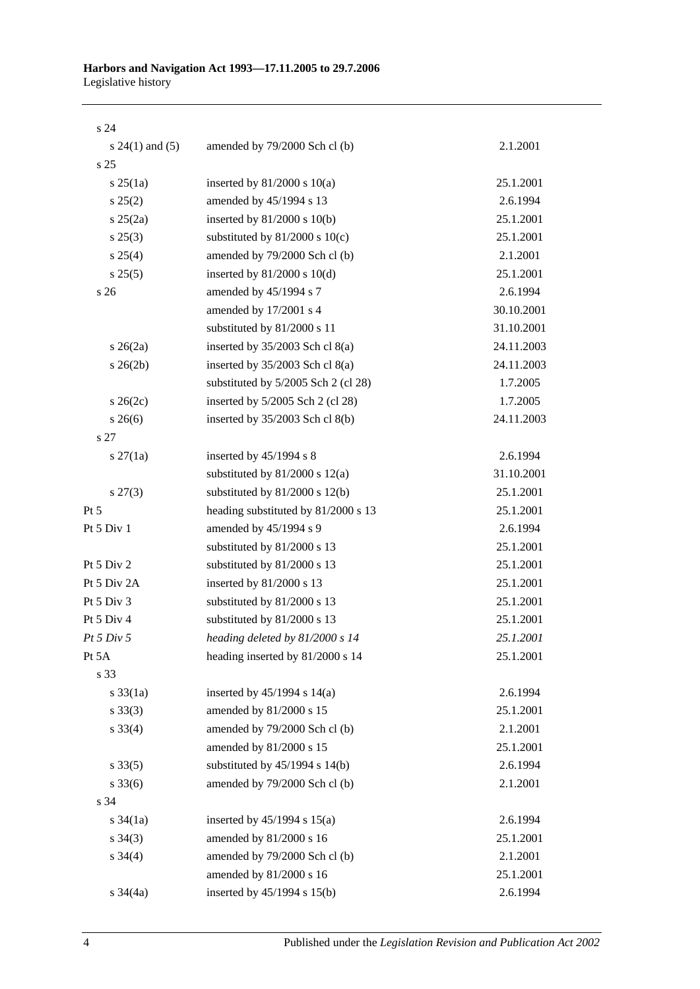s 24

| $s 24(1)$ and $(5)$ | amended by 79/2000 Sch cl (b)       | 2.1.2001   |
|---------------------|-------------------------------------|------------|
| s <sub>25</sub>     |                                     |            |
| $s \, 25(1a)$       | inserted by $81/2000$ s $10(a)$     | 25.1.2001  |
| s 25(2)             | amended by 45/1994 s 13             | 2.6.1994   |
| $s \; 25(2a)$       | inserted by $81/2000$ s $10(b)$     | 25.1.2001  |
| $s\,25(3)$          | substituted by $81/2000$ s $10(c)$  | 25.1.2001  |
| $s \; 25(4)$        | amended by 79/2000 Sch cl (b)       | 2.1.2001   |
| s 25(5)             | inserted by $81/2000$ s $10(d)$     | 25.1.2001  |
| s 26                | amended by 45/1994 s 7              | 2.6.1994   |
|                     | amended by 17/2001 s 4              | 30.10.2001 |
|                     | substituted by 81/2000 s 11         | 31.10.2001 |
| $s \; 26(2a)$       | inserted by 35/2003 Sch cl 8(a)     | 24.11.2003 |
| $s \; 26(2b)$       | inserted by $35/2003$ Sch cl $8(a)$ | 24.11.2003 |
|                     | substituted by 5/2005 Sch 2 (cl 28) | 1.7.2005   |
| $s \; 26(2c)$       | inserted by 5/2005 Sch 2 (cl 28)    | 1.7.2005   |
| $s \; 26(6)$        | inserted by 35/2003 Sch cl 8(b)     | 24.11.2003 |
| s <sub>27</sub>     |                                     |            |
| $s \, 27(1a)$       | inserted by $45/1994$ s 8           | 2.6.1994   |
|                     | substituted by $81/2000$ s $12(a)$  | 31.10.2001 |
| $s\,27(3)$          | substituted by $81/2000$ s $12(b)$  | 25.1.2001  |
| Pt 5                | heading substituted by 81/2000 s 13 | 25.1.2001  |
| Pt 5 Div 1          | amended by 45/1994 s 9              | 2.6.1994   |
|                     | substituted by 81/2000 s 13         | 25.1.2001  |
| Pt 5 Div 2          | substituted by 81/2000 s 13         | 25.1.2001  |
| Pt 5 Div 2A         | inserted by 81/2000 s 13            | 25.1.2001  |
| Pt 5 Div 3          | substituted by 81/2000 s 13         | 25.1.2001  |
| Pt 5 Div 4          | substituted by 81/2000 s 13         | 25.1.2001  |
| Pt 5 Div 5          | heading deleted by 81/2000 s 14     | 25.1.2001  |
| Pt 5A               | heading inserted by 81/2000 s 14    | 25.1.2001  |
| s 33                |                                     |            |
| $s \frac{33}{1a}$   | inserted by $45/1994$ s $14(a)$     | 2.6.1994   |
| $s \, 33(3)$        | amended by 81/2000 s 15             | 25.1.2001  |
| $s \, 33(4)$        | amended by 79/2000 Sch cl (b)       | 2.1.2001   |
|                     | amended by 81/2000 s 15             | 25.1.2001  |
| $s \, 33(5)$        | substituted by $45/1994$ s $14(b)$  | 2.6.1994   |
| $s \, 33(6)$        | amended by 79/2000 Sch cl (b)       | 2.1.2001   |
| s 34                |                                     |            |
| $s \frac{34}{1a}$   | inserted by $45/1994$ s $15(a)$     | 2.6.1994   |
| $s \; 34(3)$        | amended by 81/2000 s 16             | 25.1.2001  |
| $s \; 34(4)$        | amended by 79/2000 Sch cl (b)       | 2.1.2001   |
|                     | amended by 81/2000 s 16             | 25.1.2001  |
| $s \frac{34}{4a}$   | inserted by 45/1994 s 15(b)         | 2.6.1994   |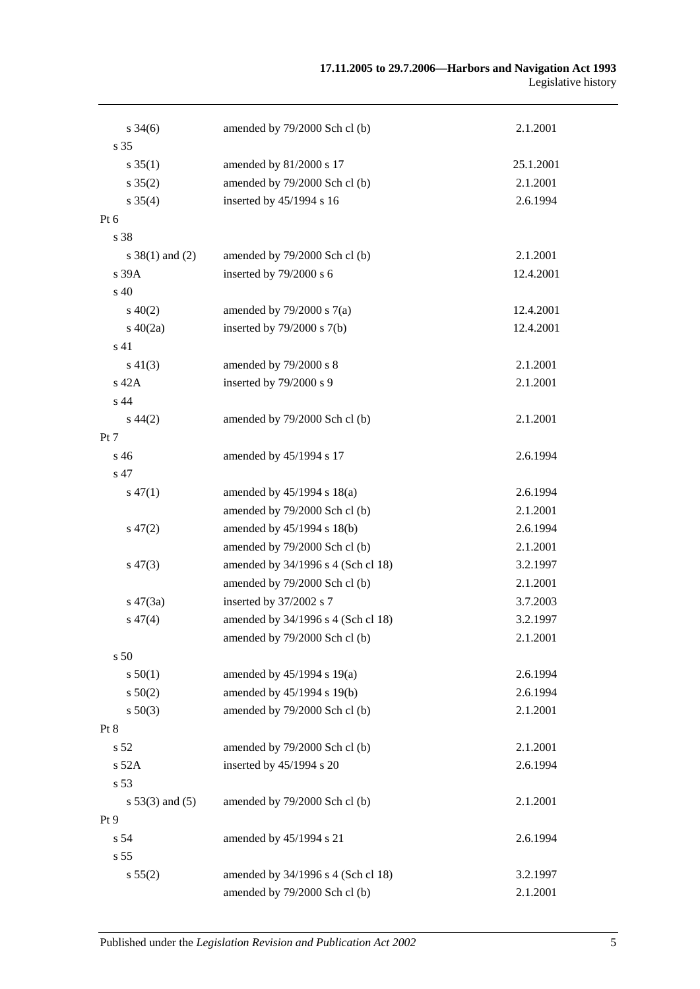#### **17.11.2005 to 29.7.2006—Harbors and Navigation Act 1993** Legislative history

| $s \frac{34(6)}{2}$ | amended by 79/2000 Sch cl (b)      | 2.1.2001  |
|---------------------|------------------------------------|-----------|
| s 35                |                                    |           |
| $s \, 35(1)$        | amended by 81/2000 s 17            | 25.1.2001 |
| $s \, 35(2)$        | amended by 79/2000 Sch cl (b)      | 2.1.2001  |
| $s \, 35(4)$        | inserted by 45/1994 s 16           | 2.6.1994  |
| Pt 6                |                                    |           |
| s 38                |                                    |           |
| $s \ 38(1)$ and (2) | amended by 79/2000 Sch cl (b)      | 2.1.2001  |
| s 39A               | inserted by 79/2000 s 6            | 12.4.2001 |
| s 40                |                                    |           |
| $s\ 40(2)$          | amended by $79/2000$ s $7(a)$      | 12.4.2001 |
| $s\ 40(2a)$         | inserted by $79/2000$ s $7(b)$     | 12.4.2001 |
| s 41                |                                    |           |
| $s\ 41(3)$          | amended by 79/2000 s 8             | 2.1.2001  |
| s 42A               | inserted by 79/2000 s 9            | 2.1.2001  |
| s 44                |                                    |           |
| $s\,44(2)$          | amended by 79/2000 Sch cl (b)      | 2.1.2001  |
| Pt 7                |                                    |           |
| s 46                | amended by 45/1994 s 17            | 2.6.1994  |
| s 47                |                                    |           |
| $s\,47(1)$          | amended by $45/1994$ s $18(a)$     | 2.6.1994  |
|                     | amended by 79/2000 Sch cl (b)      | 2.1.2001  |
| $s\,47(2)$          | amended by 45/1994 s 18(b)         | 2.6.1994  |
|                     | amended by 79/2000 Sch cl (b)      | 2.1.2001  |
| $s\,47(3)$          | amended by 34/1996 s 4 (Sch cl 18) | 3.2.1997  |
|                     | amended by 79/2000 Sch cl (b)      | 2.1.2001  |
| $s\,47(3a)$         | inserted by 37/2002 s 7            | 3.7.2003  |
| $s\,47(4)$          | amended by 34/1996 s 4 (Sch cl 18) | 3.2.1997  |
|                     | amended by 79/2000 Sch cl (b)      | 2.1.2001  |
| s 50                |                                    |           |
| s 50(1)             | amended by $45/1994$ s $19(a)$     | 2.6.1994  |
| $s\ 50(2)$          | amended by 45/1994 s 19(b)         | 2.6.1994  |
| $s\,50(3)$          | amended by 79/2000 Sch cl (b)      | 2.1.2001  |
| Pt 8                |                                    |           |
| s 52                | amended by 79/2000 Sch cl (b)      | 2.1.2001  |
| s 52A               | inserted by 45/1994 s 20           | 2.6.1994  |
| s 53                |                                    |           |
| $s 53(3)$ and $(5)$ | amended by 79/2000 Sch cl (b)      | 2.1.2001  |
| Pt 9                |                                    |           |
| s 54                | amended by 45/1994 s 21            | 2.6.1994  |
| s 55                |                                    |           |
| s 55(2)             | amended by 34/1996 s 4 (Sch cl 18) | 3.2.1997  |
|                     | amended by 79/2000 Sch cl (b)      | 2.1.2001  |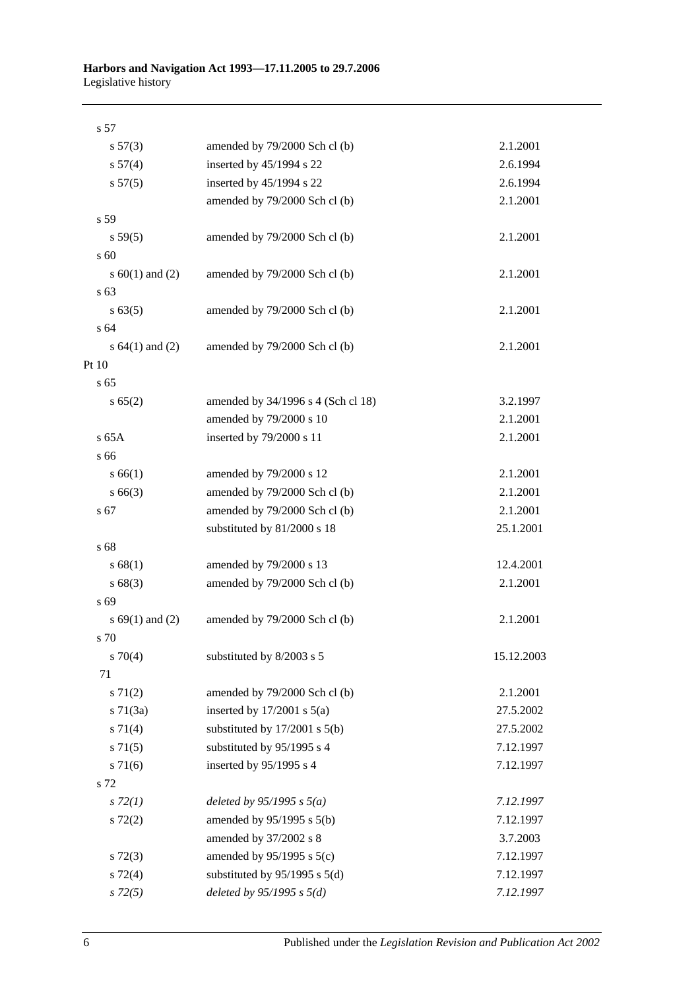| s 57                |                                    |            |
|---------------------|------------------------------------|------------|
| s 57(3)             | amended by 79/2000 Sch cl (b)      | 2.1.2001   |
| s 57(4)             | inserted by 45/1994 s 22           | 2.6.1994   |
| s 57(5)             | inserted by 45/1994 s 22           | 2.6.1994   |
|                     | amended by 79/2000 Sch cl (b)      | 2.1.2001   |
| s 59                |                                    |            |
| s 59(5)             | amended by 79/2000 Sch cl (b)      | 2.1.2001   |
| s 60                |                                    |            |
| s $60(1)$ and $(2)$ | amended by 79/2000 Sch cl (b)      | 2.1.2001   |
| s 63                |                                    |            |
| $s\,63(5)$          | amended by 79/2000 Sch cl (b)      | 2.1.2001   |
| s 64                |                                    |            |
| s $64(1)$ and $(2)$ | amended by 79/2000 Sch cl (b)      | 2.1.2001   |
| Pt 10               |                                    |            |
| s 65                |                                    |            |
| s 65(2)             | amended by 34/1996 s 4 (Sch cl 18) | 3.2.1997   |
|                     | amended by 79/2000 s 10            | 2.1.2001   |
| $s$ 65A             | inserted by 79/2000 s 11           | 2.1.2001   |
| s 66                |                                    |            |
| s 66(1)             | amended by 79/2000 s 12            | 2.1.2001   |
| $s\,66(3)$          | amended by 79/2000 Sch cl (b)      | 2.1.2001   |
| s 67                | amended by 79/2000 Sch cl (b)      | 2.1.2001   |
|                     | substituted by 81/2000 s 18        | 25.1.2001  |
| s 68                |                                    |            |
| s 68(1)             | amended by 79/2000 s 13            | 12.4.2001  |
| s68(3)              | amended by 79/2000 Sch cl (b)      | 2.1.2001   |
| s 69                |                                    |            |
| s $69(1)$ and $(2)$ | amended by 79/2000 Sch cl (b)      | 2.1.2001   |
| s 70                |                                    |            |
| $s \, 70(4)$        | substituted by 8/2003 s 5          | 15.12.2003 |
| 71                  |                                    |            |
| $s \, 71(2)$        | amended by 79/2000 Sch cl (b)      | 2.1.2001   |
| $s \, 71(3a)$       | inserted by $17/2001$ s $5(a)$     | 27.5.2002  |
| $s \, 71(4)$        | substituted by $17/2001$ s $5(b)$  | 27.5.2002  |
| $s \, 71(5)$        | substituted by 95/1995 s 4         | 7.12.1997  |
| $s \, 71(6)$        | inserted by 95/1995 s 4            | 7.12.1997  |
| s 72                |                                    |            |
| $s\,72(1)$          | deleted by $95/1995$ s $5(a)$      | 7.12.1997  |
| $s\ 72(2)$          | amended by 95/1995 s 5(b)          | 7.12.1997  |
|                     | amended by 37/2002 s 8             | 3.7.2003   |
| $s\,72(3)$          | amended by $95/1995$ s $5(c)$      | 7.12.1997  |
| $s \, 72(4)$        | substituted by $95/1995$ s $5(d)$  | 7.12.1997  |
| $s\,72(5)$          | deleted by $95/1995 s 5(d)$        | 7.12.1997  |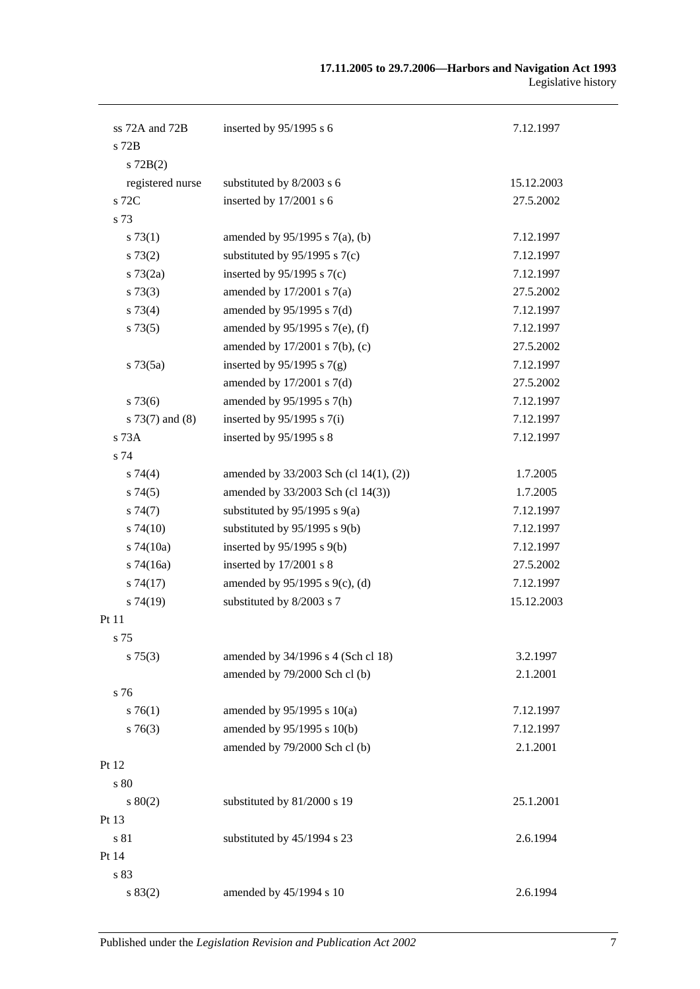| ss 72A and 72B    | inserted by $95/1995$ s 6              | 7.12.1997  |
|-------------------|----------------------------------------|------------|
| $s$ 72 $B$        |                                        |            |
| $s$ 72B(2)        |                                        |            |
| registered nurse  | substituted by 8/2003 s 6              | 15.12.2003 |
| s 72C             | inserted by 17/2001 s 6                | 27.5.2002  |
| s 73              |                                        |            |
| s 73(1)           | amended by $95/1995$ s $7(a)$ , (b)    | 7.12.1997  |
| $s\,73(2)$        | substituted by $95/1995$ s $7(c)$      | 7.12.1997  |
| $s \, 73(2a)$     | inserted by $95/1995$ s $7(c)$         | 7.12.1997  |
| s 73(3)           | amended by $17/2001$ s $7(a)$          | 27.5.2002  |
| s 73(4)           | amended by $95/1995$ s $7(d)$          | 7.12.1997  |
| s73(5)            | amended by 95/1995 s 7(e), (f)         | 7.12.1997  |
|                   | amended by $17/2001$ s $7(b)$ , (c)    | 27.5.2002  |
| $s \, 73(5a)$     | inserted by $95/1995$ s $7(g)$         | 7.12.1997  |
|                   | amended by $17/2001$ s $7(d)$          | 27.5.2002  |
| $s\,73(6)$        | amended by 95/1995 s 7(h)              | 7.12.1997  |
| $s$ 73(7) and (8) | inserted by $95/1995$ s $7(i)$         | 7.12.1997  |
| $s$ 73 $A$        | inserted by 95/1995 s 8                | 7.12.1997  |
| s 74              |                                        |            |
| s74(4)            | amended by 33/2003 Sch (cl 14(1), (2)) | 1.7.2005   |
| s74(5)            | amended by 33/2003 Sch (cl 14(3))      | 1.7.2005   |
| s74(7)            | substituted by $95/1995$ s $9(a)$      | 7.12.1997  |
| $s\,74(10)$       | substituted by 95/1995 s 9(b)          | 7.12.1997  |
| $s$ 74 $(10a)$    | inserted by 95/1995 s 9(b)             | 7.12.1997  |
| $s$ 74(16a)       | inserted by 17/2001 s 8                | 27.5.2002  |
| s74(17)           | amended by $95/1995$ s $9(c)$ , (d)    | 7.12.1997  |
| s74(19)           | substituted by 8/2003 s 7              | 15.12.2003 |
| Pt 11             |                                        |            |
| s 75              |                                        |            |
| $s \, 75(3)$      | amended by 34/1996 s 4 (Sch cl 18)     | 3.2.1997   |
|                   | amended by 79/2000 Sch cl (b)          | 2.1.2001   |
| s 76              |                                        |            |
| $s \, 76(1)$      | amended by $95/1995$ s $10(a)$         | 7.12.1997  |
| $s \, 76(3)$      | amended by 95/1995 s 10(b)             | 7.12.1997  |
|                   | amended by 79/2000 Sch cl (b)          | 2.1.2001   |
| Pt 12             |                                        |            |
| s 80              |                                        |            |
| s 80(2)           | substituted by 81/2000 s 19            | 25.1.2001  |
| Pt 13             |                                        |            |
| s 81              | substituted by 45/1994 s 23            | 2.6.1994   |
| Pt 14             |                                        |            |
| s 83              |                                        |            |
| s 83(2)           | amended by 45/1994 s 10                | 2.6.1994   |
|                   |                                        |            |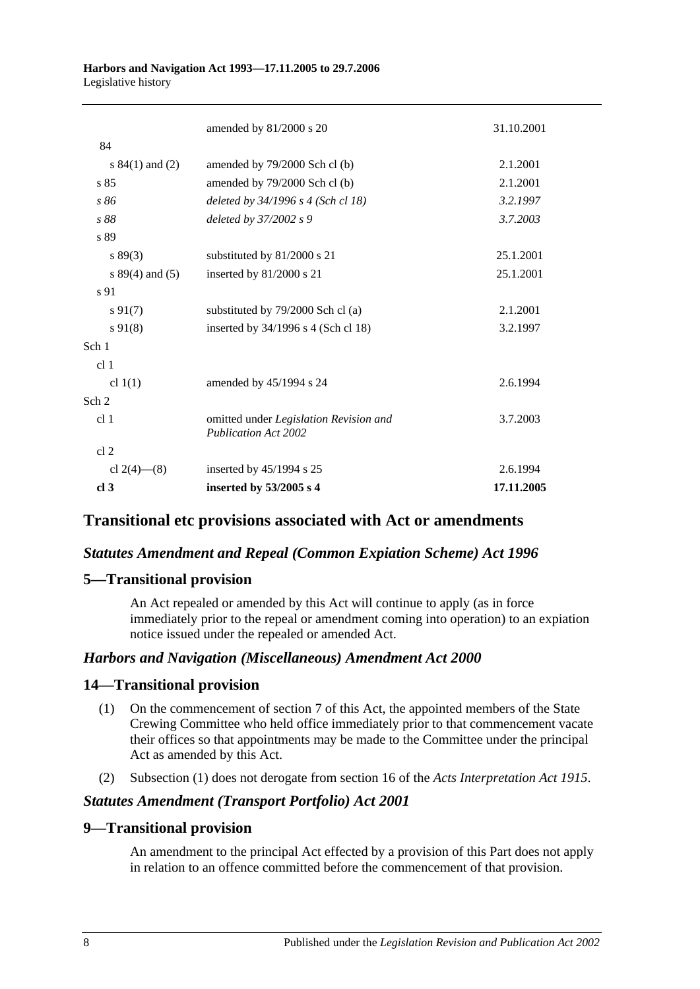| 84<br>2.1.2001<br>s $84(1)$ and $(2)$<br>amended by 79/2000 Sch cl (b)<br>s 85<br>2.1.2001<br>amended by 79/2000 Sch cl (b)<br>s 86<br>deleted by $34/1996$ s 4 (Sch cl 18)<br>3.2.1997<br>deleted by 37/2002 s 9<br>3.7.2003<br>s 88<br>s 89<br>25.1.2001<br>s 89(3)<br>substituted by 81/2000 s 21<br>25.1.2001<br>inserted by 81/2000 s 21<br>s $89(4)$ and $(5)$<br>s 91<br>$s\,91(7)$<br>substituted by 79/2000 Sch cl (a)<br>2.1.2001<br>$s\,91(8)$<br>inserted by 34/1996 s 4 (Sch cl 18)<br>3.2.1997<br>Sch 1<br>cl <sub>1</sub><br>cl $1(1)$<br>amended by 45/1994 s 24<br>2.6.1994<br>Sch <sub>2</sub><br>cl <sub>1</sub><br>omitted under Legislation Revision and<br>3.7.2003<br><b>Publication Act 2002</b><br>cl <sub>2</sub><br>inserted by 45/1994 s 25<br>cl $2(4)$ — $(8)$<br>2.6.1994<br>17.11.2005<br>cl <sub>3</sub><br>inserted by 53/2005 s 4 | amended by 81/2000 s 20 | 31.10.2001 |
|----------------------------------------------------------------------------------------------------------------------------------------------------------------------------------------------------------------------------------------------------------------------------------------------------------------------------------------------------------------------------------------------------------------------------------------------------------------------------------------------------------------------------------------------------------------------------------------------------------------------------------------------------------------------------------------------------------------------------------------------------------------------------------------------------------------------------------------------------------------------|-------------------------|------------|
|                                                                                                                                                                                                                                                                                                                                                                                                                                                                                                                                                                                                                                                                                                                                                                                                                                                                      |                         |            |
|                                                                                                                                                                                                                                                                                                                                                                                                                                                                                                                                                                                                                                                                                                                                                                                                                                                                      |                         |            |
|                                                                                                                                                                                                                                                                                                                                                                                                                                                                                                                                                                                                                                                                                                                                                                                                                                                                      |                         |            |
|                                                                                                                                                                                                                                                                                                                                                                                                                                                                                                                                                                                                                                                                                                                                                                                                                                                                      |                         |            |
|                                                                                                                                                                                                                                                                                                                                                                                                                                                                                                                                                                                                                                                                                                                                                                                                                                                                      |                         |            |
|                                                                                                                                                                                                                                                                                                                                                                                                                                                                                                                                                                                                                                                                                                                                                                                                                                                                      |                         |            |
|                                                                                                                                                                                                                                                                                                                                                                                                                                                                                                                                                                                                                                                                                                                                                                                                                                                                      |                         |            |
|                                                                                                                                                                                                                                                                                                                                                                                                                                                                                                                                                                                                                                                                                                                                                                                                                                                                      |                         |            |
|                                                                                                                                                                                                                                                                                                                                                                                                                                                                                                                                                                                                                                                                                                                                                                                                                                                                      |                         |            |
|                                                                                                                                                                                                                                                                                                                                                                                                                                                                                                                                                                                                                                                                                                                                                                                                                                                                      |                         |            |
|                                                                                                                                                                                                                                                                                                                                                                                                                                                                                                                                                                                                                                                                                                                                                                                                                                                                      |                         |            |
|                                                                                                                                                                                                                                                                                                                                                                                                                                                                                                                                                                                                                                                                                                                                                                                                                                                                      |                         |            |
|                                                                                                                                                                                                                                                                                                                                                                                                                                                                                                                                                                                                                                                                                                                                                                                                                                                                      |                         |            |
|                                                                                                                                                                                                                                                                                                                                                                                                                                                                                                                                                                                                                                                                                                                                                                                                                                                                      |                         |            |
|                                                                                                                                                                                                                                                                                                                                                                                                                                                                                                                                                                                                                                                                                                                                                                                                                                                                      |                         |            |
|                                                                                                                                                                                                                                                                                                                                                                                                                                                                                                                                                                                                                                                                                                                                                                                                                                                                      |                         |            |
|                                                                                                                                                                                                                                                                                                                                                                                                                                                                                                                                                                                                                                                                                                                                                                                                                                                                      |                         |            |
|                                                                                                                                                                                                                                                                                                                                                                                                                                                                                                                                                                                                                                                                                                                                                                                                                                                                      |                         |            |
|                                                                                                                                                                                                                                                                                                                                                                                                                                                                                                                                                                                                                                                                                                                                                                                                                                                                      |                         |            |

### **Transitional etc provisions associated with Act or amendments**

### *Statutes Amendment and Repeal (Common Expiation Scheme) Act 1996*

### **5—Transitional provision**

An Act repealed or amended by this Act will continue to apply (as in force immediately prior to the repeal or amendment coming into operation) to an expiation notice issued under the repealed or amended Act.

### *Harbors and Navigation (Miscellaneous) Amendment Act 2000*

### **14—Transitional provision**

- (1) On the commencement of section 7 of this Act, the appointed members of the State Crewing Committee who held office immediately prior to that commencement vacate their offices so that appointments may be made to the Committee under the principal Act as amended by this Act.
- (2) Subsection (1) does not derogate from section 16 of the *[Acts Interpretation Act](http://www.legislation.sa.gov.au/index.aspx?action=legref&type=act&legtitle=Acts%20Interpretation%20Act%201915) 1915*.

### *Statutes Amendment (Transport Portfolio) Act 2001*

### **9—Transitional provision**

An amendment to the principal Act effected by a provision of this Part does not apply in relation to an offence committed before the commencement of that provision.